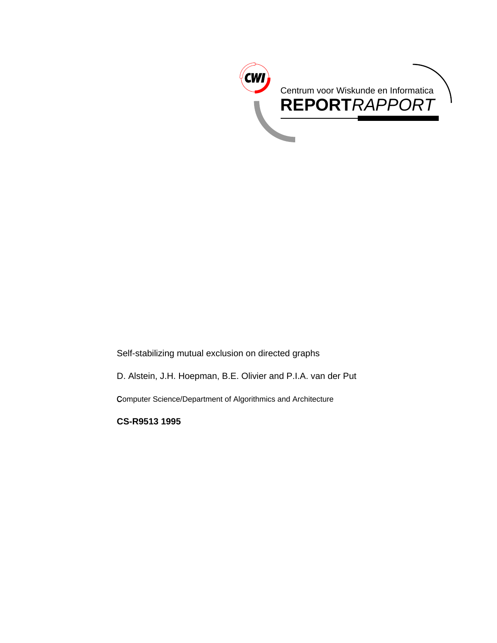

Self-stabilizing mutual exclusion on directed graphs

D. Alstein, J.H. Hoepman, B.E. Olivier and P.I.A. van der Put

Computer Science/Department of Algorithmics and Architecture

**CS-R9513 1995**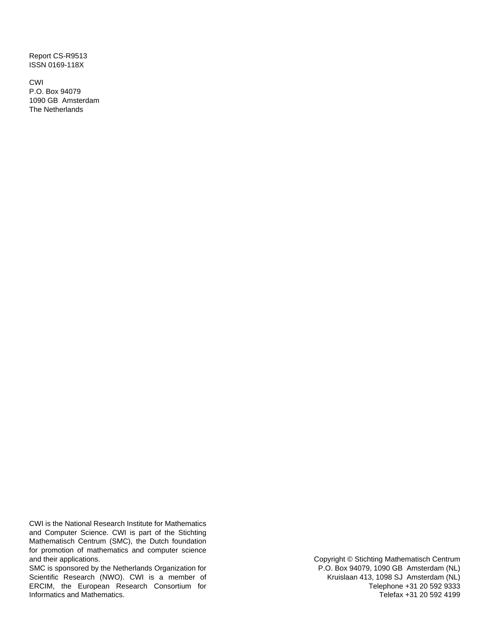Report CS-R9513 ISSN 0169-118X

CWI P.O. Box 94079 1090 GB Amsterdam The Netherlands

CWI is the National Research Institute for Mathematics and Computer Science. CWI is part of the Stichting Mathematisch Centrum (SMC), the Dutch foundation for promotion of mathematics and computer science and their applications.

SMC is sponsored by the Netherlands Organization for Scientific Research (NWO). CWI is a member of ERCIM, the European Research Consortium for Informatics and Mathematics.

Copyright © Stichting Mathematisch Centrum P.O. Box 94079, 1090 GB Amsterdam (NL) Kruislaan 413, 1098 SJ Amsterdam (NL) Telephone +31 20 592 9333 Telefax +31 20 592 4199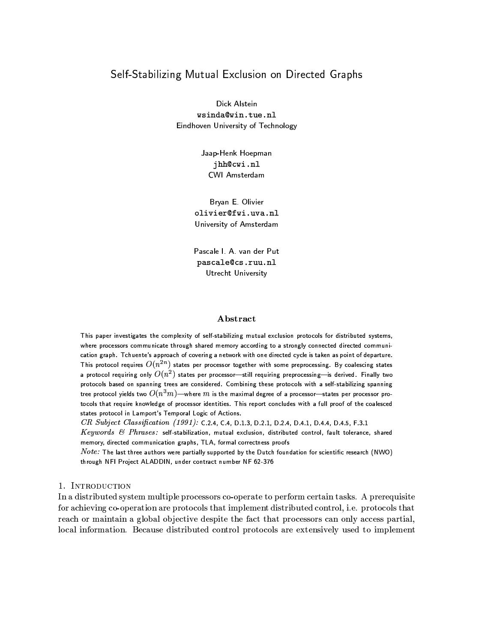# Self-Stabilizing Mutual Exclusion on Directed Graphs

Dick Alstein wsinda@win.tue.nl Eindhoven University of Technology

> Jaap-Henk Hoepman jhh@cwi.nl CWI Amsterdam

Bryan E. Olivier olivier@fwi.uva.nl University of Amsterdam

Pascale I. A. van der Put pascale@cs.ruu.nl Utrecht University

#### Abstract

This paper investigates the complexity of self-stabilizing mutual exclusion protocols for distributed systems, where processors communicate through shared memory according to a strongly connected directed communication graph. Tchuente's approach of covering a network with one directed cycle is taken as point of departure. This protocol requires  $O(n^{2n})$  states per processor together with some preprocessing. By coalescing states a protocol requiring only  $O(n^2)$  states per processor-still requiring preprocessing-is derived. Finally two protocols based on spanning trees are considered. Combining these protocols with a self-stabilizing spanning tree protocol yields two  $O(n^3m)$ —where  $m$  is the maximal degree of a processor—states per processor protocols that require knowledge of processor identities. This report concludes with a full proof of the coalesced states protocol in Lamport's Temporal Logic of Actions.

CR Subject Classification  $(1991)$ : C.2.4, C.4, D.1.3, D.2.1, D.2.4, D.4.1, D.4.4, D.4.5, F.3.1

Keywords  $\mathcal C$  Phrases: self-stabilization, mutual exclusion, distributed control, fault tolerance, shared memory, directed communication graphs, TLA, formal correctness proofs

Note: The last three authors were partially supported by the Dutch foundation for scientific research (NWO) through NFI Project ALADDIN, under contract number NF 62-376

#### 1. INTRODUCTION

In a distributed system multiple processors co-operate to perform certain tasks. A prerequisite for achieving co-operation are protocols that implement distributed control, i.e. protocols that reach or maintain a global objective despite the fact that processors can only access partial, local information. Because distributed control protocols are extensively used to implement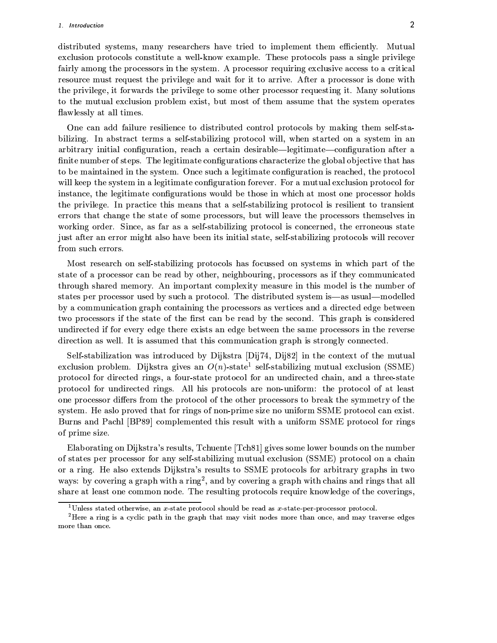distributed systems, many researchers have tried to implement them efficiently. Mutual exclusion protocols constitute a well-know example. These protocols pass a single privilege fairly among the processors in the system. A processor requiring exclusive access to a critical resource must request the privilege and wait for it to arrive. After a processor is done with the privilege, it forwards the privilege to some other processor requesting it. Many solutions to the mutual exclusion problem exist, but most of them assume that the system operates flawlessly at all times.

One can add failure resilience to distributed control protocols by making them self-stabilizing. In abstract terms a self-stabilizing protocol will, when started on a system in an arbitrary initial configuration, reach a certain desirable—legitimate—configuration after a finite number of steps. The legitimate configurations characterize the global objective that has to be maintained in the system. Once such a legitimate configuration is reached, the protocol will keep the system in a legitimate configuration forever. For a mutual exclusion protocol for instance, the legitimate configurations would be those in which at most one processor holds the privilege. In practice this means that a self-stabilizing protocol is resilient to transient errors that change the state of some processors, but will leave the processors themselves in working order. Since, as far as a self-stabilizing protocol is concerned, the erroneous state just after an error might also have been its initial state, self-stabilizing protocols will recover from such errors.

Most research on self-stabilizing protocols has focussed on systems in which part of the state of a processor can be read by other, neighbouring, processors as if they communicated through shared memory. An important complexity measure in this model is the number of states per processor used by such a protocol. The distributed system is—as usual—modelled by a communication graph containing the processors as vertices and a directed edge between two processors if the state of the first can be read by the second. This graph is considered undirected if for every edge there exists an edge between the same processors in the reverse direction as well. It is assumed that this communication graph is strongly connected.

Self-stabilization was introduced by Dijkstra [Dij74, Dij82] in the context of the mutual exclusion problem. Dijkstra gives an  $O(n)$ -state<sup>1</sup> self-stabilizing mutual exclusion (SSME) protocol for directed rings, a four-state protocol for an undirected chain, and a three-state protocol for undirected rings. All his protocols are non-uniform: the protocol of at least one processor differs from the protocol of the other processors to break the symmetry of the system. He aslo proved that for rings of non-prime size no uniform SSME protocol can exist. Burns and Pachl [BP89] complemented this result with a uniform SSME protocol for rings of prime size.

Elaborating on Dijkstra's results, Tchuente [Tch81] gives some lower bounds on the number of states per processor for any self-stabilizing mutual exclusion (SSME) protocol on a chain or a ring. He also extends Dijkstra's results to SSME protocols for arbitrary graphs in two ways: by covering a graph with a ring<sup>2</sup>, and by covering a graph with chains and rings that all share at least one common node. The resulting protocols require knowledge of the coverings,

<sup>&</sup>lt;sup>1</sup>Unless stated otherwise, an *x*-state protocol should be read as *x*-state-per-processor protocol.

<sup>&</sup>lt;sup>2</sup>Here a ring is a cyclic path in the graph that may visit nodes more than once, and may traverse edges more than once.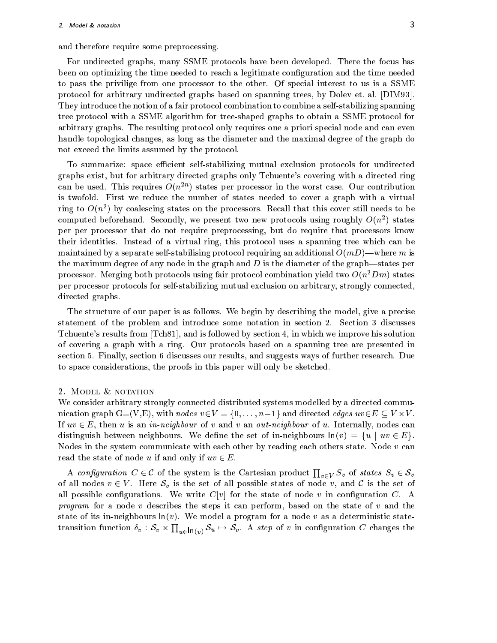and therefore require some preprocessing.

For undirected graphs, many SSME protocols have been developed. There the focus has been on optimizing the time needed to reach a legitimate configuration and the time needed to pass the privilige from one processor to the other. Of special interest to us is a SSME protocol for arbitrary undirected graphs based on spanning trees, by Dolev et. al. [DIM93]. They introduce the notion of a fair protocol combination to combine a self-stabilizing spanning tree protocol with a SSME algorithm for tree-shaped graphs to obtain a SSME protocol for arbitrary graphs. The resulting protocol only requires one a priori special node and can even handle topological changes, as long as the diameter and the maximal degree of the graph do not exceed the limits assumed by the protocol.

To summarize: space efficient self-stabilizing mutual exclusion protocols for undirected graphs exist, but for arbitrary directed graphs only Tchuente's covering with a directed ring can be used. This requires  $O(n^{2n})$  states per processor in the worst case. Our contribution is twofold. First we reduce the number of states needed to cover a graph with a virtual ring to  $O(n^2)$  by coalescing states on the processors. Recall that this cover still needs to be computed beforehand. Secondly, we present two new protocols using roughly  $O(n^2)$  states per per processor that do not require preprocessing, but do require that processors know their identities. Instead of a virtual ring, this protocol uses a spanning tree which can be maintained by a separate self-stabilising protocol requiring an additional  $O(mD)$ —where m is the maximum degree of any node in the graph and  $D$  is the diameter of the graph—states per processor. Merging both protocols using fair protocol combination yield two  $O(n^2 Dm)$  states per processor protocols for self-stabilizing mutual exclusion on arbitrary, strongly connected, directed graphs.

The structure of our paper is as follows. We begin by describing the model, give a precise statement of the problem and introduce some notation in section 2. Section 3 discusses Tchuente's results from [Tch81], and is followed by section 4, in which we improve his solution of covering a graph with a ring. Our protocols based on a spanning tree are presented in section 5. Finally, section 6 discusses our results, and suggests ways of further research. Due to space considerations, the proofs in this paper will only be sketched.

#### 2. MODEL & NOTATION

We consider arbitrary strongly connected distributed systems modelled by a directed communication graph G=(V,E), with nodes  $v \in V = \{0, ..., n-1\}$  and directed edges  $uv \in E \subseteq V \times V$ . If  $uv \in E$ , then u is an *in-neighbour* of v and v an *out-neighbour* of u. Internally, nodes can distinguish between neighbours. We define the set of in-neighbours  $\ln(v) = \{u \mid uv \in E\}.$ Nodes in the system communicate with each other by reading each others state. Node v can read the state of node u if and only if  $uv \in E$ .

A configuration  $C \in \mathcal{C}$  of the system is the Cartesian product  $\prod_{v \in V} S_v$  of states  $S_v \in \mathcal{S}_v$ of all nodes  $v \in V$ . Here  $S_v$  is the set of all possible states of node v, and C is the set of all possible configurations. We write  $C[v]$  for the state of node v in configuration C. A *program* for a node v describes the steps it can perform, based on the state of v and the state of its in-neighbours  $\ln(v)$ . We model a program for a node v as a deterministic statetransition function  $\delta_v : \mathcal{S}_v \times \prod_{u \in \mathsf{In}(v)} \mathcal{S}_u \mapsto \mathcal{S}_v$ . A step of v in configuration C changes the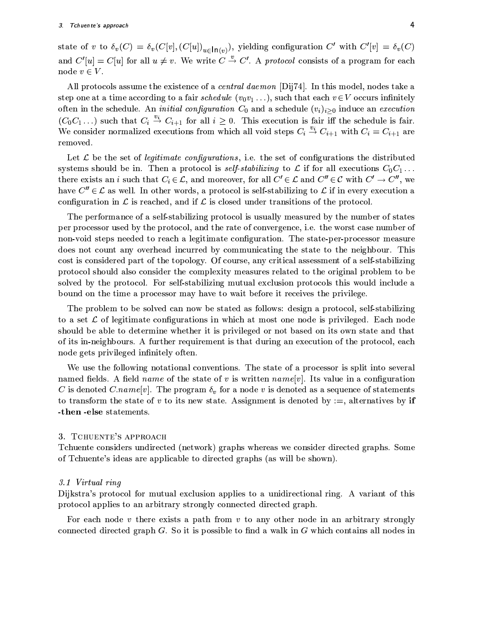state of v to  $\delta_v(C) = \delta_v(C[v], (C[u])_{u \in \mathsf{In}(v)})$ , yielding configuration C' with  $C'[v] = \delta_v(C)$ and  $C'[u] = C[u]$  for all  $u \neq v$ . We write  $C \stackrel{v}{\rightarrow} C'$ . A protocol consists of a program for each node  $v \in V$ .

All protocols assume the existence of a *central daemon* [Dij74]. In this model, nodes take a step one at a time according to a fair schedule  $(v_0v_1...)$ , such that each  $v \in V$  occurs infinitely often in the schedule. An *initial configuration*  $C_0$  and a schedule  $(v_i)_{i>0}$  induce an *execution*  $(C_0C_1...)$  such that  $C_i \stackrel{v_i}{\rightarrow} C_{i+1}$  for all  $i \geq 0$ . This execution is fair iff the schedule is fair. We consider normalized executions from which all void steps  $C_i \stackrel{v_i}{\rightarrow} C_{i+1}$  with  $C_i = C_{i+1}$  are removed.

Let  $\mathcal L$  be the set of *legitimate configurations*, i.e. the set of configurations the distributed systems should be in. Then a protocol is *self-stabilizing* to L if for all executions  $C_0C_1 \ldots$ there exists an *i* such that  $C_i \in \mathcal{L}$ , and moreover, for all  $C' \in \mathcal{L}$  and  $C'' \in \mathcal{C}$  with  $C' \to C''$ , we have  $C'' \in \mathcal{L}$  as well. In other words, a protocol is self-stabilizing to  $\mathcal{L}$  if in every execution a configuration in  $\mathcal L$  is reached, and if  $\mathcal L$  is closed under transitions of the protocol.

The performance of a self-stabilizing protocol is usually measured by the number of states per processor used by the protocol, and the rate of convergence, i.e. the worst case number of non-void steps needed to reach a legitimate configuration. The state-per-processor measure does not count any overhead incurred by communicating the state to the neighbour. This cost is considered part of the topology. Of course, any critical assessment of a self-stabilizing protocol should also consider the complexity measures related to the original problem to be solved by the protocol. For self-stabilizing mutual exclusion protocols this would include a bound on the time a processor may have to wait before it receives the privilege.

The problem to be solved can now be stated as follows: design a protocol, self-stabilizing to a set  $\mathcal L$  of legitimate configurations in which at most one node is privileged. Each node should be able to determine whether it is privileged or not based on its own state and that of its in-neighbours. A further requirement is that during an execution of the protocol, each node gets privileged infinitely often.

We use the following notational conventions. The state of a processor is split into several named fields. A field *name* of the state of v is written  $name[v]$ . Its value in a configuration C is denoted C.name[v]. The program  $\delta_v$  for a node v is denoted as a sequence of statements to transform the state of v to its new state. Assignment is denoted by  $:=$ , alternatives by if -then -else statements.

#### 3. TCHUENTE'S APPROACH

Tchuente considers undirected (network) graphs whereas we consider directed graphs. Some of Tchuente's ideas are applicable to directed graphs (as will be shown).

#### 3.1 Virtual ring

Dijkstra's protocol for mutual exclusion applies to a unidirectional ring. A variant of this protocol applies to an arbitrary strongly connected directed graph.

For each node  $v$  there exists a path from  $v$  to any other node in an arbitrary strongly connected directed graph  $G$ . So it is possible to find a walk in  $G$  which contains all nodes in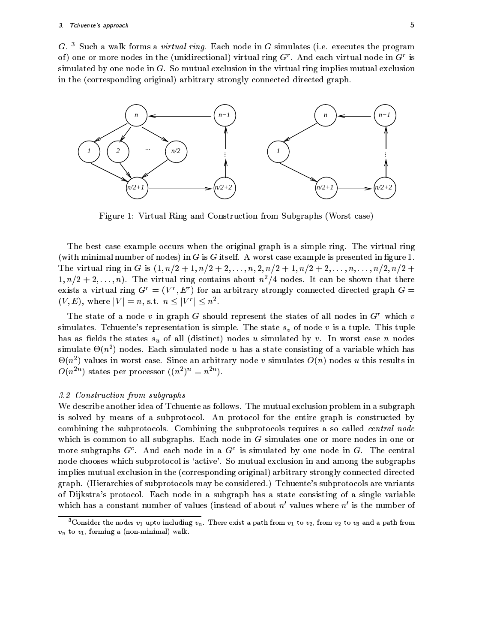$G<sup>3</sup>$  Such a walk forms a *virtual ring*. Each node in G simulates (i.e. executes the program of) one or more nodes in the (unidirectional) virtual ring  $G<sup>r</sup>$ . And each virtual node in  $G<sup>r</sup>$  is simulated by one node in  $G$ . So mutual exclusion in the virtual ring implies mutual exclusion in the (corresponding original) arbitrary strongly connected directed graph.



Figure 1: Virtual Ring and Construction from Subgraphs (Worst case)

The best case example occurs when the original graph is a simple ring. The virtual ring (with minimal number of nodes) in  $G$  is  $G$  itself. A worst case example is presented in figure 1. The virtual ring in G is  $(1, n/2+1, n/2+2, ..., n, 2, n/2+1, n/2+2, ..., n, ..., n/2, n/2+1)$  $1, n/2+2, \ldots, n$ ). The virtual ring contains about  $n^2/4$  nodes. It can be shown that there exists a virtual ring  $G^r = (V^r, E^r)$  for an arbitrary strongly connected directed graph  $G =$  $(V, E)$ , where  $|V| = n$ , s.t.  $n \leq |V^r| \leq n^2$ .

The state of a node v in graph G should represent the states of all nodes in  $G<sup>r</sup>$  which v simulates. Tchuente's representation is simple. The state  $s_v$  of node v is a tuple. This tuple has as fields the states  $s_u$  of all (distinct) nodes u simulated by v. In worst case n nodes simulate  $\Theta(n^2)$  nodes. Each simulated node u has a state consisting of a variable which has  $\Theta(n^2)$  values in worst case. Since an arbitrary node v simulates  $O(n)$  nodes u this results in  $O(n^{2n})$  states per processor  $((n^2)^n = n^{2n})$ .

#### 3.2 Construction from subgraphs

We describe another idea of Tchuente as follows. The mutual exclusion problem in a subgraph is solved by means of a subprotocol. An protocol for the entire graph is constructed by combining the subprotocols. Combining the subprotocols requires a so called *central node* which is common to all subgraphs. Each node in  $G$  simulates one or more nodes in one or more subgraphs  $G^c$ . And each node in a  $G^c$  is simulated by one node in G. The central node chooses which subprotocol is 'active'. So mutual exclusion in and among the subgraphs implies mutual exclusion in the (corresponding original) arbitrary strongly connected directed graph. (Hierarchies of subprotocols may be considered.) Tchuente's subprotocols are variants of Dijkstra's protocol. Each node in a subgraph has a state consisting of a single variable which has a constant number of values (instead of about  $n'$  values where  $n'$  is the number of

<sup>&</sup>lt;sup>3</sup>Consider the nodes  $v_1$  upto including  $v_n$ . There exist a path from  $v_1$  to  $v_2$ , from  $v_2$  to  $v_3$  and a path from  $v_n$  to  $v_1$ , forming a (non-minimal) walk.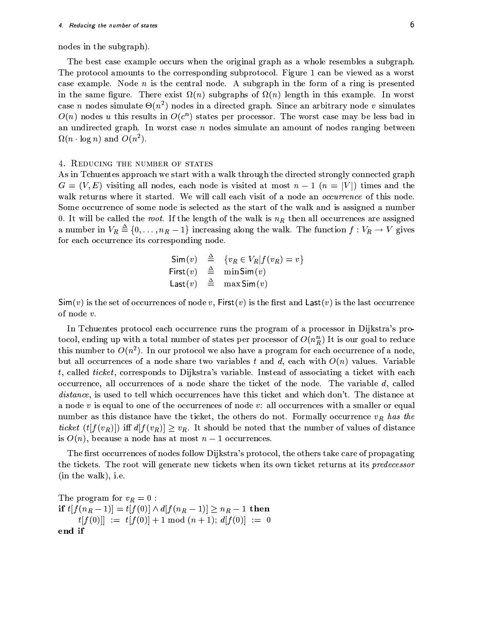#### 4. Reducing the number of states

nodes in the subgraph).

The best case example occurs when the original graph as a whole resembles a subgraph. The protocol amounts to the corresponding subprotocol. Figure 1 can be viewed as a worst case example. Node  $n$  is the central node. A subgraph in the form of a ring is presented in the same figure. There exist  $\Omega(n)$  subgraphs of  $\Omega(n)$  length in this example. In worst case *n* nodes simulate  $\Theta(n^2)$  nodes in a directed graph. Since an arbitrary node *v* simulates  $O(n)$  nodes u this results in  $O(c^n)$  states per processor. The worst case may be less bad in an undirected graph. In worst case  $n$  nodes simulate an amount of nodes ranging between  $\Omega(n \cdot \log n)$  and  $O(n^2)$ .

#### 4. REDUCING THE NUMBER OF STATES

As in Tchuentes approach we start with a walk through the directed strongly connected graph  $G = (V, E)$  visiting all nodes, each node is visited at most  $n - 1$   $(n = |V|)$  times and the walk returns where it started. We will call each visit of a node an *occurrence* of this node. Some occurrence of some node is selected as the start of the walk and is assigned a number 0. It will be called the root. If the length of the walk is  $n<sub>R</sub>$  then all occurrences are assigned a number in  $V_R \triangleq \{0, \ldots, n_R - 1\}$  increasing along the walk. The function  $f: V_R \to V$  gives for each occurrence its corresponding node.

$$
Sim(v) \triangleq \{v_R \in V_R | f(v_R) = v\}
$$
  
First(v)  $\triangleq$  min Sim(v)  
Last(v)  $\triangleq$  max Sim(v)

 $\mathsf{Sim}(v)$  is the set of occurrences of node v, First(v) is the first and  $\mathsf{Last}(v)$  is the last occurrence of node  $v$ .

In Tchuentes protocol each occurrence runs the program of a processor in Dijkstra's protocol, ending up with a total number of states per processor of  $O(n_b^n)$  It is our goal to reduce this number to  $O(n^2)$ . In our protocol we also have a program for each occurrence of a node, but all occurrences of a node share two variables t and d, each with  $O(n)$  values. Variable t, called ticket, corresponds to Dijkstra's variable. Instead of associating a ticket with each occurrence, all occurrences of a node share the ticket of the node. The variable  $d$ , called *distance*, is used to tell which occurrences have this ticket and which don't. The distance at a node v is equal to one of the occurrences of node v: all occurrences with a smaller or equal number as this distance have the ticket, the others do not. Formally occurrence  $v_R$  has the ticket  $(t[f(v_R)])$  iff  $d[f(v_R)] \geq v_R$ . It should be noted that the number of values of distance is  $O(n)$ , because a node has at most  $n-1$  occurrences.

The first occurrences of nodes follow Dijkstra's protocol, the others take care of propagating the tickets. The root will generate new tickets when its own ticket returns at its predecessor  $(in the walk), i.e.$ 

The program for  $v_R = 0$ : if  $t[f(n_R-1)] = t[f(0)] \wedge d[f(n_R-1)] \geq n_R - 1$  then  $t[f(0)]] := t[f(0)] + 1 \bmod (n+1); d[f(0)] := 0$ end if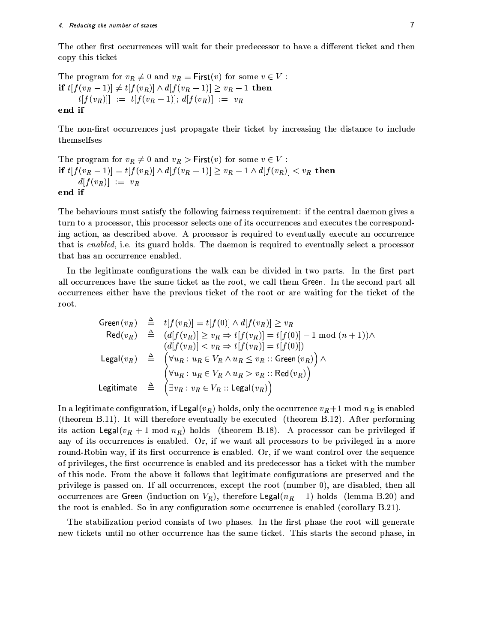The other first occurrences will wait for their predecessor to have a different ticket and then copy this ticket

The program for  $v_R \neq 0$  and  $v_R = \text{First}(v)$  for some  $v \in V$ : if  $t[f(v_R-1)] \neq t[f(v_R)] \wedge d[f(v_R-1)] \geq v_R - 1$  then  $t[f(v_R)]] := t[f(v_R-1)]; d[f(v_R)] := v_R$ end if

The non-first occurrences just propagate their ticket by increasing the distance to include themselfses

The program for  $v_R \neq 0$  and  $v_R >$  First(v) for some  $v \in V$ : if  $t[f(v_R-1)] = t[f(v_R)] \wedge d[f(v_R-1)] \ge v_R - 1 \wedge d[f(v_R)] < v_R$  then  $d[f(v_R)] := v_R$ end if

The behaviours must satisfy the following fairness requirement: if the central daemon gives a turn to a processor, this processor selects one of its occurrences and executes the corresponding action, as described above. A processor is required to eventually execute an occurrence that is enabled, i.e. its guard holds. The daemon is required to eventually select a processor that has an occurrence enabled.

In the legitimate configurations the walk can be divided in two parts. In the first part all occurrences have the same ticket as the root, we call them Green. In the second part all occurrences either have the previous ticket of the root or are waiting for the ticket of the root.

$$
\begin{array}{rcl}\n\text{Green}(v_R) & \triangleq & t[f(v_R)] = t[f(0)] \wedge d[f(v_R)] \geq v_R \\
\text{Red}(v_R) & \triangleq & (d[f(v_R)] \geq v_R \Rightarrow t[f(v_R)] = t[f(0)] - 1 \mod (n+1)) \wedge \\
& (d[f(v_R)] < v_R \Rightarrow t[f(v_R)] = t[f(0)]) \\
\text{Legal}(v_R) & \triangleq & \left( \forall u_R : u_R \in V_R \wedge u_R \leq v_R \text{ :: Green}(v_R) \right) \wedge \\
& \left( \forall u_R : u_R \in V_R \wedge u_R > v_R \text{ :: Red}(v_R) \right) \\
\text{Legitimate} & \triangleq & \left( \exists v_R : v_R \in V_R \text{ :: legal}(v_R) \right)\n\end{array}
$$

In a legitimate configuration, if Legal( $v_R$ ) holds, only the occurrence  $v_R + 1$  mod  $n_R$  is enabled (theorem B.11). It will therefore eventually be executed (theorem B.12). After performing its action Legal( $v_R + 1 \mod n_R$ ) holds (theorem B.18). A processor can be privileged if any of its occurrences is enabled. Or, if we want all processors to be privileged in a more round-Robin way, if its first occurrence is enabled. Or, if we want control over the sequence of privileges, the first occurrence is enabled and its predecessor has a ticket with the number of this node. From the above it follows that legitimate configurations are preserved and the privilege is passed on. If all occurrences, except the root (number 0), are disabled, then all occurrences are Green (induction on  $V_R$ ), therefore Legal( $n_R - 1$ ) holds (lemma B.20) and the root is enabled. So in any configuration some occurrence is enabled (corollary B.21).

The stabilization period consists of two phases. In the first phase the root will generate new tickets until no other occurrence has the same ticket. This starts the second phase, in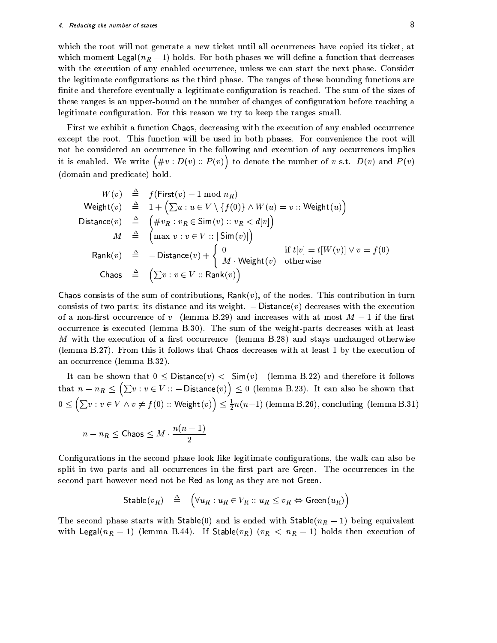which the root will not generate a new ticket until all occurrences have copied its ticket, at which moment Legal( $n_R-1$ ) holds. For both phases we will define a function that decreases with the execution of any enabled occurrence, unless we can start the next phase. Consider the legitimate configurations as the third phase. The ranges of these bounding functions are finite and therefore eventually a legitimate configuration is reached. The sum of the sizes of these ranges is an upper-bound on the number of changes of configuration before reaching a legitimate configuration. For this reason we try to keep the ranges small.

First we exhibit a function Chaos, decreasing with the execution of any enabled occurrence except the root. This function will be used in both phases. For convenience the root will not be considered an occurrence in the following and execution of any occurrences implies it is enabled. We write  $(\text{\#}v : D(v) :: P(v))$  to denote the number of v s.t.  $D(v)$  and  $P(v)$ (domain and predicate) hold.

$$
W(v) \triangleq f(\text{First}(v) - 1 \mod n_R)
$$
\n
$$
\begin{array}{rcl}\n\text{Weight}(v) & \triangleq & 1 + \left(\sum u : u \in V \setminus \{f(0)\} \land W(u) = v \text{ :: } \text{Weight}(u)\right) \\
\text{Distance}(v) & \triangleq & \left(\#v_R : v_R \in \text{Sim}(v) \text{ :: } v_R < d[v]\right) \\
M & \triangleq & \left(\max v : v \in V \text{ :: } |\text{Sim}(v)|\right) \\
\text{Rank}(v) & \triangleq & -\text{Distance}(v) + \begin{cases} 0 & \text{if } t[v] = t[W(v)] \lor v = f(0) \\
M \cdot \text{Weight}(v) & \text{otherwise}\n\end{cases} \\
\text{Chaos} & \triangleq & \left(\sum v : v \in V \text{ :: } \text{Rank}(v)\right)\n\end{array}
$$

Chaos consists of the sum of contributions,  $Rank(v)$ , of the nodes. This contribution in turn consists of two parts: its distance and its weight.  $-$  Distance(v) decreases with the execution of a non-first occurrence of v (lemma B.29) and increases with at most  $M-1$  if the first occurrence is executed (lemma B.30). The sum of the weight-parts decreases with at least M with the execution of a first occurrence (lemma B.28) and stays unchanged otherwise (lemma B.27). From this it follows that Chaos decreases with at least 1 by the execution of an occurrence (lemma B.32).

It can be shown that  $0 \leq \text{Distance}(v) < |\text{Sim}(v)|$  (lemma B.22) and therefore it follows that  $n - n_R \leq (\sum v : v \in V : -$  Distance(v))  $\leq 0$  (lemma B.23). It can also be shown that  $0 \leq (\sum v : v \in V \wedge v \neq f(0) :: \textsf{Weight}(v)) \leq \frac{1}{2}n(n-1)$  (lemma B.26), concluding (lemma B.31)

$$
n-n_R\leq \mathsf{Chaos}\leq M\cdot \frac{n(n-1)}{2}
$$

Configurations in the second phase look like legitimate configurations, the walk can also be split in two parts and all occurrences in the first part are Green. The occurrences in the second part however need not be Red as long as they are not Green.

$$
\mathsf{Stable}(v_R) \quad \triangleq \quad \Big( \forall u_R : u_R \in V_R :: u_R \leq v_R \Leftrightarrow \mathsf{Green}(u_R) \Big)
$$

The second phase starts with Stable(0) and is ended with Stable( $n_R - 1$ ) being equivalent with Legal( $n_R - 1$ ) (lemma B.44). If Stable( $v_R$ ) ( $v_R < n_R - 1$ ) holds then execution of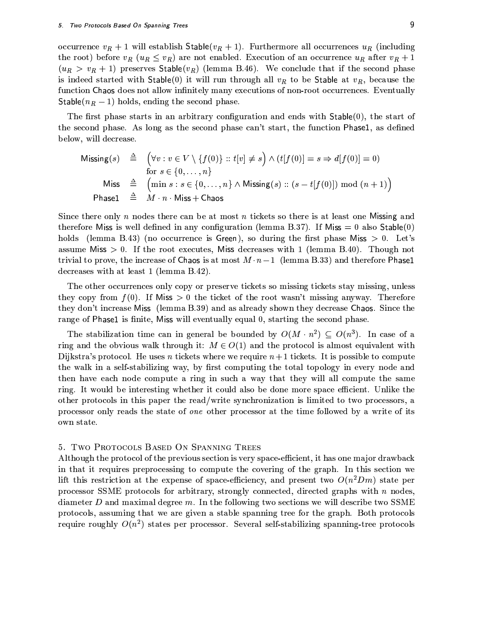occurrence  $v_R + 1$  will establish Stable( $v_R + 1$ ). Furthermore all occurrences  $u_R$  (including the root) before  $v_R$  ( $u_R \le v_R$ ) are not enabled. Execution of an occurrence  $u_R$  after  $v_R + 1$  $(u_R > v_R + 1)$  preserves Stable( $v_R$ ) (lemma B.46). We conclude that if the second phase is indeed started with Stable(0) it will run through all  $v_R$  to be Stable at  $v_R$ , because the function Chaos does not allow infinitely many executions of non-root occurrences. Eventually Stable( $n_R - 1$ ) holds, ending the second phase.

The first phase starts in an arbitrary configuration and ends with  $Stable(0)$ , the start of the second phase. As long as the second phase can't start, the function Phase1, as defined below, will decrease.

$$
\begin{array}{rcl}\n\text{Missing}(s) & \triangleq & \left( \forall v : v \in V \setminus \{f(0)\} :: t[v] \neq s \right) \land (t[f(0)] = s \Rightarrow d[f(0)] = 0) \\
& \text{for } s \in \{0, \dots, n\} \\
\text{Miss} & \triangleq & \left( \min s : s \in \{0, \dots, n\} \land \text{Missing}(s) :: (s - t[f(0)]) \bmod (n + 1) \right) \\
\text{Phase1} & \triangleq & M \cdot n \cdot \text{Miss} + \text{Chaos}\n\end{array}
$$

Since there only n nodes there can be at most n tickets so there is at least one Missing and therefore Miss is well defined in any configuration (lemma B.37). If Miss = 0 also Stable(0) holds (lemma B.43) (no occurrence is Green), so during the first phase Miss  $> 0$ . Let's assume Miss  $> 0$ . If the root executes, Miss decreases with 1 (lemma B.40). Though not trivial to prove, the increase of Chaos is at most  $M \cdot n-1$  (lemma B.33) and therefore Phase1 decreases with at least 1 (lemma B.42).

The other occurrences only copy or preserve tickets so missing tickets stay missing, unless they copy from  $f(0)$ . If Miss  $> 0$  the ticket of the root wasn't missing anyway. Therefore they don't increase Miss (lemma B.39) and as already shown they decrease Chaos. Since the range of Phase1 is finite, Miss will eventually equal 0, starting the second phase.

The stabilization time can in general be bounded by  $O(M \cdot n^2) \subseteq O(n^3)$ . In case of a ring and the obvious walk through it:  $M \in O(1)$  and the protocol is almost equivalent with Dijkstra's protocol. He uses *n* tickets where we require  $n+1$  tickets. It is possible to compute the walk in a self-stabilizing way, by first computing the total topology in every node and then have each node compute a ring in such a way that they will all compute the same ring. It would be interesting whether it could also be done more space efficient. Unlike the other protocols in this paper the read/write synchronization is limited to two processors, a processor only reads the state of one other processor at the time followed by a write of its own state.

#### 5. TWO PROTOCOLS BASED ON SPANNING TREES

Although the protocol of the previous section is very space-efficient, it has one major drawback in that it requires preprocessing to compute the covering of the graph. In this section we lift this restriction at the expense of space-efficiency, and present two  $O(n^2 Dm)$  state per processor SSME protocols for arbitrary, strongly connected, directed graphs with  $n$  nodes, diameter  $D$  and maximal degree  $m$ . In the following two sections we will describe two SSME protocols, assuming that we are given a stable spanning tree for the graph. Both protocols require roughly  $O(n^2)$  states per processor. Several self-stabilizing spanning-tree protocols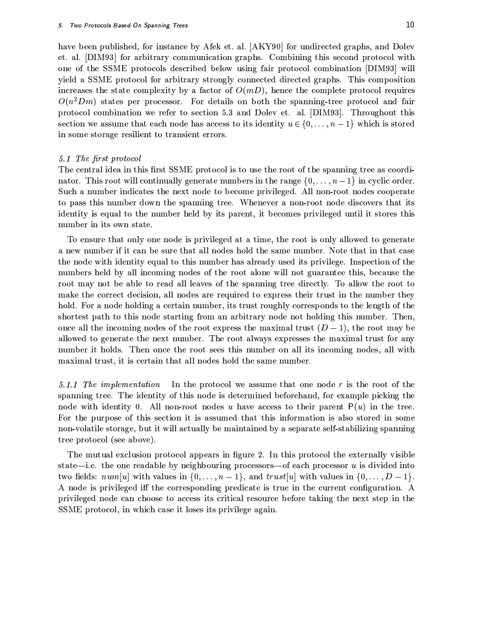have been published, for instance by Afek et. al. [AKY90] for undirected graphs, and Dolev et. al. [DIM93] for arbitrary communication graphs. Combining this second protocol with one of the SSME protocols described below using fair protocol combination [DIM93] will yield a SSME protocol for arbitrary strongly connected directed graphs. This composition increases the state complexity by a factor of  $O(mD)$ , hence the complete protocol requires  $O(n^2 Dm)$  states per processor. For details on both the spanning-tree protocol and fair protocol combination we refer to section 5.3 and Dolev et. al. [DIM93]. Throughout this section we assume that each node has access to its identity  $u \in \{0, \ldots, n-1\}$  which is stored in some storage resilient to transient errors.

#### 5.1 The first protocol

The central idea in this first SSME protocol is to use the root of the spanning tree as coordinator. This root will continually generate numbers in the range  $\{0, \ldots, n-1\}$  in cyclic order. Such a number indicates the next node to become privileged. All non-root nodes cooperate to pass this number down the spanning tree. Whenever a non-root node discovers that its identity is equal to the number held by its parent, it becomes privileged until it stores this number in its own state.

To ensure that only one node is privileged at a time, the root is only allowed to generate a new number if it can be sure that all nodes hold the same number. Note that in that case the node with identity equal to this number has already used its privilege. Inspection of the numbers held by all incoming nodes of the root alone will not guarantee this, because the root may not be able to read all leaves of the spanning tree directly. To allow the root to make the correct decision, all nodes are required to express their trust in the number they hold. For a node holding a certain number, its trust roughly corresponds to the length of the shortest path to this node starting from an arbitrary node not holding this number. Then, once all the incoming nodes of the root express the maximal trust  $(D-1)$ , the root may be allowed to generate the next number. The root always expresses the maximal trust for any number it holds. Then once the root sees this number on all its incoming nodes, all with maximal trust, it is certain that all nodes hold the same number.

5.1.1 The implementation In the protocol we assume that one node  $r$  is the root of the spanning tree. The identity of this node is determined beforehand, for example picking the node with identity 0. All non-root nodes u have access to their parent  $P(u)$  in the tree. For the purpose of this section it is assumed that this information is also stored in some non-volatile storage, but it will actually be maintained by a separate self-stabilizing spanning tree protocol (see above).

The mutual exclusion protocol appears in figure 2. In this protocol the externally visible state—i.e. the one readable by neighbouring processors—of each processor  $u$  is divided into two fields:  $num[u]$  with values in  $\{0,\ldots,n-1\}$ , and  $trust[u]$  with values in  $\{0,\ldots,D-1\}$ . A node is privileged iff the corresponding predicate is true in the current configuration. A privileged node can choose to access its critical resource before taking the next step in the SSME protocol, in which case it loses its privilege again.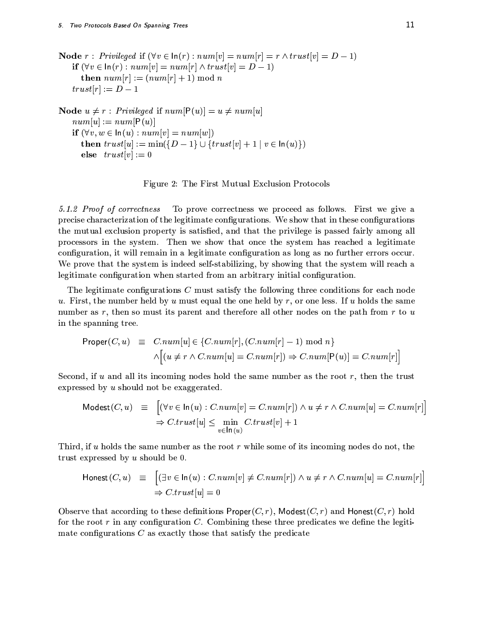**Node**  $r$ : Privileged if  $(\forall v \in \ln(r) : num[v] = num[r] = r \land trust[v] = D - 1)$ if  $(\forall v \in \ln(r) : num[v] = num[r] \wedge trust[v] = D - 1)$ then  $num[r] := (num[r] + 1) \bmod n$  $trust[r]:= D-1$ 

\nNode 
$$
u \neq r
$$
:  $Privileged$  if  $num[P(u)] = u \neq num[u]$ \n $num[u] := num[P(u)]$ \n

\n\nif  $(\forall v, w \in \text{In}(u) : num[v] = num[w])$ \n

\n\nthen  $trust[u] := \min(\{D-1\} \cup \{trust[v] + 1 \mid v \in \text{In}(u)\})$ \n

\n\nelse  $trust[v] := 0$ \n

Figure 2: The First Mutual Exclusion Protocols

To prove correctness we proceed as follows. First we give a 5.1.2 Proof of correctness precise characterization of the legitimate configurations. We show that in these configurations the mutual exclusion property is satisfied, and that the privilege is passed fairly among all processors in the system. Then we show that once the system has reached a legitimate configuration, it will remain in a legitimate configuration as long as no further errors occur. We prove that the system is indeed self-stabilizing, by showing that the system will reach a legitimate configuration when started from an arbitrary initial configuration.

The legitimate configurations  $C$  must satisfy the following three conditions for each node u. First, the number held by u must equal the one held by r, or one less. If u holds the same number as  $r$ , then so must its parent and therefore all other nodes on the path from  $r$  to  $u$ in the spanning tree.

$$
\begin{array}{rcl}\n\text{Proper}(C, u) & \equiv & C.num[u] \in \{C.num[r], (C.num[r] - 1) \bmod n\} \\
& \land \Big[ (u \neq r \land C.num[u] = C.num[r]) \Rightarrow C.num[\mathsf{P}(u)] = C.num[r] \Big] \n\end{array}
$$

Second, if u and all its incoming nodes hold the same number as the root  $r$ , then the trust expressed by  $u$  should not be exaggerated.

$$
\begin{array}{rcl}\n\text{Models}(C, u) & \equiv & \left[ (\forall v \in \ln(u) : C.num[v] = C.num[r]) \land u \neq r \land C.num[u] = C.num[r] \right] \\
& \Rightarrow C.trust[u] \leq \min_{v \in \ln(u)} C.trust[v] + 1\n\end{array}
$$

Third, if u holds the same number as the root r while some of its incoming nodes do not, the trust expressed by  $u$  should be 0.

$$
\begin{array}{rcl}\n\text{Honest}(C, u) & \equiv & \left[ (\exists v \in \ln(u) : C.num[v] \neq C.num[r]) \land u \neq r \land C.num[u] = C.num[r] \right] \\
& \Rightarrow C.trust[u] = 0\n\end{array}
$$

Observe that according to these definitions  $Proper(C, r)$ , Modest $(C, r)$  and Honest $(C, r)$  hold for the root  $r$  in any configuration  $C$ . Combining these three predicates we define the legitimate configurations  $C$  as exactly those that satisfy the predicate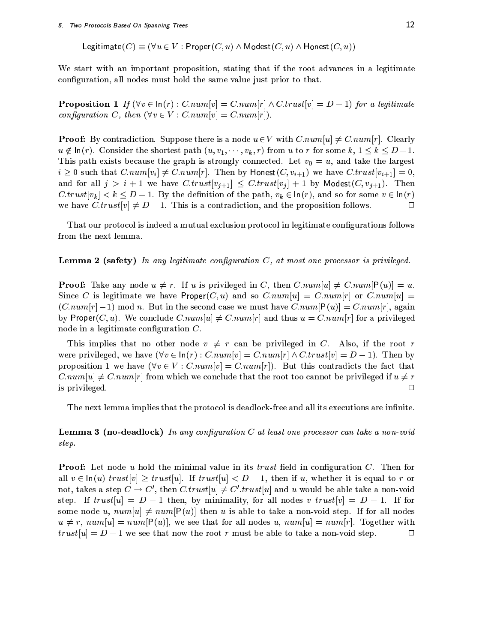Legitimate  $(C) \equiv (\forall u \in V : Proper(C, u) \wedge Model(C, u) \wedge Honest(C, u))$ 

We start with an important proposition, stating that if the root advances in a legitimate configuration, all nodes must hold the same value just prior to that.

**Proposition 1** If  $(\forall v \in \ln(r) : C.num[v] = C.num[r] \wedge C. trust[v] = D - 1)$  for a legitimate configuration C, then  $(\forall v \in V : C.num[v] = C.num[r])$ .

**Proof:** By contradiction. Suppose there is a node  $u \in V$  with  $Cnum[u] \neq Cnum[r]$ . Clearly  $u \notin \ln(r)$ . Consider the shortest path  $(u, v_1, \dots, v_k, r)$  from u to r for some k,  $1 \leq k \leq D-1$ . This path exists because the graph is strongly connected. Let  $v_0 = u$ , and take the largest  $i \geq 0$  such that  $C.num[v_i] \neq C.num[r]$ . Then by Honest $(C, v_{i+1})$  we have  $C. trust[v_{i+1}] = 0$ , and for all  $j > i + 1$  we have  $C. trust[v_{j+1}] \leq C. trust[v_j] + 1$  by Modest $(C, v_{j+1})$ . Then  $C.\text{trust}[v_k] < k \leq D-1$ . By the definition of the path,  $v_k \in \text{In}(r)$ , and so for some  $v \in \text{In}(r)$ we have  $C.\text{trust}[v] \neq D-1$ . This is a contradiction, and the proposition follows.  $\Box$ 

That our protocol is indeed a mutual exclusion protocol in legitimate configurations follows from the next lemma.

#### **Lemma 2 (safety)** In any legitimate configuration  $C$ , at most one processor is privileged.

**Proof:** Take any node  $u \neq r$ . If u is privileged in C, then  $C.num[u] \neq C.num[P(u)] = u$ . Since C is legitimate we have  $Proper(C, u)$  and so  $C.num[u] = C.num[r]$  or  $C.num[u] =$  $(C.num[r]-1) \mod n$ . But in the second case we must have  $C.num[P(u)] = C.num[r]$ , again by Proper(C, u). We conclude C.num[u]  $\neq$  C.num[r] and thus  $u = C.num[r]$  for a privileged node in a legitimate configuration  $C$ .

This implies that no other node  $v \neq r$  can be privileged in C. Also, if the root r were privileged, we have  $(\forall v \in \ln(r) : C.num[v] = C.num[r] \wedge C. trust[v] = D-1)$ . Then by proposition 1 we have  $(\forall v \in V : Cnum[v] = Cnum[r])$ . But this contradicts the fact that  $C.num[u] \neq C.num[r]$  from which we conclude that the root too cannot be privileged if  $u \neq r$ is privileged.  $\Box$ 

The next lemma implies that the protocol is deadlock-free and all its executions are infinite.

**Lemma 3 (no-deadlock)** In any configuration  $C$  at least one processor can take a non-void step.

**Proof:** Let node u hold the minimal value in its trust field in configuration C. Then for all  $v \in \ln(u)$  trust[v]  $\geq$  trust[u]. If trust[u]  $\lt D-1$ , then if u, whether it is equal to r or not, takes a step  $C \to C'$ , then  $C. trust[u] \neq C'.trust[u]$  and u would be able take a non-void step. If  $trust[u] = D - 1$  then, by minimality, for all nodes v trust[v] = D - 1. If for some node u,  $num[u] \neq num[P(u)]$  then u is able to take a non-void step. If for all nodes  $u \neq r$ ,  $num[u] = num[P(u)]$ , we see that for all nodes u,  $num[u] = num[r]$ . Together with  $trust[u] = D - 1$  we see that now the root r must be able to take a non-void step. □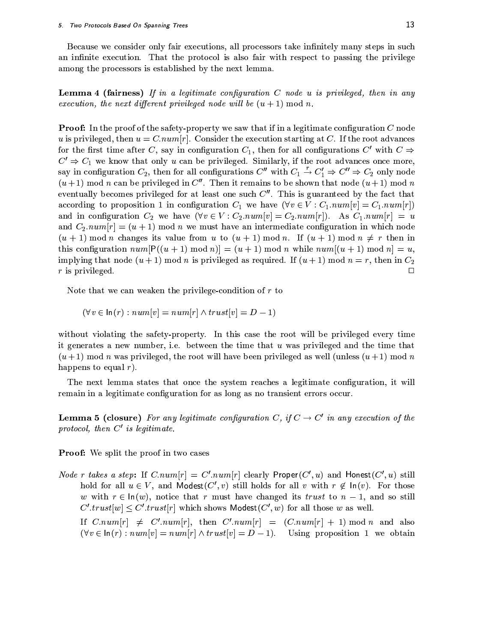Because we consider only fair executions, all processors take infinitely many steps in such an infinite execution. That the protocol is also fair with respect to passing the privilege among the processors is established by the next lemma.

**Lemma 4 (fairness)** If in a legitimate configuration  $C$  node  $u$  is privileged, then in any execution, the next different privileged node will be  $(u + 1) \text{ mod } n$ .

**Proof:** In the proof of the safety-property we saw that if in a legitimate configuration C node u is privileged, then  $u = C.num[r]$ . Consider the execution starting at C. If the root advances for the first time after C, say in configuration  $C_1$ , then for all configurations C' with  $C \Rightarrow$  $C' \Rightarrow C_1$  we know that only u can be privileged. Similarly, if the root advances once more, say in configuration  $C_2$ , then for all configurations  $C''$  with  $C_1 \stackrel{r}{\rightarrow} C'_1 \Rightarrow C'' \Rightarrow C_2$  only node  $(u+1)$  mod *n* can be privileged in C''. Then it remains to be shown that node  $(u+1)$  mod *n* eventually becomes privileged for at least one such  $C''$ . This is guaranteed by the fact that according to proposition 1 in configuration  $C_1$  we have  $(\forall v \in V : C_1.name[v] = C_1.name[r])$ and in configuration  $C_2$  we have  $(\forall v \in V : C_2 \, num[v] = C_2 \, num[r])$ . As  $C_1 \, num[r] = u$ and  $C_2 \, num[r] = (u + 1) \mod n$  we must have an intermediate configuration in which node  $(u + 1)$  mod n changes its value from u to  $(u + 1)$  mod n. If  $(u + 1)$  mod  $n \neq r$  then in this configuration  $num[P((u + 1) mod n)] = (u + 1) mod n$  while  $num[(u + 1) mod n] = u$ , implying that node  $(u + 1)$  mod n is privileged as required. If  $(u + 1)$  mod  $n = r$ , then in  $C_2$  $r$  is privileged.  $\Box$ 

Note that we can weaken the privilege-condition of  $r$  to

$$
(\forall v \in \ln(r) : num[v] = num[r] \land trust[v] = D - 1)
$$

without violating the safety-property. In this case the root will be privileged every time it generates a new number, i.e. between the time that u was privileged and the time that  $(u+1)$  mod n was privileged, the root will have been privileged as well (unless  $(u+1)$  mod n happens to equal  $r$ ).

The next lemma states that once the system reaches a legitimate configuration, it will remain in a legitimate configuration for as long as no transient errors occur.

**Lemma 5 (closure)** For any legitimate configuration C, if  $C \rightarrow C'$  in any execution of the protocol, then  $C'$  is legitimate.

**Proof:** We split the proof in two cases

*Node r takes a step*: If  $C.num[r] = C' . num[r]$  clearly Proper $(C', u)$  and Honest $(C', u)$  still hold for all  $u \in V$ , and Modest(C', v) still holds for all v with  $r \notin \text{In}(v)$ . For those w with  $r \in \ln(w)$ , notice that r must have changed its trust to  $n-1$ , and so still  $C'.trust[w] \leq C'.trust[r]$  which shows Modest( $C', w$ ) for all those w as well. If  $C.num[r] \neq C'.num[r]$ , then  $C'.num[r] = (C.num[r] + 1) \mod n$  and also

 $(\forall v \in \text{In}(r): num[v] = num[r] \wedge trust[v] = D - 1)$ . Using proposition 1 we obtain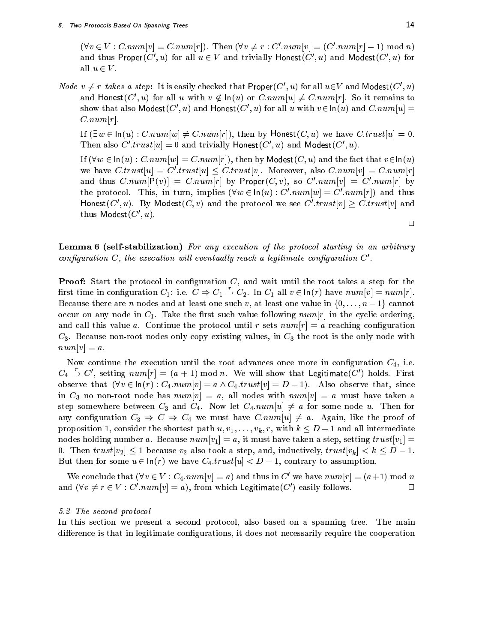$(\forall v \in V : Cnum[v] = Cnum[r])$ . Then  $(\forall v \neq r : C'.num[v] = (C'.num[r] - 1) \mod n)$ and thus Proper(C', u) for all  $u \in V$  and trivially Honest(C', u) and Modest(C', u) for all  $u \in V$ .

*Node*  $v \neq r$  takes a step: It is easily checked that  $Proper(C', u)$  for all  $u \in V$  and Modest $(C', u)$ and Honest(C', u) for all u with  $v \notin \ln(u)$  or  $C.num[u] \neq C.num[r]$ . So it remains to show that also Modest $(C', u)$  and Honest $(C', u)$  for all u with  $v \in \ln(u)$  and  $C.num[u] =$  $C.num[r].$ 

If  $(\exists w \in \ln(u): C.num[w] \neq C.num[r]),$  then by Honest $(C, u)$  we have  $C. trust[u] = 0.$ Then also  $C'.trust[u] = 0$  and trivially Honest( $C', u$ ) and Modest( $C', u$ ).

If  $(\forall w \in \ln(u) : C.num[w] = C.num[r]),$  then by Modest $(C, u)$  and the fact that  $v \in \ln(u)$ we have  $C.\text{trust}[u] = C'.\text{trust}[u] \leq C.\text{trust}[v]$ . Moreover, also  $C.\text{num}[v] = C.\text{num}[r]$ and thus  $C.num[P(v)] = C.num[r]$  by Proper(C, v), so  $C'.num[v] = C'.num[r]$  by the protocol. This, in turn, implies  $(\forall w \in \ln(u) : C'.num[w] = C'.num[r])$  and thus Honest(C', u). By Modest(C, v) and the protocol we see C'.trust[v]  $\geq$  C.trust[v] and thus Modest $(C', u)$ .

**Lemma 6 (self-stabilization)** For any execution of the protocol starting in an arbitrary configuration C, the execution will eventually reach a legitimate configuration  $C'$ .

**Proof:** Start the protocol in configuration  $C$ , and wait until the root takes a step for the first time in configuration  $C_1$ : i.e.  $C \Rightarrow C_1 \stackrel{r}{\rightarrow} C_2$ . In  $C_1$  all  $v \in \ln(r)$  have  $num[v] = num[r]$ . Because there are *n* nodes and at least one such *v*, at least one value in  $\{0, \ldots, n-1\}$  cannot occur on any node in  $C_1$ . Take the first such value following  $num[r]$  in the cyclic ordering, and call this value a. Continue the protocol until r sets  $num[r] = a$  reaching configuration  $C_3$ . Because non-root nodes only copy existing values, in  $C_3$  the root is the only node with  $num[v] = a.$ 

Now continue the execution until the root advances once more in configuration  $C_4$ , i.e.  $C_4 \stackrel{r}{\rightarrow} C'$ , setting  $num[r] = (a + 1) \text{ mod } n$ . We will show that Legitimate(C') holds. First observe that  $(\forall v \in \ln(r) : C_4 \cdot num[v] = a \wedge C_4 \cdot trust[v] = D - 1)$ . Also observe that, since in  $C_3$  no non-root node has  $num[v] = a$ , all nodes with  $num[v] = a$  must have taken a step somewhere between  $C_3$  and  $C_4$ . Now let  $C_4 \, num[u] \neq a$  for some node u. Then for any configuration  $C_3 \Rightarrow C \Rightarrow C_4$  we must have  $C.num[u] \neq a$ . Again, like the proof of proposition 1, consider the shortest path  $u, v_1, \ldots, v_k, r$ , with  $k \leq D-1$  and all intermediate nodes holding number a. Because  $num[v_1] = a$ , it must have taken a step, setting  $trust[v_1] = a$ 0. Then  $trust[v_2] \leq 1$  because  $v_2$  also took a step, and, inductively,  $trust[v_k] < k \leq D - 1$ . But then for some  $u \in \ln(r)$  we have  $C_4. trust[u] < D-1$ , contrary to assumption.

We conclude that  $(\forall v \in V : C_4 \cdot num[v] = a)$  and thus in C' we have  $num[r] = (a+1) \mod n$ and  $(\forall v \neq r \in V : C'.num[v] = a)$ , from which Legitimate(C') easily follows.  $\Box$ 

#### 5.2 The second protocol

In this section we present a second protocol, also based on a spanning tree. The main difference is that in legitimate configurations, it does not necessarily require the cooperation

 $\Box$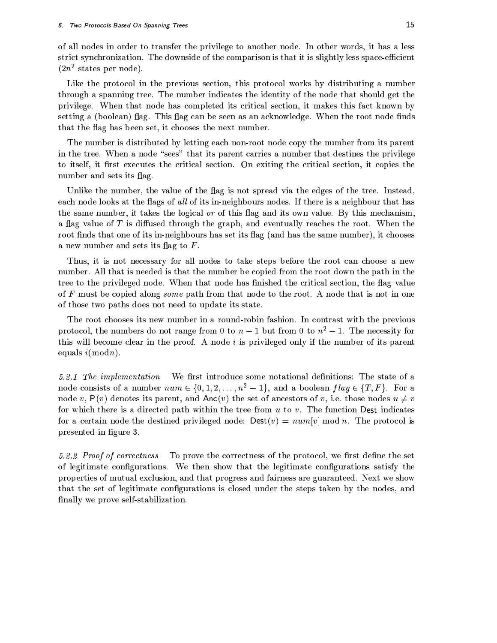of all nodes in order to transfer the privilege to another node. In other words, it has a less strict synchronization. The downside of the comparison is that it is slightly less space-efficient  $(2n^2$  states per node).

Like the protocol in the previous section, this protocol works by distributing a number through a spanning tree. The number indicates the identity of the node that should get the privilege. When that node has completed its critical section, it makes this fact known by setting a (boolean) flag. This flag can be seen as an acknowledge. When the root node finds that the flag has been set, it chooses the next number.

The number is distributed by letting each non-root node copy the number from its parent in the tree. When a node "sees" that its parent carries a number that destines the privilege to itself, it first executes the critical section. On exiting the critical section, it copies the number and sets its flag.

Unlike the number, the value of the flag is not spread via the edges of the tree. Instead, each node looks at the flags of all of its in-neighbours nodes. If there is a neighbour that has the same number, it takes the logical or of this flag and its own value. By this mechanism, a flag value of  $T$  is diffused through the graph, and eventually reaches the root. When the root finds that one of its in-neighbours has set its flag (and has the same number), it chooses a new number and sets its flag to  $F$ .

Thus, it is not necessary for all nodes to take steps before the root can choose a new number. All that is needed is that the number be copied from the root down the path in the tree to the privileged node. When that node has finished the critical section, the flag value of F must be copied along some path from that node to the root. A node that is not in one of those two paths does not need to update its state.

The root chooses its new number in a round-robin fashion. In contrast with the previous protocol, the numbers do not range from 0 to  $n-1$  but from 0 to  $n^2-1$ . The necessity for this will become clear in the proof. A node i is privileged only if the number of its parent equals  $i \pmod{n}$ .

5.2.1 The implementation We first introduce some notational definitions: The state of a node consists of a number  $num \in \{0, 1, 2, ..., n^2 - 1\}$ , and a boolean  $flag \in \{T, F\}$ . For a node v,  $P(v)$  denotes its parent, and Anc(v) the set of ancestors of v, i.e. those nodes  $u \neq v$ for which there is a directed path within the tree from  $u$  to  $v$ . The function Dest indicates for a certain node the destined privileged node:  $\text{Dest}(v) = num[v] \text{ mod } n$ . The protocol is presented in figure 3.

5.2.2 Proof of correctness To prove the correctness of the protocol, we first define the set of legitimate configurations. We then show that the legitimate configurations satisfy the properties of mutual exclusion, and that progress and fairness are guaranteed. Next we show that the set of legitimate configurations is closed under the steps taken by the nodes, and finally we prove self-stabilization.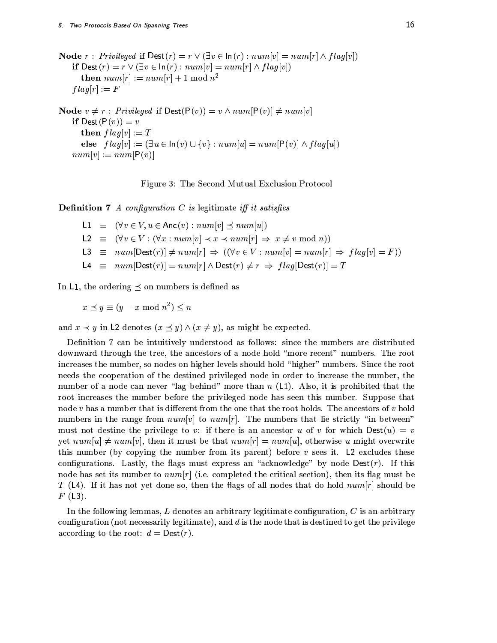**Node**  $r: Privileged$  if  $\text{Dest}(r) = r \vee (\exists v \in \ln(r): num[v] = num[r] \wedge flag[v])$ if  $\text{Dest}(r) = r \vee (\exists v \in \ln(r) : num[v] = num[r] \wedge flag[v])$ then  $num[r] := num[r] + 1 \mod n^2$  $flag[r] := F$ 

**Node**  $v \neq r$ : *Privileged* if  $\text{Dest}(P(v)) = v \land num[P(v)] \neq num[v]$ if  $\text{Dest}(P(v)) = v$ then  $flag[v] := T$ else  $flag[v] := (\exists u \in \ln(v) \cup \{v\} : num[u] = num[P(v)] \wedge flag[u])$  $num[v] := num[P(v)]$ 



**Definition 7** A configuration C is legitimate iff it satisfies

L1  $\equiv (\forall v \in V, u \in \text{Anc}(v) : num[v] \prec num[u])$ L2  $\equiv (\forall v \in V : (\forall x : num[v] \prec x \prec num[r] \Rightarrow x \neq v \mod n))$  $L3 \equiv num[Dest(r)] \neq num[r] \Rightarrow ((\forall v \in V : num[v] = num[r] \Rightarrow flag[v] = F))$ L4  $\equiv$   $num[Dest(r)] = num[r] \wedge Dest(r) \neq r \Rightarrow flag[Dest(r)] = T$ 

In L1, the ordering  $\prec$  on numbers is defined as

 $x \preceq y \equiv (y - x \bmod n^2) \leq n$ 

and  $x \prec y$  in L2 denotes  $(x \preceq y) \wedge (x \neq y)$ , as might be expected.

Definition 7 can be intuitively understood as follows: since the numbers are distributed downward through the tree, the ancestors of a node hold "more recent" numbers. The root increases the number, so nodes on higher levels should hold "higher" numbers. Since the root needs the cooperation of the destined privileged node in order to increase the number, the number of a node can never "lag behind" more than  $n$  (L1). Also, it is prohibited that the root increases the number before the privileged node has seen this number. Suppose that node  $v$  has a number that is different from the one that the root holds. The ancestors of  $v$  hold numbers in the range from  $num[v]$  to  $num[r]$ . The numbers that lie strictly "in between" must not destine the privilege to v: if there is an ancestor u of v for which  $\text{Dest}(u) = v$ yet  $num[u] \neq num[v]$ , then it must be that  $num[r] = num[u]$ , otherwise u might overwrite this number (by copying the number from its parent) before  $v$  sees it. L2 excludes these configurations. Lastly, the flags must express an "acknowledge" by node  $Dest(r)$ . If this node has set its number to  $num[r]$  (i.e. completed the critical section), then its flag must be T (L4). If it has not yet done so, then the flags of all nodes that do hold  $num[r]$  should be  $F(L3)$ .

In the following lemmas, L denotes an arbitrary legitimate configuration,  $C$  is an arbitrary configuration (not necessarily legitimate), and  $d$  is the node that is destined to get the privilege according to the root:  $d = \text{Dest}(r)$ .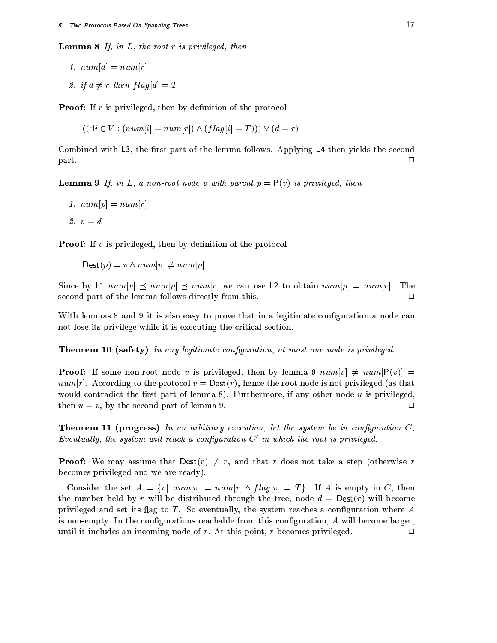**Lemma 8** If, in L, the root  $r$  is privileged, then

1. 
$$
num[d] = num[r]
$$
  
2. if  $d \neq r$  then flag[d] =

**Proof:** If  $r$  is privileged, then by definition of the protocol

 $\boldsymbol{T}$ 

 $((\exists i \in V : (num[i] = num[r]) \wedge (flag[i] = T))) \vee (d = r)$ 

Combined with L3, the first part of the lemma follows. Applying L4 then yields the second part.  $\Box$ 

**Lemma 9** If, in L, a non-root node v with parent  $p = P(v)$  is privileged, then

1.  $num[p] = num[r]$ 

2.  $v = d$ 

**Proof:** If  $v$  is privileged, then by definition of the protocol

 $\text{Dest}(p) = v \land num[v] \neq num[p]$ 

Since by L1  $num[v] \leq num[p] \leq num[r]$  we can use L2 to obtain  $num[p] = num[r]$ . The second part of the lemma follows directly from this.  $\Box$ 

With lemmas 8 and 9 it is also easy to prove that in a legitimate configuration a node can not lose its privilege while it is executing the critical section.

**Theorem 10 (safety)** In any legitimate configuration, at most one node is privileged.

**Proof:** If some non-root node v is privileged, then by lemma 9  $num[v] \neq num[P(v)] =$  $num[r]$ . According to the protocol  $v = \text{Dest}(r)$ , hence the root node is not privileged (as that would contradict the first part of lemma 8). Furthermore, if any other node  $u$  is privileged, then  $u = v$ , by the second part of lemma 9.  $\Box$ 

**Theorem 11 (progress)** In an arbitrary execution, let the system be in configuration  $C$ . Eventually, the system will reach a configuration  $C'$  in which the root is privileged.

**Proof:** We may assume that  $\text{Dest}(r) \neq r$ , and that r does not take a step (otherwise r becomes privileged and we are ready).

Consider the set  $A = \{v \mid num[v] = num[r] \wedge flag[v] = T\}$ . If A is empty in C, then the number held by r will be distributed through the tree, node  $d = \text{Dest}(r)$  will become privileged and set its flag to  $T$ . So eventually, the system reaches a configuration where  $A$ is non-empty. In the configurations reachable from this configuration,  $A$  will become larger, until it includes an incoming node of  $r$ . At this point,  $r$  becomes privileged.  $\Box$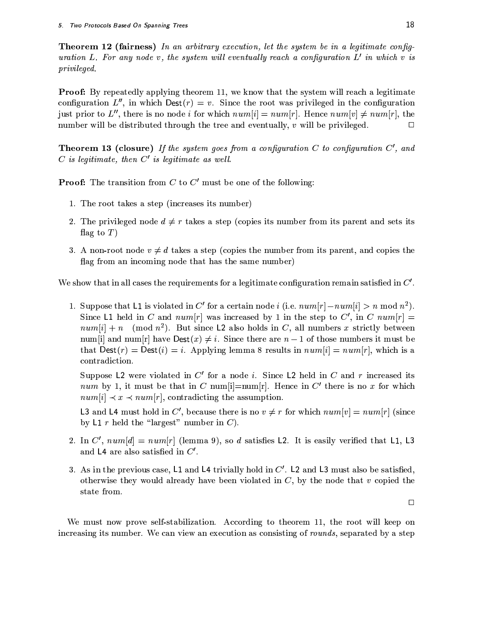**Theorem 12 (fairness)** In an arbitrary execution, let the system be in a legitimate configuration L. For any node v, the system will eventually reach a configuration  $L'$  in which v is *privileged.* 

**Proof:** By repeatedly applying theorem 11, we know that the system will reach a legitimate configuration  $L''$ , in which  $\text{Dest}(r) = v$ . Since the root was privileged in the configuration just prior to L'', there is no node i for which  $num[i] = num[r]$ . Hence  $num[v] \neq num[r]$ , the number will be distributed through the tree and eventually,  $v$  will be privileged.  $\Box$ 

**Theorem 13 (closure)** If the system goes from a configuration C to configuration  $C'$ , and  $C$  is legitimate, then  $C'$  is legitimate as well.

**Proof:** The transition from  $C$  to  $C'$  must be one of the following:

- 1. The root takes a step (increases its number)
- 2. The privileged node  $d \neq r$  takes a step (copies its number from its parent and sets its flag to  $T$ )
- 3. A non-root node  $v \neq d$  takes a step (copies the number from its parent, and copies the flag from an incoming node that has the same number)

We show that in all cases the requirements for a legitimate configuration remain satisfied in  $C'$ .

1. Suppose that L1 is violated in C' for a certain node i (i.e.  $num[r]-num[i] > n \mod n^2$ ). Since L1 held in C and  $num[r]$  was increased by 1 in the step to C', in C  $num[r]$  =  $num[i] + n \pmod{n^2}$ . But since L2 also holds in C, all numbers x strictly between num[i] and num[r] have  $\text{Dest}(x) \neq i$ . Since there are  $n-1$  of those numbers it must be that  $\text{Dest}(r) = \text{Dest}(i) = i$ . Applying lemma 8 results in  $num[i] = num[r]$ , which is a contradiction.

Suppose L2 were violated in  $C'$  for a node *i*. Since L2 held in  $C$  and  $r$  increased its num by 1, it must be that in C num |i|=num |r|. Hence in C' there is no x for which  $num[i] \prec x \prec num[r]$ , contradicting the assumption.

L3 and L4 must hold in C', because there is no  $v \neq r$  for which  $num[v] = num[r]$  (since by L1  $r$  held the "largest" number in  $C$ ).

- 2. In C',  $num[d] = num[r]$  (lemma 9), so d satisfies L2. It is easily verified that L1, L3 and  $L4$  are also satisfied in  $C'$ .
- 3. As in the previous case, L1 and L4 trivially hold in  $C'$ . L2 and L3 must also be satisfied, otherwise they would already have been violated in  $C$ , by the node that  $v$  copied the state from.

 $\Box$ 

We must now prove self-stabilization. According to theorem 11, the root will keep on increasing its number. We can view an execution as consisting of rounds, separated by a step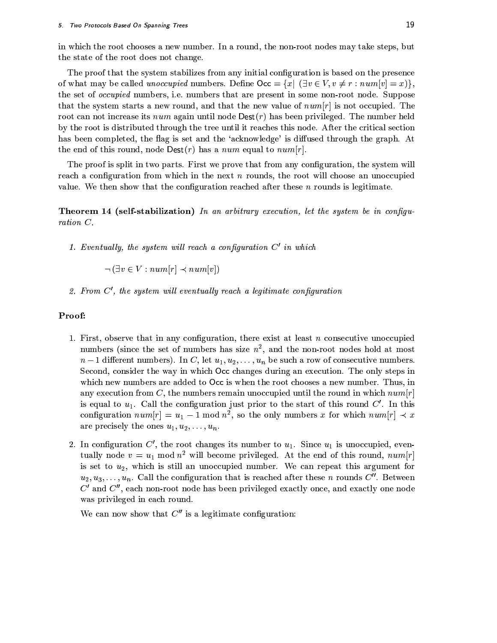in which the root chooses a new number. In a round, the non-root nodes may take steps, but the state of the root does not change.

The proof that the system stabilizes from any initial configuration is based on the presence of what may be called *unoccupied* numbers. Define  $\text{Occ} = \{x \mid (\exists v \in V, v \neq r : num[v] = x)\}\,$ the set of *occupied* numbers, i.e. numbers that are present in some non-root node. Suppose that the system starts a new round, and that the new value of  $num[r]$  is not occupied. The root can not increase its num again until node  $\text{Dest}(r)$  has been privileged. The number held by the root is distributed through the tree until it reaches this node. After the critical section has been completed, the flag is set and the 'acknowledge' is diffused through the graph. At the end of this round, node  $\text{Dest}(r)$  has a num equal to num[r].

The proof is split in two parts. First we prove that from any configuration, the system will reach a configuration from which in the next  $n$  rounds, the root will choose an unoccupied value. We then show that the configuration reached after these n rounds is legitimate.

**Theorem 14 (self-stabilization)** In an arbitrary execution, let the system be in configu $ration C.$ 

1. Eventually, the system will reach a configuration  $C'$  in which

 $\neg (\exists v \in V : num[r] \prec num[v])$ 

2. From  $C'$ , the system will eventually reach a legitimate configuration

#### Proof:

- 1. First, observe that in any configuration, there exist at least  $n$  consecutive unoccupied numbers (since the set of numbers has size  $n^2$ , and the non-root nodes hold at most  $n-1$  different numbers). In C, let  $u_1, u_2, \ldots, u_n$  be such a row of consecutive numbers. Second, consider the way in which Occ changes during an execution. The only steps in which new numbers are added to Occ is when the root chooses a new number. Thus, in any execution from C, the numbers remain unoccupied until the round in which  $num[r]$ is equal to  $u_1$ . Call the configuration just prior to the start of this round  $C'$ . In this configuration  $num[r] = u_1 - 1 \mod n^2$ , so the only numbers x for which  $num[r] \prec x$ are precisely the ones  $u_1, u_2, \ldots, u_n$ .
- 2. In configuration  $C'$ , the root changes its number to  $u_1$ . Since  $u_1$  is unoccupied, eventually node  $v = u_1 \bmod n^2$  will become privileged. At the end of this round,  $num[r]$ is set to  $u_2$ , which is still an unoccupied number. We can repeat this argument for  $u_2, u_3, \ldots, u_n$ . Call the configuration that is reached after these *n* rounds  $C''$ . Between  $C'$  and  $C''$ , each non-root node has been privileged exactly once, and exactly one node was privileged in each round.

We can now show that  $C''$  is a legitimate configuration: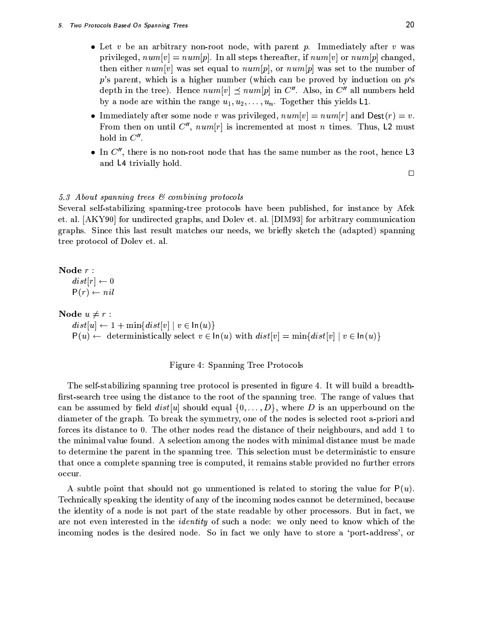- Let v be an arbitrary non-root node, with parent v. Immediately after v was privileged,  $num[v] = num[p]$ . In all steps thereafter, if  $num[v]$  or  $num[p]$  changed, then either  $num[v]$  was set equal to  $num[p]$ , or  $num[p]$  was set to the number of  $p$ 's parent, which is a higher number (which can be proved by induction on  $p$ 's depth in the tree). Hence  $num[v] \preceq num[p]$  in  $C''$ . Also, in  $C''$  all numbers held by a node are within the range  $u_1, u_2, \ldots, u_n$ . Together this yields L1.
- Immediately after some node v was privileged,  $num[v] = num[r]$  and  $Dest(r) = v$ . From then on until  $C''$ ,  $num[r]$  is incremented at most *n* times. Thus, L2 must hold in  $C''$ .
- In  $C''$ , there is no non-root node that has the same number as the root, hence L3 and L4 trivially hold.

 $\Box$ 

#### 5.3 About spanning trees & combining protocols

Several self-stabilizing spanning-tree protocols have been published, for instance by Afek et. al. [AKY90] for undirected graphs, and Dolev et. al. [DIM93] for arbitrary communication graphs. Since this last result matches our needs, we briefly sketch the (adapted) spanning tree protocol of Dolev et. al.

Node  $r$  :

 $dist[r] \leftarrow 0$  $P(r) \leftarrow nil$ 

Node  $u \neq r$ :

 $dist[u] \leftarrow 1 + \min\{dist[v] \mid v \in \ln(u)\}\$  $P(u) \leftarrow$  deterministically select  $v \in \ln(u)$  with  $dist[v] = \min\{dist[v] | v \in \ln(u)\}\$ 

#### Figure 4: Spanning Tree Protocols

The self-stabilizing spanning tree protocol is presented in figure 4. It will build a breadthfirst-search tree using the distance to the root of the spanning tree. The range of values that can be assumed by field  $dist[u]$  should equal  $\{0,\ldots,D\}$ , where D is an upperbound on the diameter of the graph. To break the symmetry, one of the nodes is selected root a-priori and forces its distance to 0. The other nodes read the distance of their neighbours, and add 1 to the minimal value found. A selection among the nodes with minimal distance must be made to determine the parent in the spanning tree. This selection must be deterministic to ensure that once a complete spanning tree is computed, it remains stable provided no further errors occur.

A subtle point that should not go unmentioned is related to storing the value for  $P(u)$ . Technically speaking the identity of any of the incoming nodes cannot be determined, because the identity of a node is not part of the state readable by other processors. But in fact, we are not even interested in the *identity* of such a node: we only need to know which of the incoming nodes is the desired node. So in fact we only have to store a 'port-address', or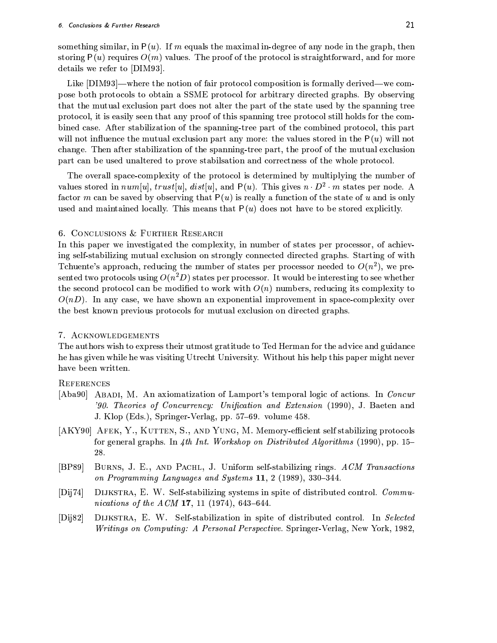something similar, in  $P(u)$ . If m equals the maximal in-degree of any node in the graph, then storing  $P(u)$  requires  $O(m)$  values. The proof of the protocol is straightforward, and for more details we refer to [DIM93].

Like [DIM93]—where the notion of fair protocol composition is formally derived—we compose both protocols to obtain a SSME protocol for arbitrary directed graphs. By observing that the mutual exclusion part does not alter the part of the state used by the spanning tree protocol, it is easily seen that any proof of this spanning tree protocol still holds for the combined case. After stabilization of the spanning-tree part of the combined protocol, this part will not influence the mutual exclusion part any more: the values stored in the  $P(u)$  will not change. Then after stabilization of the spanning-tree part, the proof of the mutual exclusion part can be used unaltered to prove stabilisation and correctness of the whole protocol.

The overall space-complexity of the protocol is determined by multiplying the number of values stored in  $num[u]$ ,  $trust[u]$ ,  $dist[u]$ , and  $P(u)$ . This gives  $n \cdot D^2 \cdot m$  states per node. A factor m can be saved by observing that  $P(u)$  is really a function of the state of u and is only used and maintained locally. This means that  $P(u)$  does not have to be stored explicitly.

## 6. CONCLUSIONS & FURTHER RESEARCH

In this paper we investigated the complexity, in number of states per processor, of achieving self-stabilizing mutual exclusion on strongly connected directed graphs. Starting of with Tchuente's approach, reducing the number of states per processor needed to  $O(n^2)$ , we presented two protocols using  $O(n^2D)$  states per processor. It would be interesting to see whether the second protocol can be modified to work with  $O(n)$  numbers, reducing its complexity to  $O(nD)$ . In any case, we have shown an exponential improvement in space-complexity over the best known previous protocols for mutual exclusion on directed graphs.

## 7. ACKNOWLEDGEMENTS

The authors wish to express their utmost gratitude to Ted Herman for the advice and guidance he has given while he was visiting Utrecht University. Without his help this paper might never have been written.

# **REFERENCES**

- [Aba90] ABADI, M. An axiomatization of Lamport's temporal logic of actions. In Concur '90. Theories of Concurrency: Unification and Extension (1990), J. Baeten and J. Klop (Eds.), Springer-Verlag, pp. 57–69. volume 458.
- [AKY90] AFEK, Y., KUTTEN, S., AND YUNG, M. Memory-efficient self stabilizing protocols for general graphs. In 4th Int. Workshop on Distributed Algorithms (1990), pp. 15– 28.
- BURNS, J. E., AND PACHL, J. Uniform self-stabilizing rings. ACM Transactions  $[BP89]$ on Programming Languages and Systems 11, 2 (1989), 330-344.
- DIJKSTRA, E. W. Self-stabilizing systems in spite of distributed control. Commu- $[Dii74]$ nications of the  $ACM$  17, 11 (1974), 643-644.
- $[D<sub>ij</sub>82]$ DIJKSTRA, E. W. Self-stabilization in spite of distributed control. In Selected Writings on Computing: A Personal Perspective. Springer-Verlag, New York, 1982,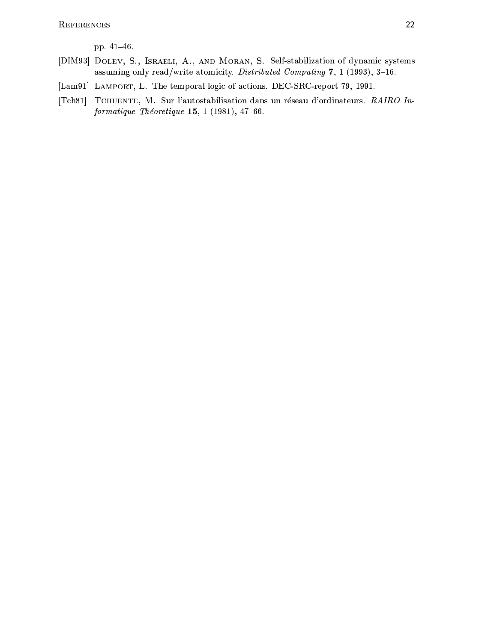pp. 41-46.

- [DIM93] DOLEV, S., ISRAELI, A., AND MORAN, S. Self-stabilization of dynamic systems assuming only read/write atomicity. Distributed Computing 7, 1 (1993), 3-16.
- [Lam91] LAMPORT, L. The temporal logic of actions. DEC-SRC-report 79, 1991.
- [Tch81] TCHUENTE, M. Sur l'autostabilisation dans un réseau d'ordinateurs. RAIRO In $for matique$  Théoretique 15, 1 (1981), 47-66.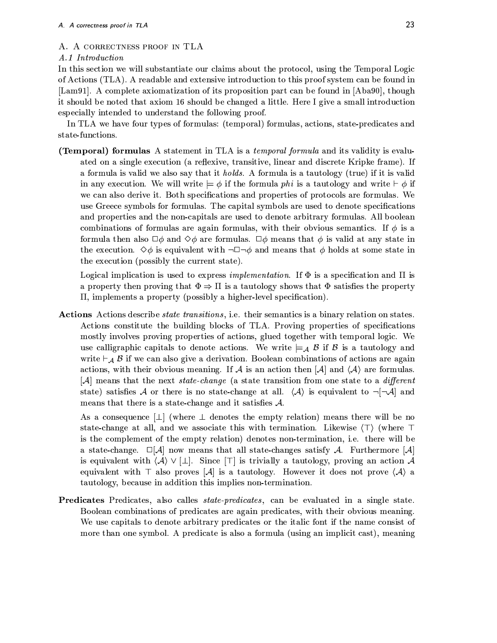#### A. A CORRECTNESS PROOF IN TLA

#### A.1 Introduction

In this section we will substantiate our claims about the protocol, using the Temporal Logic of Actions (TLA). A readable and extensive introduction to this proof system can be found in [Lam91]. A complete axiomatization of its proposition part can be found in [Aba90], though it should be noted that axiom 16 should be changed a little. Here I give a small introduction especially intended to understand the following proof.

In TLA we have four types of formulas: (temporal) formulas, actions, state-predicates and state-functions.

(Temporal) formulas A statement in TLA is a *temporal formula* and its validity is evaluated on a single execution (a reflexive, transitive, linear and discrete Kripke frame). If a formula is valid we also say that it *holds*. A formula is a tautology (true) if it is valid in any execution. We will write  $\models \phi$  if the formula phi is a tautology and write  $\models \phi$  if we can also derive it. Both specifications and properties of protocols are formulas. We use Greece symbols for formulas. The capital symbols are used to denote specifications and properties and the non-capitals are used to denote arbitrary formulas. All boolean combinations of formulas are again formulas, with their obvious semantics. If  $\phi$  is a formula then also  $\Box \phi$  and  $\Diamond \phi$  are formulas.  $\Box \phi$  means that  $\phi$  is valid at any state in the execution.  $\Diamond \phi$  is equivalent with  $\neg \Box \neg \phi$  and means that  $\phi$  holds at some state in the execution (possibly the current state).

Logical implication is used to express *implementation*. If  $\Phi$  is a specification and  $\Pi$  is a property then proving that  $\Phi \Rightarrow \Pi$  is a tautology shows that  $\Phi$  satisfies the property  $\Pi$ , implements a property (possibly a higher-level specification).

**Actions** Actions describe *state transitions*, i.e. their semantics is a binary relation on states. Actions constitute the building blocks of TLA. Proving properties of specifications mostly involves proving properties of actions, glued together with temporal logic. We use calligraphic capitals to denote actions. We write  $\models_{\mathcal{A}} \mathcal{B}$  if  $\mathcal{B}$  is a tautology and write  $\vdash_{\mathcal{A}} \mathcal{B}$  if we can also give a derivation. Boolean combinations of actions are again actions, with their obvious meaning. If A is an action then  $[A]$  and  $\langle A \rangle$  are formulas.  $[A]$  means that the next *state-change* (a state transition from one state to a *different* state) satisfies A or there is no state-change at all.  $\langle A \rangle$  is equivalent to  $\neg \neg A$  and means that there is a state-change and it satisfies  $A$ .

As a consequence  $\lfloor \perp \rfloor$  (where  $\perp$  denotes the empty relation) means there will be no state-change at all, and we associate this with termination. Likewise  $\langle \top \rangle$  (where  $\top$ is the complement of the empty relation) denotes non-termination, i.e. there will be a state-change.  $\square[A]$  now means that all state-changes satisfy A. Furthermore  $[A]$ is equivalent with  $\langle A \rangle \vee [1]$ . Since  $\lceil \top \rceil$  is trivially a tautology, proving an action A equivalent with  $\top$  also proves  $|\mathcal{A}|$  is a tautology. However it does not prove  $\langle \mathcal{A} \rangle$  a tautology, because in addition this implies non-termination.

**Predicates** Predicates, also calles *state-predicates*, can be evaluated in a single state. Boolean combinations of predicates are again predicates, with their obvious meaning. We use capitals to denote arbitrary predicates or the italic font if the name consist of more than one symbol. A predicate is also a formula (using an implicit cast), meaning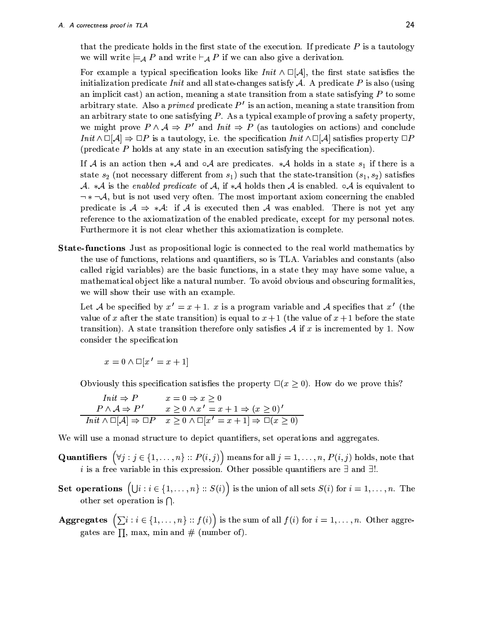that the predicate holds in the first state of the execution. If predicate  $P$  is a tautology we will write  $\models_A P$  and write  $\models_A P$  if we can also give a derivation.

For example a typical specification looks like  $Init \wedge \Box[A]$ , the first state satisfies the initialization predicate *Init* and all state-changes satisfy A. A predicate P is also (using an implicit cast) an action, meaning a state transition from a state satisfying  $P$  to some arbitrary state. Also a *primed* predicate  $P'$  is an action, meaning a state transition from an arbitrary state to one satisfying  $P$ . As a typical example of proving a safety property, we might prove  $P \wedge A \Rightarrow P'$  and  $Init \Rightarrow P$  (as tautologies on actions) and conclude  $Init \wedge \Box[A] \Rightarrow \Box P$  is a tautology, i.e. the specification  $Init \wedge \Box[A]$  satisfies property  $\Box P$ (predicate  $P$  holds at any state in an execution satisfying the specification).

If A is an action then  $*{\mathcal A}$  and  $\circ{\mathcal A}$  are predicates.  $*{\mathcal A}$  holds in a state  $s_1$  if there is a state  $s_2$  (not necessary different from  $s_1$ ) such that the state-transition  $(s_1, s_2)$  satisfies A. \*A is the enabled predicate of A, if \*A holds then A is enabled.  $\circ A$  is equivalent to predicate is  $A \Rightarrow A$ : if A is executed then A was enabled. There is not yet any reference to the axiomatization of the enabled predicate, except for my personal notes. Furthermore it is not clear whether this axiomatization is complete.

**State-functions** Just as propositional logic is connected to the real world mathematics by the use of functions, relations and quantifiers, so is TLA. Variables and constants (also called rigid variables) are the basic functions, in a state they may have some value, a mathematical object like a natural number. To avoid obvious and obscuring formalities, we will show their use with an example.

Let A be specified by  $x' = x + 1$ . x is a program variable and A specifies that x' (the value of x after the state transition) is equal to  $x+1$  (the value of  $x+1$  before the state transition). A state transition therefore only satisfies  $A$  if x is incremented by 1. Now consider the specification

$$
x = 0 \land \Box[x' = x + 1]
$$

Obviously this specification satisfies the property  $\Box(x \geq 0)$ . How do we prove this?

| $Init \Rightarrow P$        | $x=0 \Rightarrow x\geq 0$                                                                                  |
|-----------------------------|------------------------------------------------------------------------------------------------------------|
| $P \wedge A \Rightarrow P'$ | $x \geq 0 \wedge x' = x + 1 \Rightarrow (x \geq 0)'$                                                       |
|                             | $Init \wedge \Box[A] \Rightarrow \Box P \quad x \geq 0 \wedge \Box[x' = x + 1] \Rightarrow \Box(x \geq 0)$ |

We will use a monad structure to depict quantifiers, set operations and aggregates.

- **Quantifiers**  $(\forall j : j \in \{1, ..., n\} :: P(i, j))$  means for all  $j = 1, ..., n$ ,  $P(i, j)$  holds, note that *i* is a free variable in this expression. Other possible quantifiers are  $\exists$  and  $\exists!$ .
- Set operations  $(\bigcup i : i \in \{1, ..., n\} :: S(i))$  is the union of all sets  $S(i)$  for  $i = 1, ..., n$ . The other set operation is  $\bigcap$ .
- **Aggregates**  $(\sum i : i \in \{1, ..., n\} :: f(i))$  is the sum of all  $f(i)$  for  $i = 1, ..., n$ . Other aggregates are  $\Pi$ , max, min and # (number of).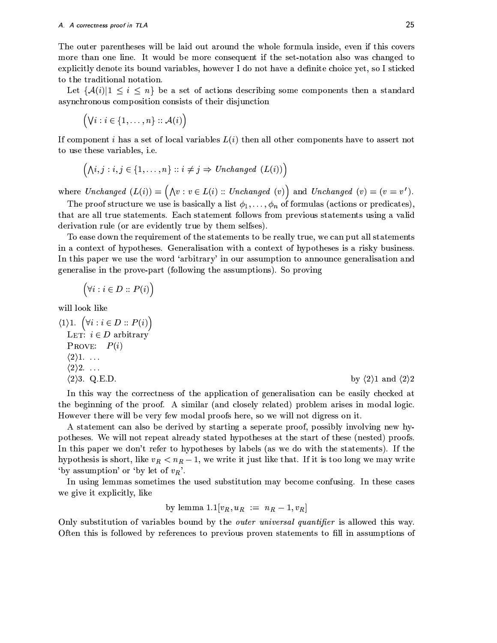The outer parentheses will be laid out around the whole formula inside, even if this covers more than one line. It would be more consequent if the set-notation also was changed to explicitly denote its bound variables, however I do not have a definite choice yet, so I sticked to the traditional notation.

Let  $\{\mathcal{A}(i)|1\leq i\leq n\}$  be a set of actions describing some components then a standard asynchronous composition consists of their disjunction

 $(\forall i: i \in \{1, \ldots, n\} :: \mathcal{A}(i))$ 

If component i has a set of local variables  $L(i)$  then all other components have to assert not to use these variables, i.e.

$$
(\land i, j : i, j \in \{1, ..., n\} :: i \neq j \Rightarrow Unchanged (L(i)))
$$

where  $Unchanged (L(i)) = (\bigwedge v : v \in L(i) :: Unchanged (v))$  and  $Unchanged (v) = (v = v').$ 

The proof structure we use is basically a list  $\phi_1, \ldots, \phi_n$  of formulas (actions or predicates). that are all true statements. Each statement follows from previous statements using a valid derivation rule (or are evidently true by them selfses).

To ease down the requirement of the statements to be really true, we can put all statements in a context of hypotheses. Generalisation with a context of hypotheses is a risky business. In this paper we use the word 'arbitrary' in our assumption to announce generalisation and generalise in the prove-part (following the assumptions). So proving

$$
(\forall i: i \in D :: P(i))
$$

will look like

$$
\begin{array}{ll}\n\langle 1 \rangle 1. & \left( \forall i : i \in D : P(i) \right) \\
\text{LET: } i \in D \text{ arbitrary} \\
\text{PROVE:} \quad P(i) \\
\langle 2 \rangle 1. & \dots \\
\langle 2 \rangle 2. & \dots \\
\langle 2 \rangle 3. \quad \text{Q.E.D.} \\
\end{array}
$$
\nby  $\langle 2 \rangle 1$  and  $\langle 2 \rangle 2$ 

In this way the correctness of the application of generalisation can be easily checked at the beginning of the proof. A similar (and closely related) problem arises in modal logic. However there will be very few modal proofs here, so we will not digress on it.

A statement can also be derived by starting a seperate proof, possibly involving new hypotheses. We will not repeat already stated hypotheses at the start of these (nested) proofs. In this paper we don't refer to hypotheses by labels (as we do with the statements). If the hypothesis is short, like  $v_R < n_R - 1$ , we write it just like that. If it is too long we may write 'by assumption' or 'by let of  $v_R$ '.

In using lemmas sometimes the used substitution may become confusing. In these cases we give it explicitly, like

by lemma 1.1
$$
[v_R, u_R := n_R - 1, v_R]
$$

Only substitution of variables bound by the outer universal quantifier is allowed this way. Often this is followed by references to previous proven statements to fill in assumptions of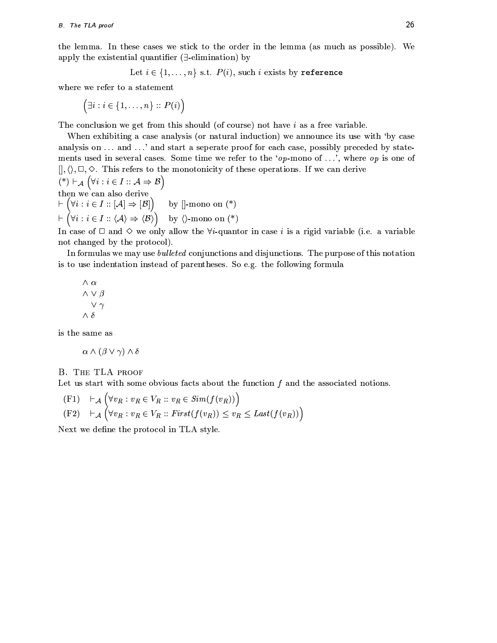the lemma. In these cases we stick to the order in the lemma (as much as possible). We apply the existential quantifier  $(\exists$ -elimination) by

Let  $i \in \{1, ..., n\}$  s.t.  $P(i)$ , such i exists by reference

where we refer to a statement

 $\Big(\exists i: i \in \{1,\ldots,n\} :: P(i)\Big)$ 

The conclusion we get from this should (of course) not have  $i$  as a free variable.

When exhibiting a case analysis (or natural induction) we announce its use with 'by case analysis on ... and ...' and start a seperate proof for each case, possibly preceded by statements used in several cases. Some time we refer to the 'op-mono of ...', where op is one of  $[|,\langle\rangle,\Box,\diamond\rangle.$  This refers to the monotonicity of these operations. If we can derive  $(*) \vdash_{\mathcal{A}} (\forall i : i \in I :: \mathcal{A} \Rightarrow \mathcal{B})$ then we can also derive<br>  $\vdash (\forall i : i \in I :: [\mathcal{A}] \Rightarrow [\mathcal{B}])$  by []-mono on (\*)<br>  $\vdash (\forall i : i \in I :: \langle \mathcal{A} \rangle \Rightarrow \langle \mathcal{B} \rangle)$  by ()-mono on (\*)

In case of  $\Box$  and  $\Diamond$  we only allow the  $\forall i$ -quantor in case i is a rigid variable (i.e. a variable not changed by the protocol).

In formulas we may use *bulleted* conjunctions and disjunctions. The purpose of this notation is to use indentation instead of parentheses. So e.g. the following formula

$$
\begin{array}{c}\n\wedge \alpha \\
\wedge \vee \beta \\
\vee \gamma \\
\wedge \delta\n\end{array}
$$

is the same as

 $\alpha \wedge (\beta \vee \gamma) \wedge \delta$ 

#### **B. THE TLA PROOF**

Let us start with some obvious facts about the function  $f$  and the associated notions.

$$
\begin{aligned} \n\text{(F1)} \quad & \vdash_{\mathcal{A}} \left( \forall v_R : v_R \in V_R :: v_R \in \text{Sim}(f(v_R)) \right) \\ \n\text{(F2)} \quad & \vdash_{\mathcal{A}} \left( \forall v_R : v_R \in V_R :: \text{First}(f(v_R)) \le v_R \le \text{Last}(f(v_R)) \right) \n\end{aligned}
$$

Next we define the protocol in TLA style.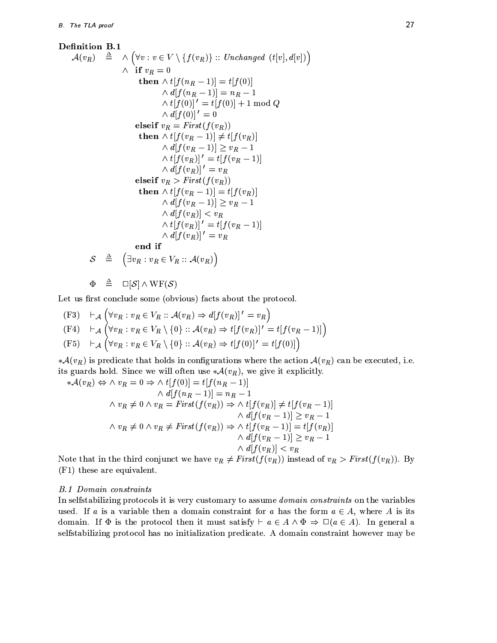**Definition B.1**  
\n
$$
\mathcal{A}(v_R) \triangleq \wedge (\forall v : v \in V \setminus \{f(v_R)\} :: Unchanged (t[v], d[v]) )
$$
\n
$$
\wedge \text{ if } v_R = 0
$$
\n
$$
\text{then } \wedge t[f(n_R - 1)] = t[f(0)]
$$
\n
$$
\wedge d[f(n_R - 1)] = n_R - 1
$$
\n
$$
\wedge t[f(0)]' = t[f(0)] + 1 \mod Q
$$
\n
$$
\wedge d[f(0)]' = 0
$$
\n
$$
\text{elseif } v_R = First(f(v_R))
$$
\n
$$
\text{then } \wedge t[f(v_R - 1)] \neq t[f(v_R)]
$$
\n
$$
\wedge d[f(v_R - 1)] \geq v_R - 1
$$
\n
$$
\wedge t[f(v_R)]' = t[f(v_R - 1)]
$$
\n
$$
\wedge d[f(v_R)]' = v_R
$$
\n
$$
\text{elseif } v_R > First(f(v_R))
$$
\n
$$
\text{then } \wedge t[f(v_R - 1)] = t[f(v_R)]
$$
\n
$$
\wedge d[f(v_R - 1)] \geq v_R - 1
$$
\n
$$
\wedge d[f(v_R)]' = v_R
$$
\n
$$
\wedge t[f(v_R)]' = t[f(v_R - 1)]
$$
\n
$$
\wedge d[f(v_R)]' = t[f(v_R - 1)]
$$
\n
$$
\wedge d[f(v_R)]' = v_R
$$
\n
$$
\text{end if}
$$
\n
$$
\mathcal{S} \triangleq (\exists v_R : v_R \in V_R :: \mathcal{A}(v_R))
$$

$$
\Phi \quad \triangleq \quad \Box[\mathcal{S}] \wedge \mathrm{WF}(\mathcal{S})
$$

Let us first conclude some (obvious) facts about the protocol.

(F3) 
$$
\vdash_{\mathcal{A}} (\forall v_R : v_R \in V_R :: \mathcal{A}(v_R) \Rightarrow d[f(v_R)]' = v_R)
$$
  
\n(F4)  $\vdash_{\mathcal{A}} (\forall v_R : v_R \in V_R \setminus \{0\} :: \mathcal{A}(v_R) \Rightarrow t[f(v_R)]' = t[f(v_R - 1)]$   
\n(F5)  $\vdash_{\mathcal{A}} (\forall v_R : v_R \in V_R \setminus \{0\} :: \mathcal{A}(v_R) \Rightarrow t[f(0)]' = t[f(0)]$ 

 $\ast \mathcal{A}(v_R)$  is predicate that holds in configurations where the action  $\mathcal{A}(v_R)$  can be executed, i.e. its guards hold. Since we will often use  $*\mathcal{A}(v_R)$ , we give it explicitly.

$$
\begin{aligned}\n *\mathcal{A}(v_R) \Leftrightarrow \wedge v_R &= 0 \Rightarrow \wedge t[f(0)] = t[f(n_R - 1)] \\
 &\wedge d[f(n_R - 1)] = n_R - 1 \\
 &\wedge v_R \neq 0 \wedge v_R = First(f(v_R)) \Rightarrow \wedge t[f(v_R)] \neq t[f(v_R - 1)] \\
 &\wedge d[f(v_R - 1)] \geq v_R - 1 \\
 &\wedge v_R \neq 0 \wedge v_R \neq First(f(v_R)) \Rightarrow \wedge t[f(v_R - 1)] = t[f(v_R)] \\
 &\wedge d[f(v_R - 1)] \geq v_R - 1 \\
 &\wedge d[f(v_R)] < v_R \\
 &\wedge d[f(v_R)] < v_R\n \end{aligned}
$$

Note that in the third conjunct we have  $v_R \neq First(f(v_R))$  instead of  $v_R > First(f(v_R))$ . By (F1) these are equivalent.

## **B.1 Domain constraints**

In selfstabilizing protocols it is very customary to assume *domain constraints* on the variables used. If a is a variable then a domain constraint for a has the form  $a \in A$ , where A is its domain. If  $\Phi$  is the protocol then it must satisfy  $\vdash a \in A \land \Phi \Rightarrow \Box(a \in A)$ . In general a selfstabilizing protocol has no initialization predicate. A domain constraint however may be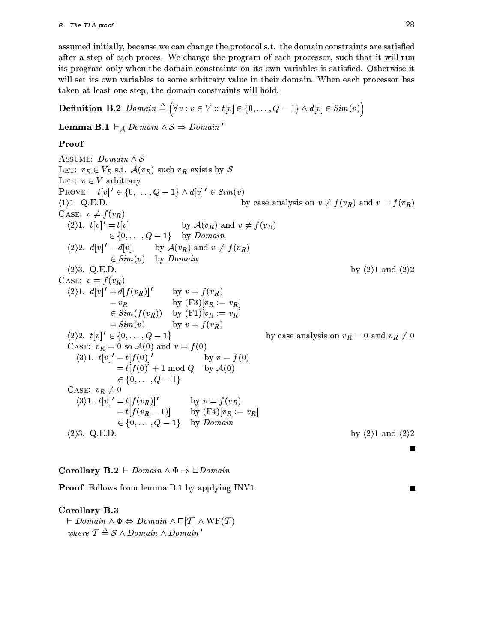assumed initially, because we can change the protocol s.t. the domain constraints are satisfied after a step of each proces. We change the program of each processor, such that it will run its program only when the domain constraints on its own variables is satisfied. Otherwise it will set its own variables to some arbitrary value in their domain. When each processor has taken at least one step, the domain constraints will hold.

**Definition B.2**  $Domain \triangleq (\forall v : v \in V :: t[v] \in \{0, ..., Q-1\} \land d[v] \in Sim(v))$ 

**Lemma B.1**  $\vdash_A Domain \land S \Rightarrow Domain'$ 

# Proof:

ASSUME:  $Domain \wedge S$ LET:  $v_R \in V_R$  s.t.  $\mathcal{A}(v_R)$  such  $v_R$  exists by S LET:  $v \in V$  arbitrary PROVE:  $t[v]' \in \{0, ..., Q-1\} \wedge d[v]' \in Sim(v)$ by case analysis on  $v \neq f(v_R)$  and  $v = f(v_R)$  $\langle 1 \rangle$ 1. Q.E.D. CASE:  $v \neq f(v_R)$  $\langle 2 \rangle 1. t[v]' = t[v]$ by  $\mathcal{A}(v_R)$  and  $v \neq f(v_R)$  $\in \{0, \ldots, Q-1\}$  by *Domain*  $\langle 2 \rangle 2. d[v]' = d[v]$  by  $\mathcal{A}(v_R)$  and  $v \neq f(v_R)$  $\in Sim(v)$  by Domain  $\langle 2 \rangle$ 3. Q.E.D. by  $\langle 2 \rangle$ 1 and  $\langle 2 \rangle$ 2 CASE:  $v = f(v_R)$ (2) 1.  $d[v]' = d[f(v_R)]'$  by  $v = f(v_R)$ <br>=  $v_R$  by (F3)[ $v_R := v_R$ ]  $\in Sim(f(v_R))$  by  $(F1)[v_R := v_R]$  $= Sim(v)$  by  $v = f(v_R)$  $\langle 2 \rangle 2. \t t[v]' \in \{0, \ldots, Q-1\}.$ by case analysis on  $v_R = 0$  and  $v_R \neq 0$ CASE:  $v_R = 0$  so  $\mathcal{A}(0)$  and  $v = f(0)$  $(3)1. t[v]' = t[f(0)]'$ by  $v = f(0)$  $= t[f(0)] + 1 \mod Q$  by  $\mathcal{A}(0)$  $\in \{0, \ldots, Q-1\}$ CASE:  $v_R \neq 0$ =  $t[f(v_R)]'$  by  $v = f(v_R)$ <br>=  $t[f(v_R - 1)]$  by  $(F4)[v_R := v_R]$  $\langle 3 \rangle 1. \t t[v]' = t[f(v_R)]'$  $\in \{0, \ldots, Q-1\}$  by *Domain*  $\langle 2 \rangle$ 3. Q.E.D. by  $\langle 2 \rangle$ 1 and  $\langle 2 \rangle$ 2

# **Corollary B.2** + Domain  $\land \Phi \Rightarrow \Box$ Domain

**Proof:** Follows from lemma B.1 by applying INV1.

## Corollary B.3

 $\vdash Domain \land \Phi \Leftrightarrow Domain \land \Box[\mathcal{T}] \land \text{WF}(\mathcal{T})$ where  $\mathcal{T} \triangleq \mathcal{S} \wedge Domain \wedge Domain'$ 

П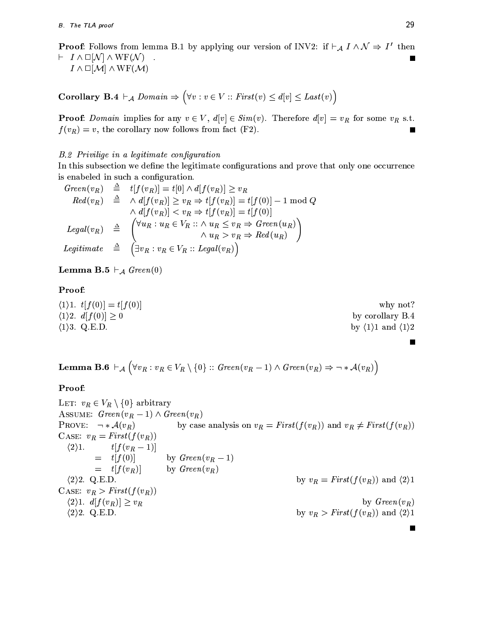**Proof:** Follows from lemma B.1 by applying our version of INV2: if  $\vdash_A I \land N \Rightarrow I'$  then  $\vdash I \wedge \Box[\mathcal{N}] \wedge \text{WF}(\mathcal{N})$ 

 $I \wedge \square[\mathcal{M}] \wedge \text{WF}(\mathcal{M})$ 

Corollary B.4  $\vdash_A Domain \Rightarrow (\forall v : v \in V :: First(v) \leq d[v] \leq Last(v))$ 

**Proof:** Domain implies for any  $v \in V$ ,  $d[v] \in Sim(v)$ . Therefore  $d[v] = v_R$  for some  $v_R$  s.t.  $f(v_R) = v$ , the corollary now follows from fact (F2).

## B.2 Privilige in a legitimate configuration

In this subsection we define the legitimate configurations and prove that only one occurrence is enabeled in such a configuration.

$$
Green(v_R) \triangleq t[f(v_R)] = t[0] \wedge d[f(v_R)] \geq v_R
$$
  
\n
$$
Red(v_R) \triangleq \wedge d[f(v_R)] \geq v_R \Rightarrow t[f(v_R)] = t[f(0)] - 1 \mod Q
$$
  
\n
$$
\wedge d[f(v_R)] < v_R \Rightarrow t[f(v_R)] = t[f(0)]
$$
  
\n
$$
Legal(v_R) \triangleq \begin{pmatrix} \forall u_R : u_R \in V_R : : \wedge u_R \leq v_R \Rightarrow Green(u_R) \\ \wedge u_R > v_R \Rightarrow Red(u_R) \end{pmatrix}
$$
  
\n
$$
Legitimate \triangleq \begin{pmatrix} \exists v_R : v_R \in V_R : : Legal(v_R) \end{pmatrix}
$$

**Lemma B.5**  $\vdash_{\mathcal{A}}$  Green(0)

## Proof:

 $\langle 1 \rangle 1. \t t[f(0)] = t[f(0)]$ why not?  $\langle 1 \rangle 2. d[f(0)] \geq 0$ by corollary B.4  $\langle 1 \rangle$ 3. Q.E.D. by  $\langle 1 \rangle 1$  and  $\langle 1 \rangle 2$ 

**Lemma B.6**  $\vdash_{\mathcal{A}} (\forall v_R : v_R \in V_R \setminus \{0\} :: Green(v_R - 1) \land Green(v_R) \Rightarrow \neg * \mathcal{A}(v_R))$ 

# Proof:

LET:  $v_R \in V_R \setminus \{0\}$  arbitrary ASSUME:  $Green(v_R - 1) \wedge Green(v_R)$ PROVE:  $\neg * \mathcal{A}(v_R)$ by case analysis on  $v_R = First(f(v_R))$  and  $v_R \neq First(f(v_R))$ CASE:  $v_R = First(f(v_R))$  $\langle 2 \rangle 1$ .  $t[f(v_{R}-1)]$  $=$   $t[f(0)]$ by  $Green(v_R - 1)$  $=$   $t[f(v_R)]$ by  $Green(v_R)$ by  $v_R = First(f(v_R))$  and  $\langle 2 \rangle 1$  $\langle 2 \rangle 2$ . Q.E.D. CASE:  $v_R > First(f(v_R))$  $\langle 2\rangle 1. d[f(v_R)] \geq v_R$ by  $Green(v_R)$  $\langle 2 \rangle 2.$  Q.E.D. by  $v_R > First(f(v_R))$  and  $\langle 2 \rangle 1$ 

 $\blacksquare$ 

П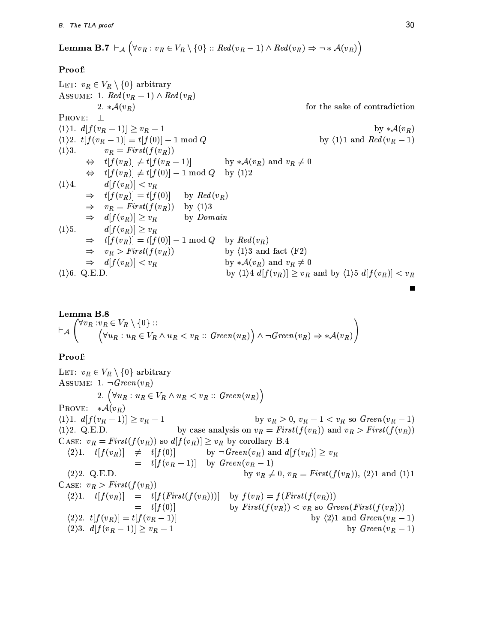**Lemma B.7** 
$$
\vdash_{\mathcal{A}} (\forall v_R : v_R \in V_R \setminus \{0\} :: Red(v_R - 1) \land Red(v_R) \Rightarrow \neg * \mathcal{A}(v_R))
$$

# Proof:

LET:  $v_R \in V_R \setminus \{0\}$  arbitrary ASSUME: 1.  $Red(v_R-1) \wedge Red(v_R)$ 2.  $*\mathcal{A}(v_R)$ for the sake of contradiction PROVE:  $\perp$  $\langle 1 \rangle 1. d[f(v_R-1)] \geq v_R-1$ by  $*\mathcal{A}(v_R)$  $(1)2. t[f(v_R-1)] = t[f(0)] - 1 \text{ mod } Q$ by  $\langle 1 \rangle 1$  and  $Red(v_R-1)$  $v_R = First(f(v_R))$  $\langle 1 \rangle 3$ .  $\Leftrightarrow$   $t[f(v_R)] \neq t[f(v_R-1)]$ by  $*\mathcal{A}(v_R)$  and  $v_R \neq 0$  $\Leftrightarrow$   $t[f(v_R)] \neq t[f(0)] - 1 \mod Q$  by  $\langle 1 \rangle 2$  $\langle 1 \rangle 4.$  $d[f(v_R)] < v_R$  $\Rightarrow$   $t[f(v_R)] = t[f(0)]$ by  $Red(v_R)$  $\Rightarrow v_R = First(f(v_R))$  by  $\langle 1 \rangle 3$  $\Rightarrow d[f(v_R)] \geq v_R$ by *Domain*  $\langle 1 \rangle 5.$  $d[f(v_R)] \geq v_R$  $\Rightarrow$   $t[f(v_R)] = t[f(0)] - 1 \mod Q$  by  $Red(v_R)$  $\Rightarrow v_R > First(f(v_R))$ by  $\langle 1 \rangle$ 3 and fact (F2)  $\Rightarrow d[f(v_R)] < v_R$ by  $*\mathcal{A}(v_R)$  and  $v_R \neq 0$  $\langle 1 \rangle 6$ . Q.E.D. by  $\langle 1 \rangle 4 d[f(v_R)] \geq v_R$  and by  $\langle 1 \rangle 5 d[f(v_R)] < v_R$ 

**Lemma B.8**  
\n
$$
\vdash_{\mathcal{A}} (\forall v_R : v_R \in V_R \setminus \{0\} ::
$$
\n
$$
\vdash_{\mathcal{A}} (\forall u_R : u_R \in V_R \land u_R < v_R :: Green(u_R)) \land \neg Green(v_R) \Rightarrow *\mathcal{A}(v_R))
$$

## Proof:

LET:  $v_R \in V_R \setminus \{0\}$  arbitrary ASSUME: 1.  $\neg Green(v_R)$ 2.  $\left(\forall u_R: u_R \in V_R \wedge u_R < v_R :: \text{Green}(u_R)\right)$ PROVE:  $*\mathcal{A}(v_R)$  $\langle 1 \rangle 1. d[f(v_R-1)] \geq v_R-1$ by  $v_R > 0$ ,  $v_R - 1 < v_R$  so  $Green(v_R - 1)$ by case analysis on  $v_R = First(f(v_R))$  and  $v_R > First(f(v_R))$  $\langle 1 \rangle$  2. Q.E.D. CASE:  $v_R = First(f(v_R))$  so  $d[f(v_R)] \ge v_R$  by corollary B.4  $\langle 2\rangle 1.$   $t[f(v_R)] \neq t[f(0)]$  by  $\neg Green(v_R)$  and  $d[f(v_R)] \geq v_R$  $=$   $t[f(v_R-1)]$  by  $Green(v_R-1)$ by  $v_R \neq 0$ ,  $v_R = First(f(v_R))$ ,  $\langle 2 \rangle 1$  and  $\langle 1 \rangle 1$  $\langle 2 \rangle 2$ . Q.E.D. CASE:  $v_R > First(f(v_R))$  $\langle 2\rangle 1.$   $t[f(v_R)] = t[f(First(f(v_R)))]$  by  $f(v_R) = f(First(f(v_R)))$  $=$   $t[f(0)]$ by  $First(f(v_R)) < v_R$  so  $Green(First(f(v_R)))$  $\langle 2 \rangle 2.$   $t[f(v_R)] = t[f(v_R - 1)]$ by  $\langle 2 \rangle 1$  and  $Green(v_R - 1)$  $\langle 2 \rangle 3. d[f(v_R - 1)] \geq v_R - 1$ by  $Green(v_R - 1)$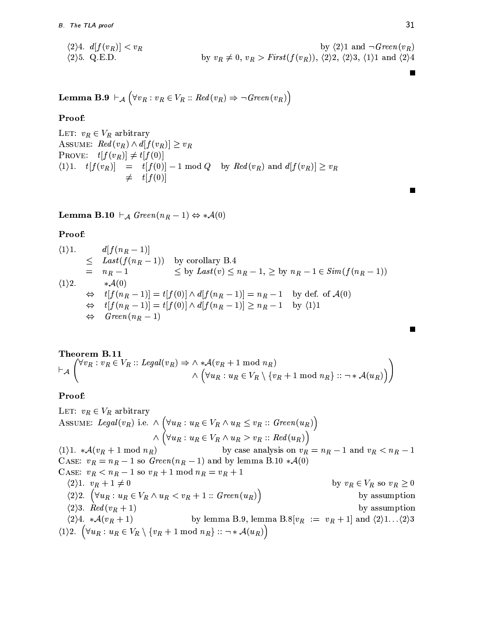$$
\langle 2 \rangle 4. \quad d[f(v_R)] < v_R
$$
\n
$$
\langle 2 \rangle 5. \quad Q.E.D.
$$
\nby  $v_R \neq 0$ ,  $v_R > First(f(v_R))$ ,  $\langle 2 \rangle 2$ ,  $\langle 2 \rangle 3$ ,  $\langle 1 \rangle 1$  and  $\langle 2 \rangle 4$ 

**Lemma B.9** 
$$
\vdash_{\mathcal{A}} (\forall v_R : v_R \in V_R :: Red(v_R) \Rightarrow \neg Green(v_R))
$$

Proof:

LET:  $v_R \in V_R$  arbitrary ASSUME:  $Red(v_R) \wedge d[f(v_R)] \geq v_R$ PROVE:  $t[f(v_R)] \neq t[f(0)]$  $\langle 1 \rangle 1. \quad t[f(v_R)] = t[f(0)] - 1 \mod Q$  by  $Red(v_R)$  and  $d[f(v_R)] \geq v_R$  $\neq$   $t[f(0)]$ 

**Lemma B.10**  $\vdash_{\mathcal{A}}$  Green $(n_R - 1) \Leftrightarrow A(0)$ 

## Proof:

$$
\langle 1 \rangle 1.
$$
\n
$$
\leq \text{Last}(f(n_R - 1)) \quad \text{by corollary B.4}
$$
\n
$$
= n_R - 1 \quad \leq \text{by Last}(v) \leq n_R - 1, \geq \text{by } n_R - 1 \in \text{Sim}(f(n_R - 1))
$$
\n
$$
\langle 1 \rangle 2.
$$
\n
$$
\Rightarrow \quad t[f(n_R - 1)] = t[f(0)] \land d[f(n_R - 1)] = n_R - 1 \quad \text{by def. of } \mathcal{A}(0)
$$
\n
$$
\Rightarrow \quad t[f(n_R - 1)] = t[f(0)] \land d[f(n_R - 1)] \geq n_R - 1 \quad \text{by } \langle 1 \rangle 1
$$
\n
$$
\Rightarrow \quad \text{Green}(n_R - 1)
$$

**Theorem B.11**  
\n
$$
\vdash_{\mathcal{A}} \begin{pmatrix} \forall v_R : v_R \in V_R : \text{Legal}(v_R) \Rightarrow \wedge * \mathcal{A}(v_R + 1 \mod n_R) \\ \wedge (\forall u_R : u_R \in V_R \setminus \{v_R + 1 \mod n_R\} :: \neg * \mathcal{A}(u_R)) \end{pmatrix}
$$

## Proof:

LET:  $v_R \in V_R$  arbitrary ASSUME: Legal( $v_R$ ) i.e.  $\wedge$   $(\forall u_R : u_R \in V_R \wedge u_R \le v_R :: Green(u_R))$ <br> $\wedge$   $(\forall u_R : u_R \in V_R \wedge u_R > v_R :: Red(u_R))$  $\langle 1 \rangle 1. * \mathcal{A}(v_R + 1 \mod n_R)$ by case analysis on  $v_R = n_R - 1$  and  $v_R < n_R - 1$ CASE:  $v_R = n_R - 1$  so  $Green(n_R - 1)$  and by lemma B.10  $*\mathcal{A}(0)$ CASE:  $v_R < n_R - 1$  so  $v_R + 1$  mod  $n_R = v_R + 1$  $\langle 2 \rangle 1. \ v_R + 1 \neq 0$ by  $v_R \in V_R$  so  $v_R \geq 0$  $\langle 2 \rangle$ 2.  $\left( \forall u_R : u_R \in V_R \wedge u_R < v_R + 1 :: Green(u_R) \right)$ by assumption  $\langle 2 \rangle 3. \ \ \dot{R}ed(v_R+1)$ by assumption by lemma B.9, lemma B.8[ $v_R := v_R + 1$ ] and  $\langle 2 \rangle 1 \dots \langle 2 \rangle 3$  $\langle 2 \rangle 4. * \mathcal{A}(v_R+1)$  $\langle 1 \rangle 2. \left( \forall u_R : u_R \in V_R \setminus \{v_R + 1 \bmod n_R\} :: \neg * \mathcal{A}(u_R) \right)$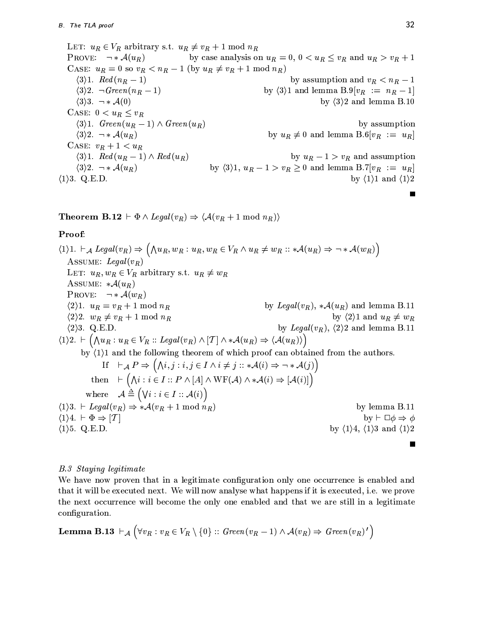LET:  $u_R \in V_R$  arbitrary s.t.  $u_R \neq v_R + 1 \mod n_R$ PROVE:  $\neg * \mathcal{A}(u_R)$ by case analysis on  $u_R = 0$ ,  $0 < u_R \le v_R$  and  $u_R > v_R + 1$ CASE:  $u_R = 0$  so  $v_R < n_R - 1$  (by  $u_R \neq v_R + 1$  mod  $n_R$ )  $\langle 3 \rangle 1.$  Red  $(n_R - 1)$ by assumption and  $v_R < n_R - 1$  $\langle 3 \rangle 2. \neg Green(n_R-1)$ by  $\langle 3 \rangle 1$  and lemma B.9[ $v_R := n_R - 1$ ]  $\langle 3 \rangle 3$ .  $\rightarrow \mathcal{A}(0)$ by  $\langle 3 \rangle 2$  and lemma B.10 CASE:  $0 < u_R \le v_R$  $\langle 3\rangle 1.$  Green $(u_R - 1) \wedge Green(u_R)$ by assumption by  $u_R \neq 0$  and lemma B.6[ $v_R := u_R$ ]  $\langle 3 \rangle 2. \neg * \mathcal{A}(u_R)$ CASE:  $v_R + 1 < u_R$  $\langle 3 \rangle 1.$  Red  $(u_R - 1) \wedge Red(u_R)$ by  $u_R - 1 > v_R$  and assumption by  $\langle 3 \rangle 1$ ,  $u_R - 1 > v_R \ge 0$  and lemma B.7[ $v_R := u_R$ ]  $\langle 3 \rangle 2. \ \ \neg * \mathcal{A}(u_R)$  $\langle 1 \rangle$ 3. Q.E.D. by  $\langle 1 \rangle 1$  and  $\langle 1 \rangle 2$ 

**Theorem B.12**  $\vdash \Phi \land \text{legal}(v_R) \Rightarrow \langle A(v_R + 1 \mod n_R) \rangle$ 

# Proof:

 $\langle 1 \rangle 1. \ \vdash_{\mathcal{A}} \ \mathit{Legal}(v_R) \Rightarrow \Big( \bigwedge u_R, w_R : u_R, w_R \in V_R \land u_R \neq w_R :: *\mathcal{A}(u_R) \Rightarrow \neg * \mathcal{A}(w_R) \Big)$ ASSUME: Legal $(v_R)$ LET:  $u_R, w_R \in V_R$  arbitrary s.t.  $u_R \neq w_R$ ASSUME:  $*\mathcal{A}(u_R)$ PROVE:  $\neg * \mathcal{A}(w_R)$  $\langle 2 \rangle 1. u_R = v_R + 1 \bmod n_R$ by Legal $(v_R)$ ,  $*\mathcal{A}(u_R)$  and lemma B.11  $\langle 2 \rangle 2. \ w_R \neq v_R + 1 \bmod n_R$ by  $\langle 2 \rangle 1$  and  $u_R \neq w_R$ by Legal( $v_R$ ),  $\langle 2 \rangle$ 2 and lemma B.11  $\langle 2 \rangle$ 3. Q.E.D.  $\langle 1 \rangle 2. \vdash (\bigwedge u_R : u_R \in V_R :: \text{Legal}(v_R) \wedge [T] \wedge *A(u_R) \Rightarrow \langle A(u_R) \rangle)$ by  $(1)1$  and the following theorem of which proof can obtained from the authors. If  $\vdash_{\mathcal{A}} P \Rightarrow (\bigwedge i, j : i, j \in I \land i \neq j :: * \mathcal{A}(i) \Rightarrow \neg * \mathcal{A}(j))$ then  $\vdash (\bigwedge i : i \in I :: P \land [A] \land \text{WF}(\mathcal{A}) \land * \mathcal{A}(i) \Rightarrow [\mathcal{A}(i)]$ where  $\mathcal{A} \triangleq (\forall i : i \in I :: \mathcal{A}(i))$  $\langle 1 \rangle 3. \vdash \text{Legal}(v_R) \Rightarrow *A(v_R + 1 \mod n_R)$ by lemma B.11  $\langle 1 \rangle 4. \vdash \Phi \Rightarrow [T]$ by  $\vdash \Box \phi \Rightarrow \phi$ by  $\langle 1 \rangle 4$ ,  $\langle 1 \rangle 3$  and  $\langle 1 \rangle 2$  $\langle 1 \rangle$ 5. Q.E.D.  $\blacksquare$ 

# **B.3** Staying legitimate

We have now proven that in a legitimate configuration only one occurrence is enabled and that it will be executed next. We will now analyse what happens if it is executed, i.e. we prove the next occurrence will become the only one enabled and that we are still in a legitimate configuration.

**Lemma B.13** 
$$
\vdash_{\mathcal{A}} (\forall v_R : v_R \in V_R \setminus \{0\} :: Green(v_R - 1) \land \mathcal{A}(v_R) \Rightarrow Green(v_R)')
$$

Ξ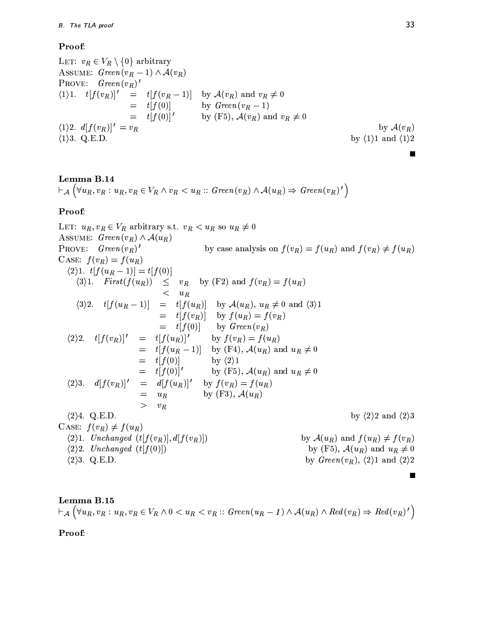# Proof:

LET:  $v_R \in V_R \setminus \{0\}$  arbitrary ASSUME:  $Green(v_R - 1) \wedge \mathcal{A}(v_R)$ **PROVE:**  $Green(v_R)'$  $=$   $t[f(v_R-1)]$  by  $\mathcal{A}(v_R)$  and  $v_R \neq 0$  $\langle 1 \rangle 1. \quad t[f(v_R)]'$  $=$   $t[f(0)]$ by  $Green(v_R - 1)$  $=$   $t[f(0)]'$ by (F5),  $\mathcal{A}(v_R)$  and  $v_R \neq 0$  $\langle 1 \rangle 2. d[f(v_R)]' = v_R$ by  $\mathcal{A}(v_R)$  $\langle 1 \rangle$ 3. Q.E.D. by  $\langle 1 \rangle 1$  and  $\langle 1 \rangle 2$ 

**Lemma B.14**  
\n
$$
\vdash_{\mathcal{A}} (\forall u_R, v_R : u_R, v_R \in V_R \land v_R < u_R :: Green(v_R) \land \mathcal{A}(u_R) \Rightarrow Green(v_R)')
$$

# Proof:

LET:  $u_R, v_R \in V_R$  arbitrary s.t.  $v_R < u_R$  so  $u_R \neq 0$ ASSUME:  $Green(v_R) \wedge A(u_R)$ PROVE:  $Green(v_R)'$ by case analysis on  $f(v_R) = f(u_R)$  and  $f(v_R) \neq f(u_R)$ CASE:  $f(v_R) = f(u_R)$  $\langle 2 \rangle 1. t[f(u_R-1)] = t[f(0)]$  $\langle 3\rangle$ 1. First $(f(u_R)) \leq v_R$  by (F2) and  $f(v_R) = f(u_R)$  $\lt$  $u_R$  $\langle 3 \rangle 2$ .  $t[f(u_R-1)] = t[f(u_R)]$  by  $\mathcal{A}(u_R)$ ,  $u_R \neq 0$  and  $\langle 3 \rangle 1$  $=$   $t[f(v_R)]$  by  $f(u_R) = f(v_R)$  $=$   $t[f(0)]$  by Green $(v_R)$  $\langle 2 \rangle 2.$   $t[f(v_R)]'$  =  $t[f(u_R)]'$ by  $f(v_R) = f(u_R)$  $=$   $t[f(u_R-1)]$  by (F4),  $\mathcal{A}(u_R)$  and  $u_R \neq 0$  $=$   $t[f(0)]$ by  $\langle 2 \rangle 1$ by (F5),  $\mathcal{A}(u_R)$  and  $u_R \neq 0$  $=$   $t[f(0)]'$  $(2)3.$   $d[f(v_R)]' = d[f(u_R)]'$  by  $f(v_R) = f(u_R)$  $=$   $u_R$ by (F3),  $\mathcal{A}(u_R)$  $> v_R$  $\langle 2 \rangle 4$ . Q.E.D. by  $\langle 2 \rangle 2$  and  $\langle 2 \rangle 3$ CASE:  $f(v_R) \neq f(u_R)$  $\langle 2\rangle$ 1. Unchanged  $(t[f(v_R)], d[f(v_R)])$ by  $\mathcal{A}(u_R)$  and  $f(u_R) \neq f(v_R)$ by (F5),  $\mathcal{A}(u_R)$  and  $u_R \neq 0$  $\langle 2 \rangle 2$ . Unchanged  $(t[f(0)])$  $\langle 2 \rangle$ 3. Q.E.D. by  $Green(v_R)$ ,  $\langle 2 \rangle 1$  and  $\langle 2 \rangle 2$ Г

Lemma B.15  $\vdash_{\mathcal{A}} (\forall u_R, v_R : u_R, v_R \in V_R \wedge 0 \langle u_R \langle v_R :: Green(u_R - 1) \wedge \mathcal{A}(u_R) \wedge Red(v_R) \Rightarrow Red(v_R)')$ 

Proof: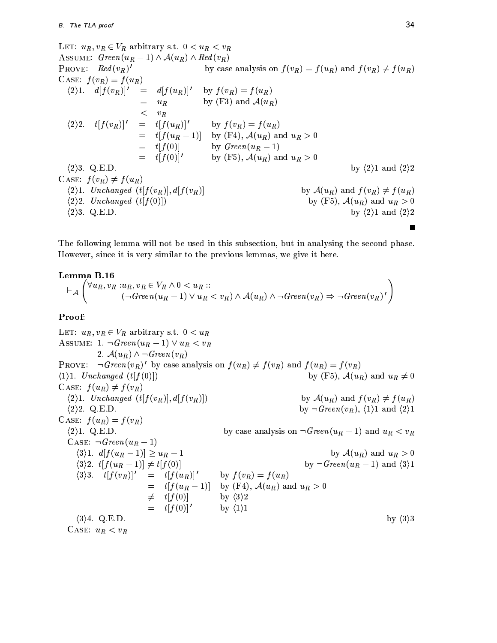LET:  $u_R, v_R \in V_R$  arbitrary s.t.  $0 < u_R < v_R$ ASSUME:  $Green(u_R - 1) \wedge \mathcal{A}(u_R) \wedge Red(v_R)$ PROVE:  $Red(v_R)'$ by case analysis on  $f(v_R) = f(u_R)$  and  $f(v_R) \neq f(u_R)$ CASE:  $f(v_R) = f(u_R)$  $\langle 2\rangle 1. \quad d[f(v_R)]' = d[f(u_R)]'$ by  $f(v_R) = f(u_R)$ by (F3) and  $A(u_R)$  $=$  $u_R$  $<$   $\quad v_R$  $\langle 2 \rangle 2$ .  $t[f(v_R)]'$  $=$   $t[f(u_R)]'$ by  $f(v_R) = f(u_R)$  $=$   $t[f(u_R-1)]$  by (F4),  $\mathcal{A}(u_R)$  and  $u_R > 0$  $=$   $t[f(0)]$ by  $Green(u_R - 1)$  $=$   $t[f(0)]'$ by (F5),  $\mathcal{A}(u_R)$  and  $u_R > 0$  $\langle 2 \rangle$ 3. Q.E.D. by  $\langle 2 \rangle$ 1 and  $\langle 2 \rangle$ 2 CASE:  $f(v_R) \neq f(u_R)$  $\langle 2\rangle$ 1. Unchanged  $(t[f(v_R)], d[f(v_R)]$ by  $\mathcal{A}(u_R)$  and  $f(v_R) \neq f(u_R)$  $\langle 2 \rangle 2$ . Unchanged  $(t[f(0)])$ by (F5),  $\mathcal{A}(u_R)$  and  $u_R > 0$  $\langle 2 \rangle$ 3. Q.E.D. by  $\langle 2 \rangle$ 1 and  $\langle 2 \rangle$ 2 Ë

The following lemma will not be used in this subsection, but in analysing the second phase. However, since it is very similar to the previous lemmas, we give it here.

#### Lemma B.16

$$
\vdash_{\mathcal{A}} \left( \forall u_R, v_R : u_R, v_R \in V_R \land 0 < u_R :: \left( \neg \text{Green}(u_R - 1) \lor u_R < v_R \right) \land \mathcal{A}(u_R) \land \neg \text{Green}(v_R) \Rightarrow \neg \text{Green}(v_R)' \right)
$$

#### Proof:

LET:  $u_R, v_R \in V_R$  arbitrary s.t.  $0 < u_R$ ASSUME: 1.  $\neg Green(u_R - 1) \vee u_R < v_R$ 2.  $\mathcal{A}(u_R) \wedge \neg \text{Green}(v_R)$ PROVE:  $\neg Green(v_R)'$  by case analysis on  $f(u_R) \neq f(v_R)$  and  $f(u_R) = f(v_R)$  $\langle 1 \rangle$ 1. Unchanged  $(t|f(0)|)$ by (F5),  $\mathcal{A}(u_R)$  and  $u_R \neq 0$ CASE:  $f(u_R) \neq f(v_R)$  $\langle 2\rangle$ 1. Unchanged  $(t[f(v_R)], d[f(v_R)])$ by  $\mathcal{A}(u_R)$  and  $f(v_R) \neq f(u_R)$ by  $\neg Green(v_R), \langle 1 \rangle 1$  and  $\langle 2 \rangle 1$  $\langle 2 \rangle 2$ . Q.E.D. CASE:  $f(u_R) = f(v_R)$  $\langle 2 \rangle 1$ . Q.E.D. by case analysis on  $\neg Green(u_R - 1)$  and  $u_R < v_R$ CASE:  $\neg Green(u_R-1)$  $\langle 3\rangle 1. d[f(u_R-1)] \geq u_R-1$ by  $\mathcal{A}(u_R)$  and  $u_R > 0$  $(3)2. t[f(u_R-1)] \neq t[f(0)]$ by  $\neg Green(u_R - 1)$  and  $\langle 3 \rangle 1$  $\langle 3 \rangle 3. \quad t[f(v_R)]' \quad = \quad t[f(u_R)]'$ by  $f(v_R) = f(u_R)$  $=$   $t[f(u_R-1)]$  by (F4),  $\mathcal{A}(u_R)$  and  $u_R > 0$  $\neq$   $t[f(0)]$ by  $\langle 3 \rangle 2$  $t[f(0)]'$ by  $\langle 1 \rangle 1$  $\langle 3 \rangle 4.$  Q.E.D. by  $\langle 3 \rangle 3$ CASE:  $u_R < v_R$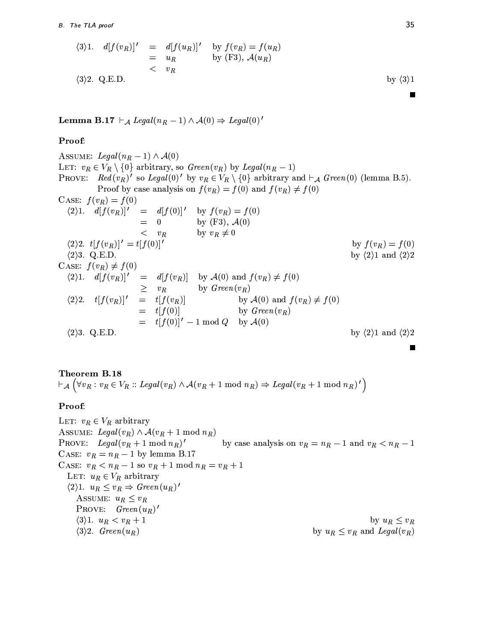$$
(3)1. \quad d[f(v_R)]' = d[f(u_R)]' \quad \text{by } f(v_R) = f(u_R)
$$
  
=  $u_R$  by (F3),  $\mathcal{A}(u_R)$   
<  $v_R$  by (3)1  
by (3)1

**Lemma B.17**  $\vdash_{\mathcal{A}} \text{legal}(n_R - 1) \land \mathcal{A}(0) \Rightarrow \text{legal}(0)'$ 

## Proof:

Assume: 
$$
Legal(n_R - 1) \wedge \mathcal{A}(0)
$$

\nLET:  $v_R \in V_R \setminus \{0\}$  arbitrary, so  $Green(v_R)$  by  $Legal(n_R - 1)$ 

\nPROVE:  $Red(v_R)'$  so  $Legal(0)'$  by  $v_R \in V_R \setminus \{0\}$  arbitrary and  $\vdash_{\mathcal{A}}$   $Green(0)$  (lemma B.5).

\nProof by case analysis on  $f(v_R) = f(0)$  and  $f(v_R) \neq f(0)$ 

\nCASE:  $f(v_R) = f(0)$ 

\n(2)1.  $d[f(v_R)]' = d[f(0)]'$  by  $f(v_R) = f(0)$ 

\n(2)2.  $t[f(v_R)]' = t[f(0)]'$  by  $v_R \neq 0$ 

\n(2)3. Q.E.D.

\nCASE:  $f(v_R) \neq f(0)$ 

\n(2)4.  $d[f(v_R)]' = d[f(v_R)]$  by  $\mathcal{A}(0)$  and  $f(v_R) \neq f(0)$ 

\n(2)5.  $t[f(v_R)]' = d[f(v_R)]$  by  $\mathcal{A}(0)$  and  $f(v_R) \neq f(0)$ 

\n(2)6.  $t[f(v_R)]' = t[f(v_R)]$  by  $\mathcal{A}(0)$  and  $f(v_R) \neq f(0)$ 

\n(2)7.  $t[f(v_R)]' = t[f(v_R)]$  by  $\mathcal{A}(0)$  and  $f(v_R) \neq f(0)$ 

\n(2)8. Q.E.D.

\n(2)9. Q.E.D.

\n(2)1.  $d[f(0)]' - 1 \mod Q$  by  $\mathcal{A}(0)$ 

\n(2)1.  $d[f(0)]' = t[f(0)]'$  by <math display="</p>

# Theorem B.18

 $\vdash_{\mathcal{A}} (\forall v_R : v_R \in V_R :: \text{legal}(v_R) \land \mathcal{A}(v_R + 1 \mod n_R) \Rightarrow \text{legal}(v_R + 1 \mod n_R)')$ 

# Proof:

LET:  $v_R \in V_R$  arbitrary ASSUME: Legal( $v_R$ )  $\wedge A(v_R + 1 \mod n_R)$ PROVE: Legal $(v_R + 1 \mod n_R)'$ by case analysis on  $v_R = n_R - 1$  and  $v_R < n_R - 1$ CASE:  $v_R = n_R - 1$  by lemma B.17 CASE:  $v_R < n_R - 1$  so  $v_R + 1$  mod  $n_R = v_R + 1$ LET:  $u_R \in V_R$  arbitrary  $\langle 2 \rangle 1. \ u_R \leq v_R \Rightarrow \text{Green}(u_R)$ ' ASSUME:  $u_R \leq v_R$ PROVE:  $Green(u_R)'$ by  $u_R \leq v_R$  $\langle 3 \rangle 1. u_R < v_R + 1$  $\langle 3 \rangle 2$ . Green $(u_R)$ by  $u_R \leq v_R$  and  $Legal(v_R)$ 

 $\blacksquare$ 

 $\blacksquare$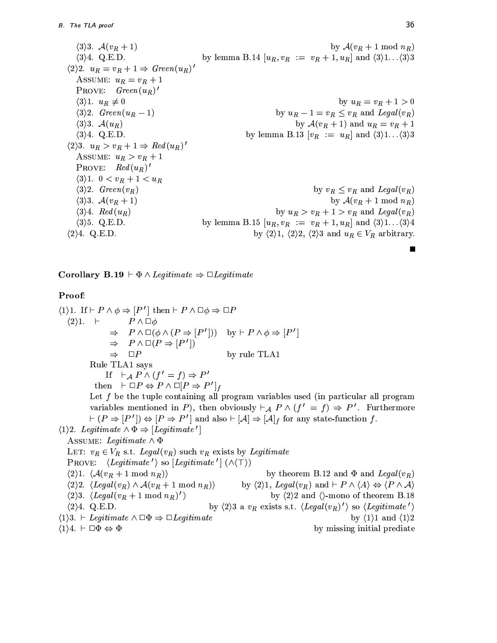$\langle 3 \rangle 3$ .  $\mathcal{A}(v_B + 1)$ by  $\mathcal{A}(v_R + 1 \mod n_R)$  $\langle 3 \rangle 4.$  Q.E.D. by lemma B.14  $[u_R, v_R := v_R + 1, u_R]$  and  $\langle 3 \rangle 1$ ... $\langle 3 \rangle 3$  $\langle 2 \rangle 2. u_R = v_R + 1 \Rightarrow Green(u_R)'$ ASSUME:  $u_R = v_R + 1$ PROVE:  $Green(u_R)'$  $\langle 3 \rangle 1. u_R \neq 0$ by  $u_R = v_R + 1 > 0$  $\langle 3 \rangle 2$ . Green $(u_R - 1)$ by  $u_R - 1 = v_R \le v_R$  and  $Legal(v_R)$  $\langle 3 \rangle 3$ .  $\mathcal{A}(u_R)$ by  $\mathcal{A}(v_R + 1)$  and  $u_R = v_R + 1$ by lemma B.13  $[v_R := u_R]$  and  $\langle 3 \rangle 1 \dots \langle 3 \rangle 3$  $\langle 3 \rangle 4$ . Q.E.D.  $\langle 2 \rangle 3. \, u_R > v_R + 1 \Rightarrow Red(u_R)'$ ASSUME:  $u_R > v_R + 1$ PROVE:  $Red(u_R)'$  $\langle 3 \rangle 1. \ \ 0 < v_R + 1 < u_R$  $\langle 3 \rangle 2.$  Green $(v_R)$ by  $v_R \leq v_R$  and  $Legal(v_R)$  $\langle 3 \rangle 3$ .  $\mathcal{A}(v_R+1)$ by  $\mathcal{A}(v_R + 1 \mod n_R)$ by  $u_R > v_R + 1 > v_R$  and  $Legal(v_R)$  $\langle 3 \rangle 4$ . Red  $(u_R)$  $\langle 3 \rangle$ 5. Q.E.D. by lemma B.15  $[u_R, v_R := v_R + 1, u_R]$  and  $\langle 3 \rangle 1$ ... $\langle 3 \rangle 4$  $\langle 2 \rangle 4.$  Q.E.D. by  $\langle 2 \rangle 1$ ,  $\langle 2 \rangle 2$ ,  $\langle 2 \rangle 3$  and  $u_R \in V_R$  arbitrary.

**Corollary B.19**  $\vdash \Phi \land$  *Legitimate*  $\Rightarrow \Box$  *Legitimate* 

# Proof:

 $\langle 1 \rangle 1$ . If  $\vdash P \land \phi \Rightarrow [P']$  then  $\vdash P \land \Box \phi \Rightarrow \Box P$  $\langle 2 \rangle 1.$   $\vdash$  $P \wedge \Box \phi$  $\Rightarrow P \wedge \Box(\phi \wedge (P \Rightarrow [P'])$  by  $\vdash P \wedge \phi \Rightarrow [P']$  $\Rightarrow$   $P \wedge \Box (P \Rightarrow [P'])$  $\Rightarrow$   $\Box P$ by rule TLA1 Rule TLA1 says If  $\vdash_{\mathcal{A}} P \wedge (f' = f) \Rightarrow P'$ then  $\vdash \Box P \Leftrightarrow P \land \Box [P \Rightarrow P']_f$ Let  $f$  be the tuple containing all program variables used (in particular all program variables mentioned in P), then obviously  $\vdash_{\mathcal{A}} P \wedge (f' = f) \Rightarrow P'$ . Furthermore  $\vdash (P \Rightarrow [P'] ) \Leftrightarrow [P \Rightarrow P']$  and also  $\vdash [\mathcal{A}] \Rightarrow [\mathcal{A}]_f$  for any state-function f.  $\langle 1 \rangle$ 2. Legitimate  $\wedge \Phi \Rightarrow$  [Legitimate'] ASSUME: Legitimate  $\wedge \Phi$ LET:  $v_R \in V_R$  s.t. Legal $(v_R)$  such  $v_R$  exists by Legitimate PROVE:  $\langle \textit{Legitimate'} \rangle$  so  $[\textit{Legitimate'}] (\land \land \top)$ by theorem B.12 and  $\Phi$  and Legal( $v_R$ )  $\langle 2 \rangle 1. \langle \mathcal{A}(v_R+1 \mod n_R) \rangle$  $\langle 2 \rangle 2. \langle Legal(v_R) \wedge \mathcal{A}(v_R + 1 \mod n_R) \rangle$ by  $\langle 2 \rangle 1$ , Legal $(v_R)$  and  $\vdash P \land \langle A \rangle \Leftrightarrow \langle P \land A \rangle$  $\langle 2 \rangle 3. \langle Legal(v_R+1 \mod n_R)' \rangle$ by  $\langle 2 \rangle 2$  and  $\langle \rangle$ -mono of theorem B.18 by  $\langle 2 \rangle$ 3 a  $v_R$  exists s.t.  $\langle Legal(v_R)^{\prime} \rangle$  so  $\langle Legitimate^{\prime} \rangle$  $\langle 2 \rangle 4$ . Q.E.D.  $\langle 1 \rangle$ 3.  $\vdash$  *Legitimate*  $\land \Box \Phi \Rightarrow \Box$ *Legitimate* by  $\langle 1 \rangle 1$  and  $\langle 1 \rangle 2$  $\langle 1 \rangle 4. \vdash \Box \Phi \Leftrightarrow \Phi$ by missing initial prediate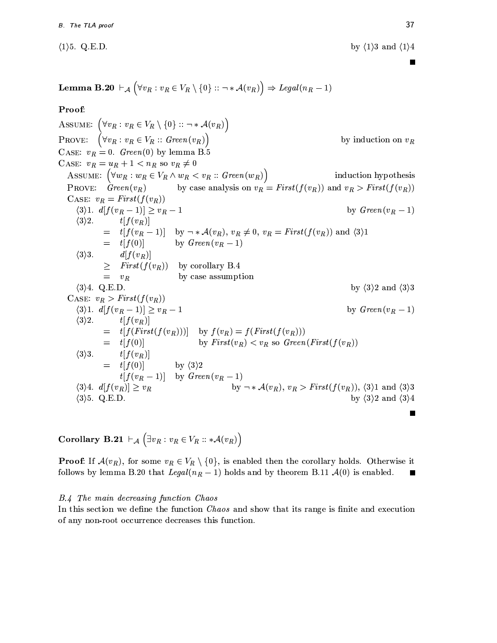$\langle 1 \rangle$ 5. Q.E.D.

by  $\langle 1 \rangle 3$  and  $\langle 1 \rangle 4$ 

**Lemma B.20**  $\vdash_{\mathcal{A}} (\forall v_R : v_R \in V_R \setminus \{0\} :: \neg * \mathcal{A}(v_R)) \Rightarrow \text{legal}(n_R - 1)$ 

Proof:

ASSUME:  $(\forall v_R : v_R \in V_R \setminus \{0\} :: \neg * \mathcal{A}(v_R))$ <br>PROVE:  $(\forall v_R : v_R \in V_R :: Green(v_R))$ by induction on  $v_R$ CASE:  $v_R = 0$ . Green(0) by lemma B.5 CASE:  $v_R = u_R + 1 < n_R$  so  $v_R \neq 0$ ASSUME:  $(\forall w_R : w_R \in V_R \land w_R < v_R :: Green(w_R))$  induction hypothesis<br>PROVE:  $Green(v_R)$  by case analysis on  $v_R = First(f(v_R))$  and  $v_R > First(f(v_R))$ induction hypothesis CASE:  $v_R = First(f(v_R))$ by  $Green(v_R - 1)$  $\langle 3\rangle 1. d[f(v_R-1)] \geq v_R-1$  $\langle 3 \rangle 2$ .  $t[f(v_R)]$  $t[f(v_R-1)]$  by  $\neg * \mathcal{A}(v_R)$ ,  $v_R \neq 0$ ,  $v_R = First(f(v_R))$  and  $\langle 3 \rangle 1$  $=$   $t[f(0)]$  by  $Green(v_R - 1)$  $\langle 3 \rangle 3$ .  $d[f(v_R)]$  $\geq$  First $(f(v_R))$  by corollary B.4  $= v_R$ by case assumption  $\langle 3 \rangle 4$ . Q.E.D. by  $\langle 3 \rangle 2$  and  $\langle 3 \rangle 3$ CASE:  $v_R > First(f(v_R))$ by  $Green(v_R - 1)$  $\langle 3\rangle 1. d[f(v_R-1)] \geq v_R-1$  $\langle 3 \rangle 2$ .  $t[f(v_R)]$  $t[f(First(f(v_R)))]$  by  $f(v_R) = f(First(f(v_R)))$  $\hspace*{0.4em} = \hspace*{0.4em}$ by  $First(v_R) < v_R$  so  $Green(First(f(v_R))$  $=$   $t[f(0)]$  $\langle 3 \rangle 3$ .  $t[f(v_R)]$  $=$   $t[f(0)]$ by  $\langle 3 \rangle 2$  $t[f(v_R-1)]$  by  $Green(v_R-1)$ by  $\neg * \mathcal{A}(v_R)$ ,  $v_R > First(f(v_R))$ ,  $\langle 3 \rangle 1$  and  $\langle 3 \rangle 3$  $\langle 3 \rangle 4. d[f(v_R)] \geq v_R$ by  $\langle 3 \rangle 2$  and  $\langle 3 \rangle 4$  $\langle 3 \rangle$ 5. Q.E.D.

Corollary B.21  $\vdash_{\mathcal{A}} (\exists v_R : v_R \in V_R :: * \mathcal{A}(v_R))$ 

**Proof:** If  $\mathcal{A}(v_R)$ , for some  $v_R \in V_R \setminus \{0\}$ , is enabled then the corollary holds. Otherwise it follows by lemma B.20 that Legal( $n_R - 1$ ) holds and by theorem B.11  $\mathcal{A}(0)$  is enabled. П

#### B.4 The main decreasing function Chaos

In this section we define the function *Chaos* and show that its range is finite and execution of any non-root occurrence decreases this function.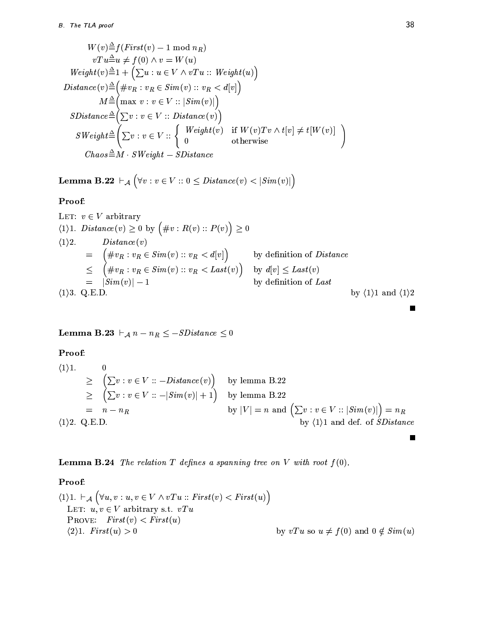$$
W(v) \triangleq f(First(v) - 1 \mod n_R)
$$
  
\n
$$
vTu \triangleq u \neq f(0) \land v = W(u)
$$
  
\n
$$
Weight(v) \triangleq 1 + \left(\sum u : u \in V \land vTu :: Weight(u)\right)
$$
  
\n
$$
Distance(v) \triangleq \left(\#v_R : v_R \in Sim(v) :: v_R < d[v]\right)
$$
  
\n
$$
M \triangleq \left(\max v : v \in V :: |Sim(v)|\right)
$$
  
\n
$$
SDistance \triangleq \left(\sum v : v \in V :: Distance(v)\right)
$$
  
\n
$$
SWeight \triangleq \left(\sum v : v \in V :: \begin{cases} Weight(v) & \text{if } W(v)Tv \land t[v] \neq t[W(v)] \\ 0 & \text{otherwise} \end{cases}\right)
$$
  
\n
$$
Chaos \triangleq M \cdot SWeight - SDistance
$$

**Lemma B.22**  $\vdash_{\mathcal{A}} (\forall v : v \in V :: 0 \leq Distance(v) < |Sim(v)|)$ 

## Proof:

LET: 
$$
v \in V
$$
 arbitrary  
\n(1)1.  $Distance(v) \ge 0$  by  $(\#v : R(v) :: P(v)) \ge 0$   
\n(1)2.  $Distance(v)$   
\n $= (\#v_R : v_R \in Sim(v) :: v_R < d[v])$  by definition of *Distance*  
\n $\leq (\#v_R : v_R \in Sim(v) :: v_R < Last(v))$  by  $d[v] \leq Last(v)$   
\n $= |Sim(v)| - 1$  by definition of *Last*  
\n(1)3. Q.E.D.  
\nby (1)1 and (1)2

**Lemma B.23**  $\vdash_A n - n_R \leq -SDistance \leq 0$ 

Proof:

$$
(1) 1. \t0 \t\t\geq \left(\sum v : v \in V :: -Distance(v)\right) \tby lemma B.22\t\t\geq \left(\sum v : v \in V :: -|Sim(v)| + 1\right) \tby lemma B.22= n - nR
$$
(1) 2. Q.E.D.
$$
 by  $|V| = n$  and  $\left(\sum v : v \in V :: |Sim(v)|\right) = nR$   
by  $\langle 1 \rangle 1$  and def. of *SDistance*
$$

**Lemma B.24** The relation T defines a spanning tree on V with root  $f(0)$ .

# Proof:

 $\langle 1 \rangle 1. \ \vdash_{\mathcal{A}} \Big( \forall u,v: u,v \in V \wedge vTu::First(v) < First(u) \Big)$ LET:  $u, v \in V$  arbitrary s.t.  $vTu$ PROVE:  $First(v) < First(u)$ by vTu so  $u \neq f(0)$  and  $0 \notin Sim(u)$  $\langle 2 \rangle 1.$  First $(u) > 0$ 

 $\blacksquare$ 

 $\blacksquare$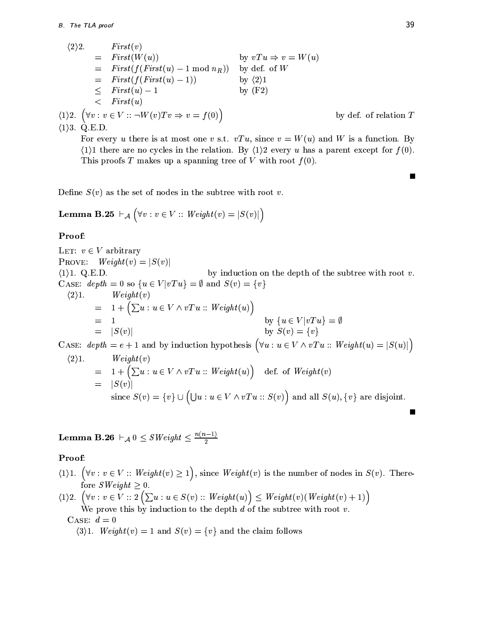$$
\langle 2 \rangle 2.
$$
 First(v)  
\n
$$
= First(W(u))
$$
 by  $vTu \Rightarrow v = W(u)$   
\n
$$
= First(f(First(u) - 1 \mod n_R))
$$
 by def. of W  
\n
$$
= First(f(First(u) - 1))
$$
 by  $\langle 2 \rangle 1$   
\n
$$
\leq First(u) - 1
$$
 by  $\langle 2 \rangle 1$   
\n
$$
\leq First(u)
$$
  
\n1 $\rangle 2.$   $(\forall v : v \in V :: \neg W(v)Tv \Rightarrow v = f(0))$ 

 $\langle 1 \rangle$ 3. Q.E.D.

For every u there is at most one v s.t.  $vTu$ , since  $v = W(u)$  and W is a function. By  $\langle 1 \rangle$  there are no cycles in the relation. By  $\langle 1 \rangle$  every u has a parent except for  $f(0)$ . This proofs T makes up a spanning tree of V with root  $f(0)$ .

Define  $S(v)$  as the set of nodes in the subtree with root v.

**Lemma B.25**  $\vdash_{\mathcal{A}} (\forall v : v \in V :: Weight(v) = |S(v)|)$ 

## Proof:

LET:  $v \in V$  arbitrary  $Weight(v) = |S(v)|$ PROVE:  $\langle 1 \rangle$ 1. Q.E.D. by induction on the depth of the subtree with root  $v$ . CASE:  $depth = 0$  so  $\{u \in V | vTu\} = \emptyset$  and  $S(v) = \{v\}$  $\langle 2 \rangle 1$ .  $Weight(v)$ =  $1 + \left(\sum u : u \in V \wedge vTu :: Weight(u)\right)$ <br>= 1 by  $\{u \in V | vTu\} = \emptyset$ <br>by  $S(v) = \{v\}$  $= |S(v)|$ CASE: depth = e + 1 and by induction hypothesis  $(\forall u : u \in V \land vTu :: Weight(u) = |S(u)|)$  $\langle 2 \rangle 1$ .  $Weight(v)$ =  $1 + (\sum u : u \in V \wedge vTu :: Weight(u))$  def. of  $Weight(v)$ <br>=  $|S(v)|$ 

since  $S(v) = \{v\} \cup (\bigcup u : u \in V \wedge vTu :: S(v))$  and all  $S(u)$ ,  $\{v\}$  are disjoint.

**Lemma B.26**  $\vdash_{\mathcal{A}} 0 \leq SWeight \leq \frac{n(n-1)}{2}$ 

## Proof:

- $\langle 1 \rangle 1. \ (\forall v : v \in V :: Weight(v) \ge 1), \text{ since } Weight(v) \text{ is the number of nodes in } S(v). \text{ There-} for } SWeight \ge 0.$
- $\langle 1 \rangle 2. \ \left( \forall v : v \in V : : 2 \left( \sum u : u \in S(v) : : Weight(u) \right) \leq Weight(v)(Weight(v) + 1) \right)$ We prove this by induction to the depth  $d$  of the subtree with root  $v$ .

# CASE:  $d=0$

 $\langle 3 \rangle 1$ . Weight(v) = 1 and  $S(v) = \{v\}$  and the claim follows

П

by def. of relation  $T$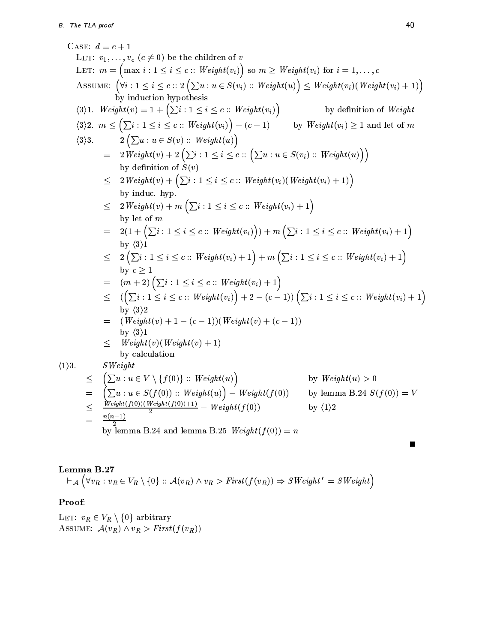CASE:  $d = e + 1$ LET:  $v_1, \ldots, v_c$   $(c \neq 0)$  be the children of v LET:  $m = (max i : 1 \le i \le c :: Weight(v_i))$  so  $m \ge Weight(v_i)$  for  $i = 1, ..., c$ ASSUME:  $(\forall i : 1 \leq i \leq c :: 2 (\sum u : u \in S(v_i) :: Weight(u)) \leq Weight(v_i)(Weight(v_i) + 1))$ by induction hypothesis  $\langle 3 \rangle 1. \ \ Weight(v) = 1 + (\sum i : 1 \leq i \leq c :: Weight(v_i))$ by definition of Weight  $\langle 3 \rangle 2. \ \ m \leq \Big( \sum i : 1 \leq i \leq c : : Weight(v_i) \Big) - (c-1)$ by  $Weight(v_i) \geq 1$  and let of m  $2\left(\sum u : u \in S(v) :: Weight(u)\right)$  $\langle 3 \rangle 3$ .  $= 2 \text{Weight}(v) + 2 \left( \sum_{i} i : 1 \leq i \leq c : \left( \sum_{i} u : u \in S(v_i) :: \text{Weight}(u) \right) \right)$ by definition of  $S(v)$  $\leq 2 \text{Weight}(v) + (\sum_{i} i : 1 \leq i \leq c \text{ :: } \text{Weight}(v_i) (\text{Weight}(v_i) + 1))$ by induc. hyp.  $\leq 2 \text{Weight}(v) + m \left( \sum_{i} i : 1 \leq i \leq c :: \text{Weight}(v_i) + 1 \right)$ by let of  $m$  $= 2(1 + (\sum_{i} : 1 \leq i \leq c :: Weight(v_i))) + m(\sum_{i} : 1 \leq i \leq c :: Weight(v_i) + 1)$ by  $\langle 3 \rangle 1$  $\leq 2\left(\sum_{i} i : 1 \leq i \leq c :: Weight(v_i) + 1\right) + m\left(\sum_{i} i : 1 \leq i \leq c :: Weight(v_i) + 1\right)$ by  $c > 1$  $=$   $(m+2)\left(\sum i : 1 \leq i \leq c :: Weight(v_i) + 1\right)$  $\leq$   $(\left(\sum_{i} i : 1 \leq i \leq c :: Weight(v_i)\right) + 2 - (c-1))\left(\sum_{i} i : 1 \leq i \leq c :: Weight(v_i) + 1\right)$ by  $\langle 3 \rangle 2$  $=$   $(Weight(v) + 1 - (c - 1))(Weight(v) + (c - 1))$ by  $\langle 3 \rangle 1$  $Weight(v)(Weight(v) + 1)$  $\leq$ by calculation  $\langle 1 \rangle 3$ .  $SWeight$  $\big(\sum u : u \in V \setminus \{f(0)\} :: Weight(u)\big)$ by  $Weight(u) > 0$  $\leq$  $\Big(\sum u : u \in S(f(0)) :: Weight(u)\Big) - Weight(f(0))$ by lemma B.24  $S(f(0)) = V$  $=$  $\frac{Weight(f(0))(Weight(f(0))+1)}{2} - Weight(f(0))$  $\leq$ by  $\langle 1 \rangle 2$  $n(n-1)$ by lemma B.24 and lemma B.25  $Weight(f(0)) = n$ 

# Lemma B.27

$$
\vdash_{\mathcal{A}} (\forall v_R : v_R \in V_R \setminus \{0\} :: \mathcal{A}(v_R) \land v_R > First(f(v_R)) \Rightarrow SWeight' = SWeight)
$$

# Proof:

LET:  $v_R \in V_R \setminus \{0\}$  arbitrary ASSUME:  $\mathcal{A}(v_R) \wedge v_R > First(f(v_R))$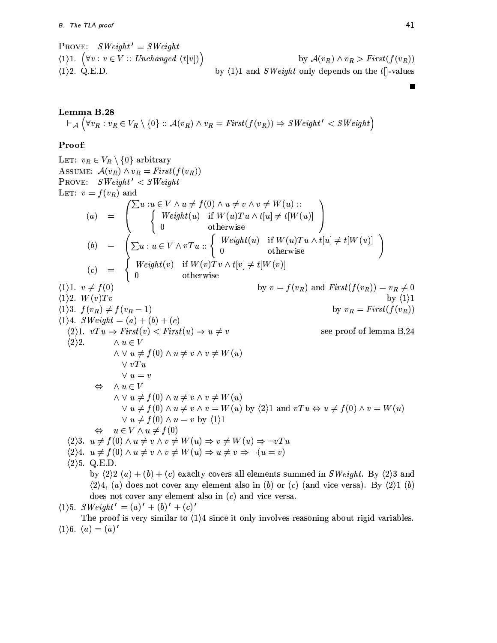PROVE:  $SWeight' = SWeight$  $\langle 1 \rangle 1.$   $(\forall v : v \in V :: Unchanged (t[v])')$ by  $\mathcal{A}(v_R) \wedge v_R > First(f(v_R))$  $\langle 1 \rangle$ 2. Q.E.D. by  $\langle 1 \rangle 1$  and *SWeight* only depends on the t[]-values

Lemma B.28  $\vdash_{\mathcal{A}} (\forall v_R : v_R \in V_R \setminus \{0\} :: \mathcal{A}(v_R) \land v_R = First(f(v_R)) \Rightarrow SWeight' < SWeight')$ 

# Proof:

LET:  $v_R \in V_R \setminus \{0\}$  arbitrary ASSUME:  $\mathcal{A}(v_R) \wedge v_R = First(f(v_R))$ PROVE:  $SWeight' < SWeight$ 3:  $\begin{aligned} \mathbb{E} \text{ } & \begin{array}{l} \text{s:} \end{array} & \begin{array}{l} \text{s:} \end{array} & \begin{array}{l} \text{s:} \end{array} & \begin{array}{l} \text{s:} \end{array} & \begin{array}{l} \text{s:} \end{array} & \begin{array}{l} \text{s:} \end{array} & \begin{array}{l} \text{s:} \end{array} & \begin{array}{l} \text{s:} \end{array} & \begin{array}{l} \text{s:} \end{array} & \begin{array}{l} \text{s:} \end{array} & \begin{array}{l} \text{s:} \end{array} & \begin{$ LET:  $v = f(v_R)$  and  $\langle 1 \rangle 1. \, v \neq f(0)$ by  $\langle 1 \rangle 1$ <br>by  $v_R = First(f(v_R))$  $\langle 1 \rangle 2$ .  $W(v)Tv$  $\langle 1 \rangle 3. f(v_R) \neq f(v_R - 1)$  $\langle 1 \rangle 4$ . SWeight =  $(a) + (b) + (c)$  $\langle 2 \rangle 1. \quad vTu \Rightarrow First(v) < First(u) \Rightarrow u \neq v$ see proof of lemma B.24  $\wedge u \in V$  $\langle 2 \rangle 2$ .  $\wedge \vee u \neq f(0) \wedge u \neq v \wedge v \neq W(u)$  $\vee vTu$  $\vee u = v$  $\Leftrightarrow \quad \wedge u \in V$  $\wedge \vee u \neq f(0) \wedge u \neq v \wedge v \neq W(u)$  $\vee u \neq f(0) \wedge u \neq v \wedge v = W(u)$  by  $\langle 2 \rangle 1$  and  $vTu \Leftrightarrow u \neq f(0) \wedge v = W(u)$  $\vee u \neq f(0) \wedge u = v$  by  $\langle 1 \rangle 1$  $\Leftrightarrow u \in V \wedge u \neq f(0)$  $\langle 2 \rangle 3. u \neq f(0) \wedge u \neq v \wedge v \neq W(u) \Rightarrow v \neq W(u) \Rightarrow \neg vTu$  $\langle 2 \rangle 4$ .  $u \neq f(0) \wedge u \neq v \wedge v \neq W(u) \Rightarrow u \neq v \Rightarrow \neg(u = v)$  $\langle 2 \rangle$ 5. Q.E.D. by  $\langle 2 \rangle 2(a) + (b) + (c)$  exactly covers all elements summed in *SWeight*. By  $\langle 2 \rangle 3$  and  $\langle 2\rangle$ 4, (a) does not cover any element also in (b) or (c) (and vice versa). By  $\langle 2\rangle$ 1 (b) does not cover any element also in  $(c)$  and vice versa.  $\langle 1 \rangle 5$ .  $SWeight' = (a)' + (b)' + (c)'$ The proof is very similar to  $\langle 1 \rangle$ 4 since it only involves reasoning about rigid variables.  $\langle 1 \rangle 6. \, (a) = (a)'$ 

Е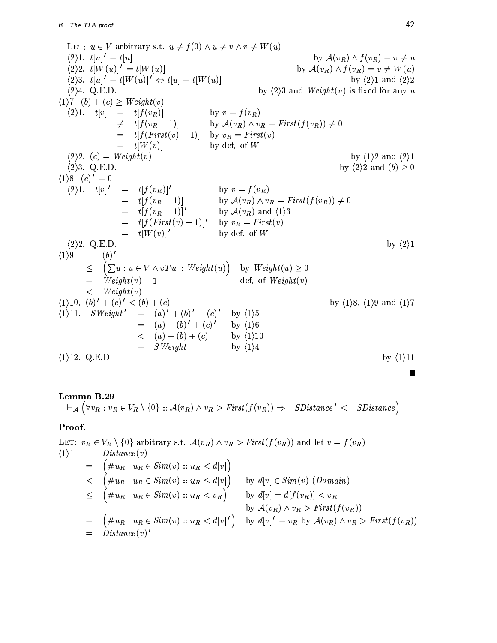LET:  $u \in V$  arbitrary s.t.  $u \neq f(0) \wedge u \neq v \wedge v \neq W(u)$  $\langle 2 \rangle 1. t[u]' = t[u]$ by  $\mathcal{A}(v_R) \wedge f(v_R) = v \neq u$  $(2)2. t[W(u)]' = t[W(u)]$ by  $\mathcal{A}(v_R) \wedge f(v_R) = v \neq W(u)$  $\langle 2 \rangle 3. t[u]' = t[W(u)]' \Leftrightarrow t[u] = t[W(u)]$ by  $\langle 2 \rangle$ 1 and  $\langle 2 \rangle$ 2  $\langle 2 \rangle 4$ . Q.E.D. by  $\langle 2 \rangle$  and *Weight* $(u)$  is fixed for any u  $\langle 1 \rangle$ 7.  $(b) + (c) \geq Weight(v)$  $\langle 2 \rangle 1$ .  $t[v]$ by  $v = f(v_R)$  $=$   $t[f(v_R)]$  $\neq$   $t[f(v_R-1)]$ by  $\mathcal{A}(v_R) \wedge v_R = First(f(v_R)) \neq 0$  $=$   $t[f(First(v) - 1)]$  by  $v_R = First(v)$  $=$   $t[W(v)]$ by def. of  $W$  $\langle 2 \rangle 2.$  (c) = Weight(v) by  $\langle 1 \rangle 2$  and  $\langle 2 \rangle 1$  $\langle 2 \rangle$ 3. Q.E.D. by  $\langle 2 \rangle 2$  and  $(b) \geq 0$  $\langle 1 \rangle 8.$   $(c)' = 0$  $\langle 2 \rangle 1. \quad t[v]'$  $=$   $t[f(v_R)]'$ by  $v = f(v_R)$  $=$   $t[f(v_R-1)]$ by  $\mathcal{A}(v_R) \wedge v_R = First(f(v_R)) \neq 0$  $=$   $t[f(v_R-1)]'$ by  $A(v_R)$  and  $\langle 1 \rangle 3$  $=$   $t[f(First(v) - 1)]'$  by  $v_R = First(v)$  $=$   $t[W(v)]'$ by def. of  $W$  $\langle 2 \rangle 2$ . Q.E.D. by  $\langle 2 \rangle 1$  $\langle 1 \rangle 9$ .  $(b)'$  $\leq$  $\left(\sum u : u \in V \wedge vTu :: Weight(u)\right)$ by  $Weight(u) \geq 0$  $Weight(v) - 1$ def. of  $Weight(v)$  $=$  $\lt$   $Weight(v)$  $(1)10. (b)' + (c)' < (b) + (c)$ by  $\langle 1 \rangle 8$ ,  $\langle 1 \rangle 9$  and  $\langle 1 \rangle 7$  $(1)11. \quad SWeight' = (a)' + (b)' + (c)'$ by  $\langle 1 \rangle 5$  $= (a) + (b)' + (c)'$ by  $\langle 1 \rangle 6$  $\langle (a) + (b) + (c) \rangle$ by  $\langle 1 \rangle 10$  $=$  SWeight by  $\langle 1 \rangle 4$  $\langle 1 \rangle$ 12. Q.E.D. by  $\langle 1 \rangle$ 11

# Lemma B.29

 $\vdash_{\mathcal{A}} (\forall v_R : v_R \in V_R \setminus \{0\} :: \mathcal{A}(v_R) \land v_R > First(f(v_R)) \Rightarrow -SDistance' < -SDistance)$ 

## Proof:

LET:  $v_R \in V_R \setminus \{0\}$  arbitrary s.t.  $\mathcal{A}(v_R) \wedge v_R > First(f(v_R))$  and let  $v = f(v_R)$  $\langle 1 \rangle 1$ .  $Distance(v)$  $\begin{cases} \#u_R: u_R\in Sim(v) :: u_R < d[v] \\ \#u_R: u_R\in Sim(v) :: u_R \leq d[v] \end{cases} \quad \text{by $d[v]\in Sim(v)~(Domain)$} \\ \begin{cases} \#u_R: u_R\in Sim(v) :: u_R < v_R \end{cases} \quad \text{by $d[v]=d[f(v_R)] < v_R$} \end{cases}$  $=$  $\overline{\phantom{a}}$  $\langle$ by  $\mathcal{A}(v_R) \wedge v_R > First(f(v_R))$  $=$   $(\#u_R: u_R \in Sim(v) :: u_R < d[v]')$  by  $d[v]' = v_R$  by  $\mathcal{A}(v_R) \wedge v_R > First(f(v_R))$  $=$  Distance(v)'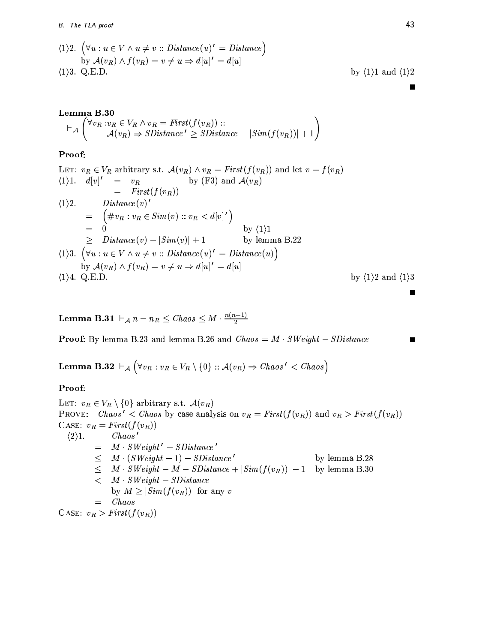$$
\begin{aligned}\n\langle 1 \rangle 2. \quad & \left( \forall u : u \in V \land u \neq v :: Distance(u)' = Distance \right) \\
& \text{by } \mathcal{A}(v_R) \land f(v_R) = v \neq u \Rightarrow d[u]' = d[u] \\
\langle 1 \rangle 3. \quad & \text{Q.E.D.} \quad \text{by } \langle 1 \rangle 1 \text{ and } \langle 1 \rangle 2\n\end{aligned}
$$

П

Г

Г

**Lemma B.30**  
\n
$$
\vdash_{\mathcal{A}} \begin{pmatrix} \forall v_R : v_R \in V_R \land v_R = First(f(v_R)) : : \\ \mathcal{A}(v_R) \Rightarrow SDistance' \ge SDistance - |Sim(f(v_R))| + 1 \end{pmatrix}
$$

# Proof:

LET: 
$$
v_R \in V_R
$$
 arbitrary s.t.  $\mathcal{A}(v_R) \wedge v_R = First(f(v_R))$  and let  $v = f(v_R)$   
\n $\langle 1 \rangle 1.$   $d[v]' = v_R$  by (F3) and  $\mathcal{A}(v_R)$   
\n $= First(f(v_R))$   
\n $\langle 1 \rangle 2.$  Distance(v)'  
\n $= (\#v_R : v_R \in Sim(v) :: v_R < d[v]')$   
\n $= 0$  by  $\langle 1 \rangle 1$   
\n $\geq Distance(v) - |Sim(v)| + 1$  by lemma B.22  
\n $\langle 1 \rangle 3.$   $(\forall u : u \in V \land u \neq v :: Distance(u)' = Distance(u))$   
\nby  $\mathcal{A}(v_R) \land f(v_R) = v \neq u \Rightarrow d[u]' = d[u]$   
\n $\langle 1 \rangle 4.$  Q.E.D. by  $\langle 1 \rangle 2$  and  $\langle 1 \rangle 3$ 

**Lemma B.31**  $\vdash_A n - n_R \leq Chaos \leq M \cdot \frac{n(n-1)}{2}$ 

**Proof:** By lemma B.23 and lemma B.26 and  $Chaos = M \cdot SWeight - SDistance$ 

**Lemma B.32**  $\vdash_{\mathcal{A}} (\forall v_R : v_R \in V_R \setminus \{0\} :: \mathcal{A}(v_R) \Rightarrow Chaos' < Chaos)$ 

# Proof:

LET:  $v_R \in V_R \setminus \{0\}$  arbitrary s.t.  $\mathcal{A}(v_R)$ PROVE: Chaos' < Chaos by case analysis on  $v_R = First(f(v_R))$  and  $v_R > First(f(v_R))$ CASE:  $v_R = First(f(v_R))$  $Chaos'$  $\langle 2 \rangle 1$ .  $=$   $M \cdot SWeight' - SDistance'$  $\leq$   $M \cdot (SWeight - 1) - SDistance'$ by lemma B.28  $\leq$   $M \cdot SWeight - M - SDistance + |Sim(f(v_R))| - 1$ by lemma B.30  $\lt M \cdot SWeight - SDistance$ by  $M \geq |Sim(f(v_R))|$  for any v  $=$  *Chaos* CASE:  $v_R > First(f(v_R))$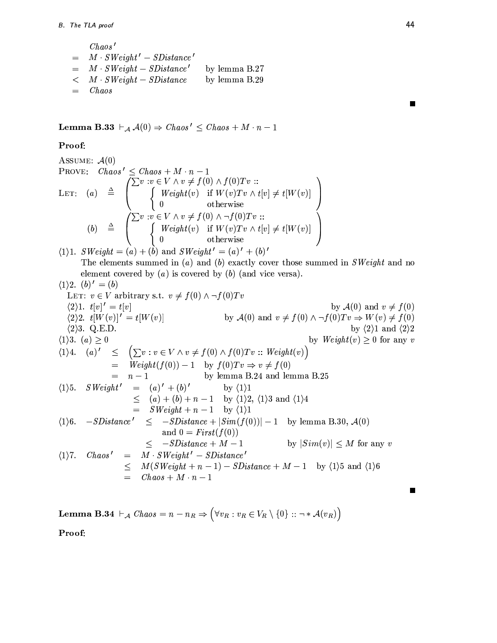$Chaos\,'$  $=$   $M \cdot SWeight' - SDistance'$  $= \quad M \cdot SWeight - SDistance'$ by lemma B.27  $\lt M \cdot SWeight - SDistance$ by lemma B.29  $=$  *Chaos* 

**Lemma B.33**  $\vdash_{\mathcal{A}} \mathcal{A}(0) \Rightarrow \text{Chaos'} \leq \text{Chaos} + M \cdot n - 1$ 

## Proof:

Assume: 
$$
\mathcal{A}(0)
$$

\nProve:  $Chaos' \leq Chaos + M \cdot n - 1$ 

\nLET: (a)  $\triangleq \begin{pmatrix} \sum v : v \in V \land v \neq f(0) \land f(0)Tv : \ \int \; W \, eight(v) & \text{if } W(v)Tv \land t[v] \neq t[W(v)] \ 0 & \text{otherwise} \end{pmatrix}$ 

\n(b)  $\triangleq \begin{pmatrix} \sum v : v \in V \land v \neq f(0) \land \neg f(0)Tv : \ \int \; W \, eight(v) & \text{if } W(v)Tv \land t[v] \neq t[W(v)] \ 0 & \text{otherwise} \end{pmatrix}$ 

\n(b)  $\triangleq \begin{pmatrix} \sum v : v \in V \land v \neq f(0) \land \neg f(0)Tv : \sum v : V \land t[v] \neq t[W(v)] \ 0 & \text{otherwise} \end{pmatrix}$ 

 $\langle 1 \rangle 1$ . SWeight = (a) + (b) and SWeight' = (a)' + (b)' The elements summed in  $(a)$  and  $(b)$  exactly cover those summed in SWeight and no element covered by  $(a)$  is covered by  $(b)$  (and vice versa).  $\overline{1}$ 

(1)2. 
$$
(b)' = (b)
$$
  
\nLET:  $v \in V$  arbitrary s.t.  $v \neq f(0) \land \neg f(0)Tv$   
\n(2)1.  $t[v]' = t[v]$   
\n(2)2.  $t[W(v)]' = t[W(v)]$   
\n(2)3. Q.E.D.  
\n(1)3.  $(a) \ge 0$   
\n(1)4.  $(a)' \le (\sum v : v \in V \land v \neq f(0) \land f(0)Tv :: Weight(v))$   
\n $= Weight(f(0)) - 1$  by  $f(0)Tv :: Weight(v)$   
\n $= n - 1$   
\n(1)5.  $SWeight' = (a)' + (b)'$   
\n $= (a) + (b) + n - 1$  by  $(1)2$ ,  $(1)3$  and  $(1)4$   
\n $= SWeight(f(0))$   
\n $= n - 1$   
\n $= 1$   
\n $= 1$   
\n $= 1$   
\n $= 1$   
\n $= 1$   
\n $= 1$   
\n $= 1$   
\n $= 1$   
\n $= 1$   
\n $= 1$   
\n $= 1$   
\n $= 1$   
\n $= 1$   
\n $= 1$   
\n $= 1$   
\n $= 1$   
\n $= 1$   
\n $= 1$   
\n $= 1$   
\n $= 1$   
\n $= 1$   
\n $= 1$   
\n $= 1$   
\n $= 1$   
\n $= 1$   
\n $= 1$   
\n $= 1$   
\n $= 1$   
\n $= 1$   
\n $= 1$   
\n $= 1$   
\n $= 1$   
\n $= 1$   
\n $= 1$   
\n $= 1$   
\n $= 1$   
\n $= 1$   
\n $= 1$   
\n $= 1$   
\n $= 1$ <

**Lemma B.34**  $\vdash_{\mathcal{A}}$  Chaos =  $n - n_R \Rightarrow (\forall v_R : v_R \in V_R \setminus \{0\} :: \neg * \mathcal{A}(v_R))$ 

Proof:

 $\blacksquare$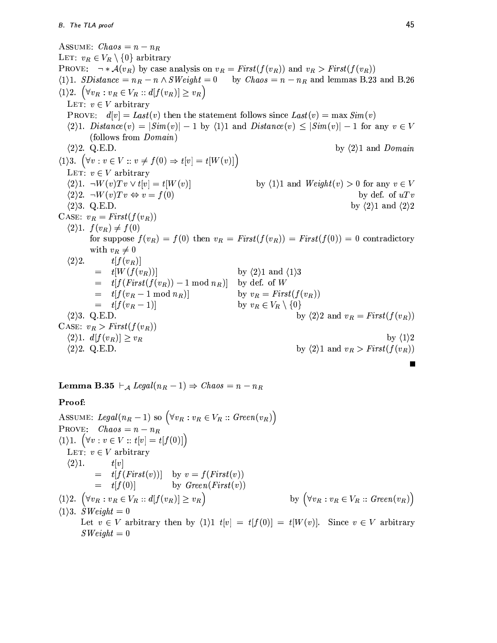ASSUME:  $Chaos = n - n_R$ LET:  $v_R \in V_R \setminus \{0\}$  arbitrary **PROVE:**  $\neg * \mathcal{A}(v_R)$  by case analysis on  $v_R = First(f(v_R))$  and  $v_R > First(f(v_R))$  $\langle 1 \rangle 1$ . SDistance =  $n_R - n \wedge SWeight = 0$ by  $Chaos = n - n_R$  and lemmas B.23 and B.26  $\langle 1 \rangle 2. \quad (\forall v_R : v_R \in V_R :: d[f(v_R)] \geq v_R)$ LET:  $v \in V$  arbitrary **PROVE:**  $d[v] = Last(v)$  then the statement follows since  $Last(v) = \max Sim(v)$  $\langle 2\rangle 1.$  *Distance* $(v) = |Sim(v)| - 1$  by  $\langle 1\rangle 1$  and *Distance* $(v) \leq |Sim(v)| - 1$  for any  $v \in V$ (follows from *Domain*)  $\langle 2 \rangle 2$ . Q.E.D. by  $\langle 2 \rangle$ 1 and Domain  $\langle 1 \rangle 3. \quad (\forall v : v \in V :: v \neq f(0) \Rightarrow t[v] = t[W(v)]$ LET:  $v \in V$  arbitrary  $\langle 2 \rangle 1. \quad \neg W(v) Tv \lor t[v] = t[W(v)]$ by  $\langle 1 \rangle 1$  and  $Weight(v) > 0$  for any  $v \in V$  $\langle 2 \rangle 2$ .  $\neg W(v)Tv \Leftrightarrow v = f(0)$ by def. of  $uTv$  $\langle 2 \rangle$ 3. Q.E.D. by  $\langle 2 \rangle$ 1 and  $\langle 2 \rangle$ 2 CASE:  $v_R = First(f(v_R))$  $\langle 2 \rangle 1. f(v_R) \neq f(0)$ for suppose  $f(v_R) = f(0)$  then  $v_R = First(f(v_R)) = First(f(0)) = 0$  contradictory with  $v_R \neq 0$  $\langle 2 \rangle 2$ .  $t[f(v_R)]$  $=$   $t[W(f(v_R))]$ by  $\langle 2 \rangle$ 1 and  $\langle 1 \rangle$ 3  $=$   $t[f(First(f(v_R)) - 1 \mod n_R)]$  by def. of W  $=$   $t[f(v_R-1 \mod n_R)]$ by  $v_R = First(f(v_R))$  $=$   $t[f(v_R-1)]$ by  $v_R \in V_R \setminus \{0\}$ by  $\langle 2 \rangle 2$  and  $v_R = First(f(v_R))$  $\langle 2 \rangle$ 3. Q.E.D. CASE:  $v_R > First(f(v_R))$  $\langle 2 \rangle 1. d[f(v_R)] \geq v_R$ by  $\langle 1 \rangle 2$  $\langle 2 \rangle 2.$  Q.E.D. by  $\langle 2 \rangle 1$  and  $v_R > First(f(v_R))$ 

**Lemma B.35**  $\vdash_{\mathcal{A}} \text{Legal}(n_R - 1) \Rightarrow \text{Chaos} = n - n_R$ 

# Proof:

ASSUME: Legal( $n_R - 1$ ) so  $(\forall v_R : v_R \in V_R :: Green(v_R))$ PROVE:  $Chaos = n - n_R$  $\langle 1 \rangle 1. \ \ (\forall v : v \in V :: t[v] = t[f(0)]\,)$ LET:  $v \in V$  arbitrary  $\langle 2 \rangle 1$ .  $t[v]$  $=$   $t[f(First(v))]$  by  $v = f(First(v))$  $=$   $t[f(0)]$ by  $Green(First(v))$  $\langle 1 \rangle 2. \quad \Big( \forall v_R : v_R \in V_R :: d [f (v_R)] \geq v_R \Big)$ by  $(\forall v_R : v_R \in V_R :: Green(v_R))$  $\langle 1 \rangle 3$ . SWeight = 0

Let  $v \in V$  arbitrary then by  $\langle 1 \rangle 1$   $t[v] = t[f(0)] = t[W(v)]$ . Since  $v \in V$  arbitrary  $SWeight = 0$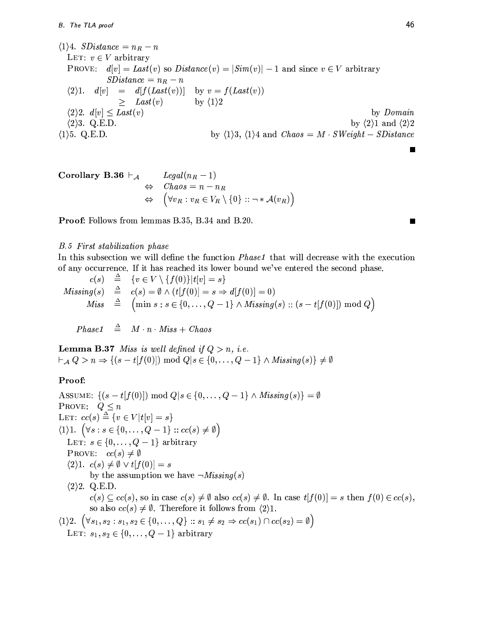$\langle 1 \rangle 4$ . *SDistance* =  $n_R - n$ LET:  $v \in V$  arbitrary **PROVE:**  $d[v] = Last(v)$  so  $Distance(v) = |Sim(v)| - 1$  and since  $v \in V$  arbitrary  $SDistance = n_R - n$  $\langle 2\rangle 1. \quad d[v] = d[f(Last(v))] \quad \text{by } v = f(Last(v))$  $\,>$  $Last(v)$ by  $\langle 1 \rangle 2$  $\langle 2 \rangle 2. d[v] \leq Last(v)$ by Domain  $\langle 2 \rangle$ 3. Q.E.D. by  $\langle 2 \rangle$ 1 and  $\langle 2 \rangle$ 2 by  $\langle 1 \rangle 3$ ,  $\langle 1 \rangle 4$  and  $Chaos = M \cdot SWeight - SDistance$  $\langle 1 \rangle$ 5. Q.E.D.

Corollary B.36 
$$
\vdash_{\mathcal{A}}
$$
  $Legal(n_R - 1)$   
\n $\Leftrightarrow$   $Chaos = n - n_R$   
\n $\Leftrightarrow (\forall v_R : v_R \in V_R \setminus \{0\} :: \neg * \mathcal{A}(v_R))$ 

**Proof:** Follows from lemmas B.35, B.34 and B.20.

## **B.5** First stabilization phase

In this subsection we will define the function *Phase1* that will decrease with the execution of any occurrence. If it has reached its lower bound we've entered the second phase.

 $\hat{=} \{v \in V \setminus \{f(0)\}|t|v|=s\}$  $c(s)$  $\stackrel{\Delta}{=}$   $c(s) = \emptyset \wedge (t[f(0)] = s \Rightarrow d[f(0)] = 0)$  $Missing(s)$  $\min s : s \in \{0, \ldots, Q-1\} \wedge \mathit{Missing}(s) :: (s - t[f(0)]) \bmod Q\}$  $\triangleq$ **Miss** 

 $\triangleq$   $M \cdot n \cdot Miss + Chaos$  $Phase1$ 

**Lemma B.37** Miss is well defined if  $Q > n$ , i.e.  $\vdash_{\mathcal{A}} Q > n \Rightarrow \{(s-t[f(0)]) \bmod Q | s \in \{0,\ldots,Q-1\} \wedge Missing(s)\}\neq \emptyset$ 

# Proof:

ASSUME:  $\{(s-t[f(0)]) \bmod Q | s \in \{0,\ldots,Q-1\} \wedge Missing(s)\} = \emptyset$ PROVE:  $Q \leq n$ LET:  $cc(s) \stackrel{\Delta}{=} \{v \in V | t[v] = s\}$  $\langle 1 \rangle 1. \quad (\forall s : s \in \{0, \ldots, Q-1\} :: cc(s) \neq \emptyset)$ LET:  $s \in \{0, \ldots, Q-1\}$  arbitrary PROVE:  $cc(s) \neq \emptyset$  $\langle 2 \rangle 1. \ c(s) \neq \emptyset \vee t[f(0)] = s$ by the assumption we have  $\neg Missing(s)$  $\langle 2 \rangle 2$ . Q.E.D.  $c(s) \subseteq cc(s)$ , so in case  $c(s) \neq \emptyset$  also  $cc(s) \neq \emptyset$ . In case  $t[f(0)] = s$  then  $f(0) \in cc(s)$ , so also  $cc(s) \neq \emptyset$ . Therefore it follows from  $\langle 2 \rangle 1$ .  $\langle 1 \rangle 2. \ (\forall s_1, s_2 : s_1, s_2 \in \{0, \ldots, Q\} :: s_1 \neq s_2 \Rightarrow cc(s_1) \cap cc(s_2) = \emptyset)$ LET:  $s_1, s_2 \in \{0, \ldots, Q-1\}$  arbitrary

П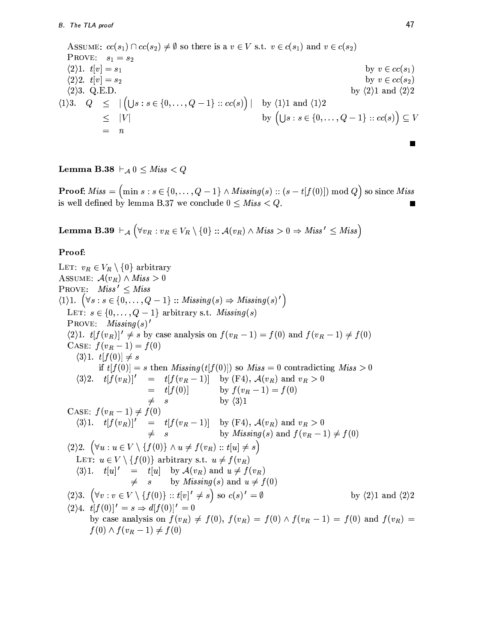ASSUME:  $cc(s_1) \cap cc(s_2) \neq \emptyset$  so there is a  $v \in V$  s.t.  $v \in c(s_1)$  and  $v \in c(s_2)$ PROVE:  $s_1 = s_2$  $\langle 2 \rangle 1. \t t[v] = s_1$ by  $v \in cc(s_1)$  $\langle 2 \rangle 2. t[v] = s_2$ by  $v \in cc(s_2)$  $\langle 2 \rangle$ 3. Q.E.D. by  $\langle 2 \rangle 1$  and  $\langle 2 \rangle 2$  $\langle 1 \rangle 3$ .  $Q \leq |(\bigcup s : s \in \{0, \ldots, Q-1\} :: cc(s))|$  by  $\langle 1 \rangle 1$  and  $\langle 1 \rangle 2$ by  $(\bigcup s : s \in \{0, \ldots, Q-1\} :: cc(s)) \subseteq V$  $\leq$  $|V|$  $\!\!\!=\!\!\!\!$  $\boldsymbol{n}$ 

Lemma B.38  $\vdash_{\mathcal{A}} 0 \leq Miss < Q$ 

**Proof:**  $Miss = (min s : s \in \{0, ..., Q-1\} \land \textit{Missing}(s) :: (s - t[f(0)]) \text{ mod } Q)$  so since Miss is well defined by lemma B.37 we conclude  $0 \leq Miss < Q$ .

**Lemma B.39**  $\vdash_{\mathcal{A}} (\forall v_R : v_R \in V_R \setminus \{0\} :: \mathcal{A}(v_R) \wedge Miss > 0 \Rightarrow Miss' \leq Miss)$ 

# Proof:

LET:  $v_R \in V_R \setminus \{0\}$  arbitrary ASSUME:  $\mathcal{A}(v_R) \wedge Miss > 0$ PROVE:  $Miss' \leq Miss$  $\langle 1 \rangle 1. \ (\forall s : s \in \{0, \ldots, Q-1\} :: \mathit{Missing}(s) \Rightarrow \mathit{Missing}(s)')$ LET:  $s \in \{0, \ldots, Q-1\}$  arbitrary s.t. *Missing(s)* **PROVE:**  $Missing(s)$ '  $(2)1. t[f(v_R)]' \neq s$  by case analysis on  $f(v_R - 1) = f(0)$  and  $f(v_R - 1) \neq f(0)$ CASE:  $f(v_R - 1) = f(0)$  $\langle 3\rangle 1. t[f(0)] \neq s$ if  $t[f(0)] = s$  then  $Missing(t[f(0)])$  so  $Miss = 0$  contradicting  $Miss > 0$  $(3)2.$   $t[f(v_R)]'$  =  $t[f(v_R-1)]$  by (F4),  $\mathcal{A}(v_R)$  and  $v_R > 0$ <br>=  $t[f(0)]$  by  $f(v_R-1) = f(0)$  $\neq$  s by  $\langle 3 \rangle 1$ CASE:  $f(v_R-1) \neq f(0)$  $(3)1.$   $t[f(v_R)]' = t[f(v_R - 1)]$  by (F4),  $\mathcal{A}(v_R)$  and  $v_R > 0$ <br> $\neq s$  by *Missing*(s) and  $f(v_R - 1) \neq f(0)$  $\langle 2 \rangle 2. \quad (\forall u : u \in V \setminus \{f(0)\} \land u \neq f(v_R) :: t[u] \neq s)$ LET:  $u \in V \setminus \{f(0)\}\$ arbitrary s.t.  $u \neq f(v_R)$  $\langle 3 \rangle 1. \t t[u]' = t[u]$  by  $\mathcal{A}(v_R)$  and  $u \neq f(v_R)$  $\neq$  s by *Missing(s)* and  $u \neq f(0)$  $\langle 2 \rangle 3. \left( \forall v : v \in V \setminus \{f(0)\} : : t[v]' \neq s \right)$  so  $c(s)' = \emptyset$ by  $\langle 2 \rangle 1$  and  $\langle 2 \rangle 2$ by case analysis on  $f(v_R) \neq f(0)$ ,  $f(v_R) = f(0) \wedge f(v_R - 1) = f(0)$  and  $f(v_R) =$  $f(0) \wedge f(v_R - 1) \neq f(0)$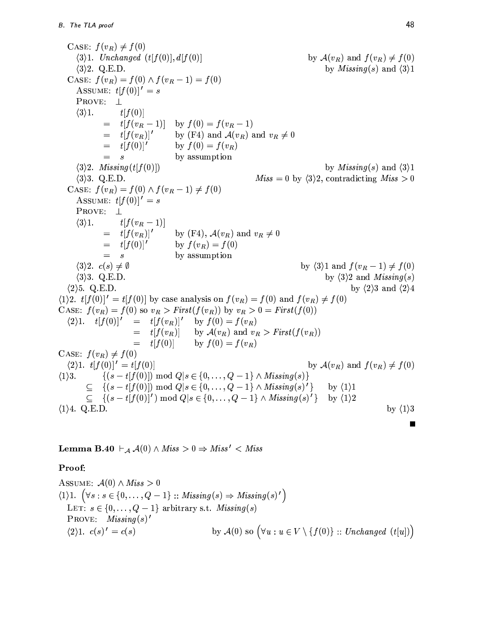CASE:  $f(v_R) \neq f(0)$  $\langle 3\rangle$ 1. Unchanged  $(t[f(0)], d[f(0)]$ by  $\mathcal{A}(v_R)$  and  $f(v_R) \neq f(0)$  $\langle 3 \rangle 2$ . Q.E.D. by *Missing*(s) and  $\langle 3 \rangle$ 1 CASE:  $f(v_R) = f(0) \wedge f(v_R - 1) = f(0)$ ASSUME:  $t[f(0)]' = s$ PROVE:  $\perp$  $\langle 3 \rangle 1$ .  $t[f(0)]$ by  $f(0) = f(v_R - 1)$  $=$   $t[f(v_R-1)]$ by (F4) and  $\mathcal{A}(v_R)$  and  $v_R \neq 0$  $=$   $t[f(v_R)]'$  $=$   $t[f(0)]'$ by  $f(0) = f(v_R)$  $=$   $s$ by assumption  $\langle 3 \rangle 2$ . *Missing*(*t*[*f*(0)]) by *Missing(s)* and  $\langle 3 \rangle$ 1  $\langle 3 \rangle$ 3. Q.E.D.  $Miss = 0$  by  $\langle 3 \rangle 2$ , contradicting  $Miss > 0$ CASE:  $f(v_R) = f(0) \wedge f(v_R - 1) \neq f(0)$ ASSUME:  $t[f(0)]' = s$ PROVE:  $\perp$  $\langle 3 \rangle 1$ .  $t[f(v_{R}-1)]$  $=$   $t[f(v_R)]'$ by (F4),  $\mathcal{A}(v_R)$  and  $v_R \neq 0$  $=$   $t[f(0)]'$ by  $f(v_R) = f(0)$  $=$   $s$ by assumption  $\langle 3 \rangle 2.$   $c(s) \neq \emptyset$ by  $\langle 3 \rangle 1$  and  $f(v_R - 1) \neq f(0)$  $\langle 3 \rangle$ 3. Q.E.D. by  $\langle 3 \rangle 2$  and *Missing*(s)  $\langle 2 \rangle$ 5. Q.E.D. by  $\langle 2 \rangle 3$  and  $\langle 2 \rangle 4$  $(1)2.$   $t[f(0)]' = t[f(0)]$  by case analysis on  $f(v_R) = f(0)$  and  $f(v_R) \neq f(0)$ CASE:  $f(v_R) = f(0)$  so  $v_R > First(f(v_R))$  by  $v_R > 0 = First(f(0))$  $(2)1. \t t[f(0)]' = t[f(v_R)]'$  by  $f(0) = f(v_R)$  $=$   $t[f(v_R)]$ by  $\mathcal{A}(v_R)$  and  $v_R > First(f(v_R))$  $=$   $t[f(0)]$ by  $f(0) = f(v_R)$ CASE:  $f(v_R) \neq f(0)$  $(2)1. t[f(0)]' = t[f(0)]$ by  $\mathcal{A}(v_R)$  and  $f(v_R) \neq f(0)$  $\{(s-t[f(0)]) \bmod Q | s \in \{0,\ldots,Q-1\} \wedge Missing(s)\}\$  $\langle 1 \rangle 3$ .  $\{(s-t[f(0)]) \bmod Q | s \in \{0,\ldots,Q-1\} \wedge Missing(s)'\}$  $\subseteq$ by  $\langle 1 \rangle 1$  $\subseteq$  { $(s-t|f(0)|') \text{ mod } Q | s \in \{0,\ldots,Q-1\} \wedge M \text{ is sing}(s)'$ } by  $\langle 1 \rangle 2$  $\langle 1 \rangle 4$ . Q.E.D. by  $\langle 1 \rangle 3$ 

**Lemma B.40**  $\vdash_A \mathcal{A}(0) \land Miss > 0 \Rightarrow Miss' < Miss$ 

# Proof:

ASSUME:  $\mathcal{A}(0) \wedge Miss > 0$  $\langle 1 \rangle 1. \ \left( \forall s : s \in \{0, \ldots, Q-1\} : \mathit{Missing}(s) \Rightarrow \mathit{Missing}(s)' \right)$ LET:  $s \in \{0, ..., Q-1\}$  arbitrary s.t. *Missing(s)* PROVE:  $Missing(s)'$ by  $\mathcal{A}(0)$  so  $(\forall u : u \in V \setminus \{f(0)\} :: Unchanged (t[u])\})$  $\langle 2 \rangle 1. \, c(s)' = c(s)$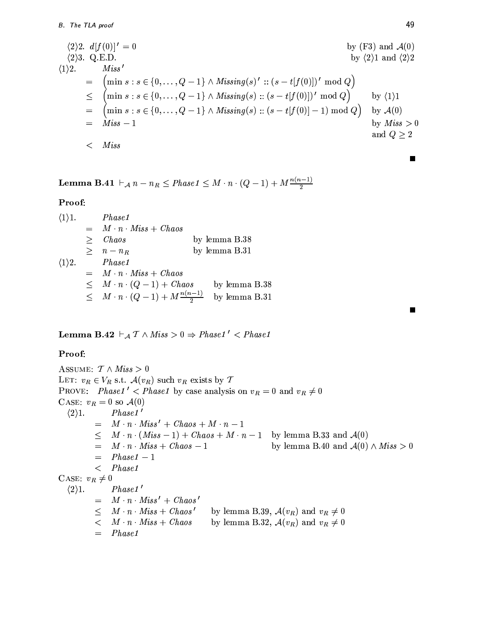$$
\langle 2 \rangle 2. \ d[f(0)]' = 0
$$
\n
$$
\langle 2 \rangle 3. Q.E.D. \qquad \text{by (F3) and } \mathcal{A}(0)
$$
\n
$$
\langle 1 \rangle 2. \qquad \text{Miss'}
$$
\n
$$
= \left( \min s : s \in \{0, \ldots, Q-1\} \land \text{Missing}(s)': : (s - t[f(0)])' \mod Q \right)
$$
\n
$$
\leq \left( \min s : s \in \{0, \ldots, Q-1\} \land \text{Missing}(s) :: (s - t[f(0)])' \mod Q \right) \qquad \text{by (1)1}
$$
\n
$$
= \left( \min s : s \in \{0, \ldots, Q-1\} \land \text{Missing}(s) :: (s - t[f(0)]) - 1) \mod Q \right) \qquad \text{by } \mathcal{A}(0)
$$
\n
$$
= \text{Miss} - 1 \qquad \qquad \text{by Miss} > 0
$$
\n
$$
= \text{Miss}
$$

**Lemma B.41**  $\vdash_{\mathcal{A}} n - n_R \leq Phase1 \leq M \cdot n \cdot (Q-1) + M \frac{n(n-1)}{2}$ 

# Proof:

| $\langle 1 \rangle 1$ . |            | <i>Phase1</i>                                           |               |
|-------------------------|------------|---------------------------------------------------------|---------------|
|                         |            | $=$ $M \cdot n \cdot Miss + Chaos$                      |               |
|                         | $>$ $\sim$ | Chaos                                                   | by lemma B.38 |
|                         |            | $\geq n-n_R$                                            | by lemma B.31 |
| $\langle 1 \rangle 2$ . |            | Phase1                                                  |               |
|                         |            | $=$ $M \cdot n \cdot Miss + Chaos$                      |               |
|                         |            | $\leq$ $M \cdot n \cdot (Q-1) + Chaos$<br>by lemma B.38 |               |
|                         |            | $\leq M \cdot n \cdot (Q-1) + M \frac{n(n-1)}{2}$       | by lemma B.31 |

**Lemma B.42**  $\vdash_A T \land Miss > 0 \Rightarrow Phase1' < Phase1$ 

# Proof:

ASSUME:  $\mathcal{T} \wedge Miss > 0$ LET:  $v_R \in V_R$  s.t.  $\mathcal{A}(v_R)$  such  $v_R$  exists by  $\mathcal T$ PROVE: Phase1' < Phase1 by case analysis on  $v_R = 0$  and  $v_R \neq 0$ CASE:  $v_R = 0$  so  $\mathcal{A}(0)$ Phase1'  $\langle 2 \rangle 1$ .  $=$   $M \cdot n \cdot Miss' + Chaos + M \cdot n - 1$  $\leq$   $M \cdot n \cdot (Miss - 1) + Chaos + M \cdot n - 1$  by lemma B.33 and  $\mathcal{A}(0)$  $=$   $M \cdot n \cdot Miss + Chaos - 1$ by lemma B.40 and  $A(0) \wedge Miss > 0$  $= Phase1 - 1$  $Phase1$  $\lt$ CASE:  $v_R \neq 0$  $\langle 2 \rangle 1$ . Phase1'  $=$   $M \cdot n \cdot Miss' + Chaos'$  $\leq$   $M \cdot n \cdot Miss + Chaos'$ by lemma B.39,  $\mathcal{A}(v_R)$  and  $v_R \neq 0$  $\begin{array}{lll} < & M \cdot n \cdot \mathit{Miss} \, + \ \mathit{Chaos} \end{array}$ by lemma B.32,  $\mathcal{A}(v_R)$  and  $v_R \neq 0$ *Phase1*  $=$ 

Г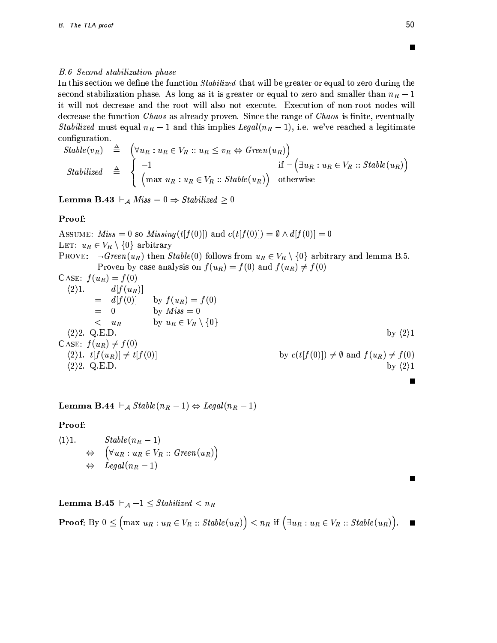#### **B.6** Second stabilization phase

In this section we define the function *Stabilized* that will be greater or equal to zero during the second stabilization phase. As long as it is greater or equal to zero and smaller than  $n_R - 1$ it will not decrease and the root will also not execute. Execution of non-root nodes will decrease the function Chaos as already proven. Since the range of Chaos is finite, eventually *Stabilized* must equal  $n_R - 1$  and this implies Legal( $n_R - 1$ ), i.e. we've reached a legitimate configuration.

$$
Stable(v_R) \triangleq \begin{cases} \forall u_R : u_R \in V_R :: u_R \leq v_R \Leftrightarrow Green(u_R) \\ -1 & \text{if } \neg (\exists u_R : u_R \in V_R :: Stable(u_R)) \\ \left( \max u_R : u_R \in V_R :: Stable(u_R) \right) & \text{otherwise} \end{cases}
$$

**Lemma B.43**  $\vdash_{\mathcal{A}}$  Miss = 0  $\Rightarrow$  Stabilized  $\geq$  0

## Proof:

ASSUME: Miss = 0 so Missing(t[f(0)]) and  $c(t[f(0)]) = \emptyset \wedge d[f(0)] = 0$ LET:  $u_R \in V_R \setminus \{0\}$  arbitrary PROVE:  $\neg Green(u_R)$  then  $Stable(0)$  follows from  $u_R \in V_R \setminus \{0\}$  arbitrary and lemma B.5. Proven by case analysis on  $f(u_R) = f(0)$  and  $f(u_R) \neq f(0)$ CASE:  $f(u_R) = f(0)$  $\langle 2 \rangle 1$ .  $d[f(u_R)]$ by  $f(u_R) = f(0)$  $= d[f(0)]$ by  $Miss = 0$  $=$  $\bf{0}$ by  $u_R \in V_R \setminus \{0\}$  $\langle u_R$  $\langle 2 \rangle 2$ . Q.E.D. by  $\langle 2 \rangle 1$ CASE:  $f(u_R) \neq f(0)$  $\langle 2\rangle 1. t[f(u_R)] \neq t[f(0)]$ by  $c(t[f(0)]) \neq \emptyset$  and  $f(u_R) \neq f(0)$  $\langle 2 \rangle 2$ . Q.E.D. by  $\langle 2 \rangle 1$ 

**Lemma B.44**  $\vdash_{\mathcal{A}}$  Stable $(n_R - 1) \Leftrightarrow \text{legal}(n_R - 1)$ 

## Proof:

 $\begin{array}{ll}\nStable(n_R - 1) \\
\Leftrightarrow & \left( \forall u_R : u_R \in V_R :: Green(u_R) \right) \\
\Leftrightarrow & \text{legal}(n_R - 1)\n\end{array}$  $\langle 1 \rangle 1$ .

**Lemma B.45**  $\vdash_{\mathcal{A}} -1 \leq Stabilized < n_R$ 

**Proof:** By  $0 \leq (max u_R : u_R \in V_R :: Stable(u_R)) < n_R$  if  $(\exists u_R : u_R \in V_R :: Stable(u_R))$ .  $\blacksquare$ 

П

П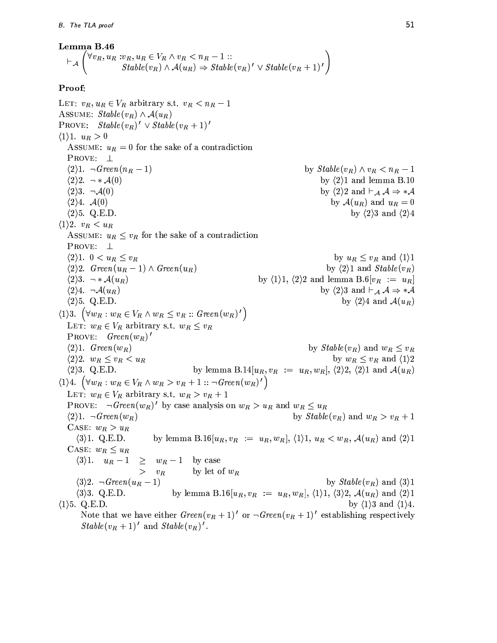#### Lemma B.46

$$
\vdash_{\mathcal{A}} \left( \forall v_R, u_R : v_R, u_R \in V_R \land v_R < n_R - 1 :: \\ \nStable(v_R) \land \mathcal{A}(u_R) \Rightarrow Stable(v_R)' \lor Stable(v_R + 1)'\right)
$$

## Proof:

LET:  $v_R, u_R \in V_R$  arbitrary s.t.  $v_R < n_R - 1$ ASSUME:  $Stable(v_R) \wedge \mathcal{A}(u_R)$ PROVE:  $Stable(v_R)' \vee Stable(v_R + 1)'$  $\langle 1 \rangle 1. u_R > 0$ ASSUME:  $u_R = 0$  for the sake of a contradiction PROVE:  $\perp$  $\langle 2 \rangle 1. \neg Green(n_R - 1)$ by  $Stable(v_R) \wedge v_R < n_R - 1$ by  $\langle 2 \rangle$ 1 and lemma B.10  $\langle 2 \rangle 2. \neg * \mathcal{A}(0)$  $\langle 2 \rangle 3. \neg \mathcal{A}(0)$ by  $\langle 2 \rangle 2$  and  $\vdash_{\mathcal{A}} \mathcal{A} \Rightarrow * \mathcal{A}$  $\langle 2 \rangle 4.$   $\mathcal{A}(0)$ by  $\mathcal{A}(u_R)$  and  $u_R=0$  $\langle 2 \rangle$ 5. Q.E.D. by  $\langle 2 \rangle 3$  and  $\langle 2 \rangle 4$  $\langle 1 \rangle 2. \ v_R < u_R$ ASSUME:  $u_R \leq v_R$  for the sake of a contradiction PROVE:  $\perp$  $\langle 2 \rangle 1.$   $0 < u_R \le v_R$ by  $u_R \leq v_R$  and  $\langle 1 \rangle 1$  $\langle 2 \rangle 2$ . Green $(u_R - 1) \wedge Green(u_R)$ by  $\langle 2 \rangle$ 1 and  $Stable(v_R)$  $\langle 2 \rangle 3. \ \neg * \mathcal{A}(u_R)$ by  $\langle 1 \rangle 1$ ,  $\langle 2 \rangle 2$  and lemma B.6[ $v_R := u_R$ ]  $\langle 2 \rangle 4. \neg \mathcal{A}(u_R)$ by  $\langle 2 \rangle$ 3 and  $\vdash_{\mathcal{A}} \mathcal{A} \Rightarrow * \mathcal{A}$  $\langle 2 \rangle$ 5. Q.E.D. by  $\langle 2 \rangle 4$  and  $\mathcal{A}(u_R)$  $\langle 1 \rangle 3. \left( \forall w_R : w_R \in V_R \wedge w_R \leq v_R :: Green(w_R)'\right)$ LET:  $w_R \in V_R$  arbitrary s.t.  $w_R \leq v_R$ PROVE:  $Green(w_R)'$  $\langle 2 \rangle 1.$  Green $(w_R)$ by  $Stable(v_R)$  and  $w_R \leq v_R$  $\langle 2 \rangle 2. \ w_R \leq v_R < u_R$ by  $w_R \leq v_R$  and  $\langle 1 \rangle 2$  $\langle 2 \rangle$ 3. Q.E.D. by lemma B.14 $[u_R, v_R := u_R, w_R], \langle 2 \rangle 2, \langle 2 \rangle 1$  and  $\mathcal{A}(u_R)$  $\langle 1 \rangle 4. \left( \forall w_R : w_R \in V_R \wedge w_R > v_R + 1 :: \neg Green(w_R)'\right)$ LET:  $w_R \in V_R$  arbitrary s.t.  $w_R > v_R + 1$ PROVE:  $\neg Green(w_R)'$  by case analysis on  $w_R > u_R$  and  $w_R \leq u_R$  $\langle 2 \rangle 1. \neg Green(w_R)$ by  $Stable(v_R)$  and  $w_R > v_R + 1$ CASE:  $w_R > u_R$  $\langle 3 \rangle$ 1. Q.E.D. by lemma B.16 $[u_R, v_R] := u_R, w_R$ ,  $(1)$ 1,  $u_R < w_R$ ,  $\mathcal{A}(u_R)$  and  $(2)$ 1 CASE:  $w_R \leq u_R$  $\geq w_R-1$  by case  $\langle 3 \rangle 1. \quad u_R-1$  $> v_R$ by let of  $w_R$ by  $Stable(v_R)$  and  $\langle 3 \rangle 1$  $\langle 3 \rangle 2. \neg Green(u_R-1)$  $\langle 3 \rangle$ 3. Q.E.D. by lemma B.16[ $u_R, v_R := u_R, w_R$ ],  $\langle 1 \rangle$ 1,  $\langle 3 \rangle$ 2,  $\mathcal{A}(u_R)$  and  $\langle 2 \rangle$ 1  $\langle 1 \rangle$ 5. Q.E.D. by  $\langle 1 \rangle 3$  and  $\langle 1 \rangle 4$ . Note that we have either  $Green(v_R + 1)'$  or  $\neg Green(v_R + 1)'$  establishing respectively  $Stable(v_R + 1)'$  and  $Stable(v_R)'$ .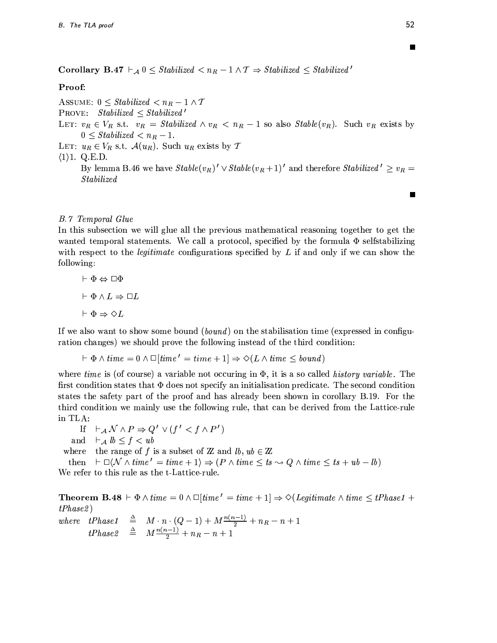**Corollary B.47**  $\vdash_{\mathcal{A}} 0 \leq$  Stabilized  $\lt n_R - 1 \wedge T \Rightarrow$  Stabilized  $\leq$  Stabilized'

# Proof:

ASSUME:  $0 \leq Stabilized < n_R - 1 \wedge T$ PROVE: Stabilized  $\leq$  Stabilized' LET:  $v_R \in V_R$  s.t.  $v_R = Stabilized \wedge v_R < n_R - 1$  so also  $Stable(v_R)$ . Such  $v_R$  exists by  $0 \leq Stabilized < n_R - 1.$ LET:  $u_R \in V_R$  s.t.  $\mathcal{A}(u_R)$ . Such  $u_R$  exists by  $\mathcal T$  $\langle 1 \rangle$ 1. Q.E.D. By lemma B.46 we have  $Stable(v_R)' \vee Stable(v_R+1)'$  and therefore Stabilized'  $\geq v_R =$ *Stabilized* П

# **B.7** Temporal Glue

In this subsection we will glue all the previous mathematical reasoning together to get the wanted temporal statements. We call a protocol, specified by the formula  $\Phi$  selfstabilizing with respect to the *legitimate* configurations specified by  $L$  if and only if we can show the following:

$$
\vdash \Phi \Leftrightarrow \Box \Phi
$$

$$
\vdash \Phi \land L \Rightarrow \Box L
$$

$$
\vdash \Phi \Rightarrow \Diamond L
$$

If we also want to show some bound (bound) on the stabilisation time (expressed in configuration changes) we should prove the following instead of the third condition:

$$
\vdash \Phi \land time = 0 \land \Box [time' = time + 1] \Rightarrow \Diamond (L \land time \leq bound)
$$

where time is (of course) a variable not occuring in  $\Phi$ , it is a so called *history variable*. The first condition states that  $\Phi$  does not specify an initialisation predicate. The second condition states the safety part of the proof and has already been shown in corollary B.19. For the third condition we mainly use the following rule, that can be derived from the Lattice-rule in TLA:

- If  $\vdash_A \mathcal{N} \land P \Rightarrow Q' \lor (f' < f \land P')$
- $\vdash_{\mathcal{A}} lb \leq f < ub$ and

the range of f is a subset of  $\mathbb Z$  and  $lb, ub \in \mathbb Z$ where

 $\vdash \Box \langle \mathcal{N} \wedge time' = time + 1 \rangle \Rightarrow (P \wedge time \leq ts \rightsquigarrow Q \wedge time \leq ts + ub - lb)$ then We refer to this rule as the t-Lattice-rule.

**Theorem B.48**  $\vdash \Phi \wedge time = 0 \wedge \Box[time' = time + 1] \Rightarrow \Diamond(Legitimate \wedge time \leq tPhase1 +$  $tPhase2)$ 

 $\begin{array}{rcl} where & tPhase1 & \triangleq & M \cdot n \cdot (Q-1) + M \frac{n(n-1)}{2} + n_R - n + 1 \\ tPhase2 & \triangleq & M \frac{n(n-1)}{2} + n_R - n + 1 \end{array}$ 

П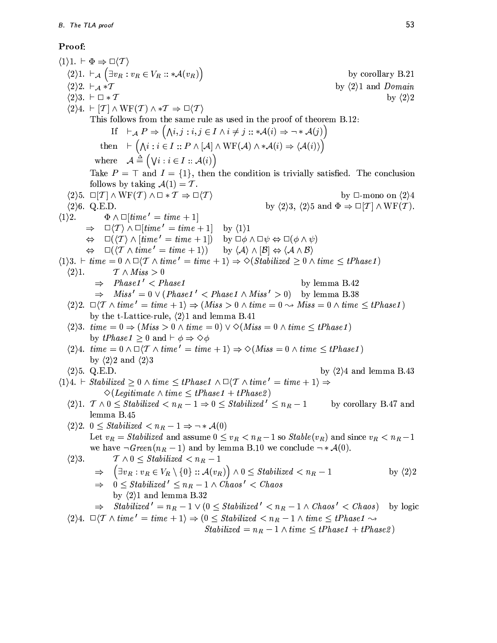# Proof:

 $\langle 1 \rangle 1. \vdash \Phi \Rightarrow \Box \langle T \rangle$  $\langle 2 \rangle 1. \vdash_{\mathcal{A}} (\exists v_R : v_R \in V_R :: * \mathcal{A}(v_R))$ by corollary B.21  $\langle 2 \rangle 2. \vdash_{\mathcal{A}} {\ast} \mathcal{T}$ by  $\langle 2 \rangle$ 1 and Domain  $\langle 2 \rangle 3. \vdash \Box * \mathcal{T}$ by  $\langle 2 \rangle 2$  $\langle 2 \rangle 4. \vdash [T] \wedge \text{WF}(T) \wedge *T \Rightarrow \Box \langle T \rangle$ This follows from the same rule as used in the proof of theorem B.12: If  $\vdash_{\mathcal{A}} P \Rightarrow (\bigwedge i, j : i, j \in I \land i \neq j :: *{\mathcal{A}}(i) \Rightarrow \neg *{\mathcal{A}}(j))$ then  $\vdash (\bigwedge i : i \in I :: P \land [\mathcal{A}] \land \text{WF}(\mathcal{A}) \land * \mathcal{A}(i) \Rightarrow \langle \mathcal{A}(i) \rangle)$ where  $\mathcal{A} \triangleq (\forall i : i \in I :: \mathcal{A}(i))$ Take  $P = \top$  and  $I = \{1\}$ , then the condition is trivially satisfied. The conclusion follows by taking  $A(1) = T$ .  $\langle 2\rangle$ 5.  $\square$ [*T*]  $\wedge$  WF(*T*)  $\wedge$   $\square$  \* *T*  $\Rightarrow$   $\square$ (*T*) by  $\Box$ -mono on  $\langle 2 \rangle 4$ by  $\langle 2 \rangle 3$ ,  $\langle 2 \rangle 5$  and  $\Phi \Rightarrow \Box[\mathcal{T}] \wedge \mathrm{WF}(\mathcal{T})$ .  $\langle 2 \rangle 6. Q.E.D.$  $\Phi \wedge \Box [time' = time + 1]$  $\langle 1 \rangle 2$ .  $\Rightarrow \Box \langle T \rangle \wedge \Box [time' = time + 1]$ by  $\langle 1 \rangle 1$  $\Leftrightarrow \Box(\langle T \rangle \wedge [time' = time + 1])$  by  $\Box \phi \wedge \Box \psi \Leftrightarrow \Box (\phi \wedge \psi)$  $\Leftrightarrow \Box(\langle T \wedge time' = time + 1 \rangle)$ by  $\langle A \rangle \wedge [\mathcal{B}] \Leftrightarrow \langle A \wedge \mathcal{B} \rangle$  $\langle 1\rangle 3. \vdash time = 0 \land \Box \langle T \land time' = time + 1 \rangle \Rightarrow \Diamond (Stabilized \geq 0 \land time \leq tPhase1)$  $\mathcal{T} \wedge Miss > 0$  $\langle 2 \rangle 1$ .  $Phase1' < Phase1$ by lemma B.42  $\Rightarrow$  $\Rightarrow$  Miss' = 0 \(Phase1' < Phase1 \ Miss' > 0) by lemma B.38  $\langle 2 \rangle 2. \Box \langle T \wedge time' = time + 1 \rangle \Rightarrow (Miss > 0 \wedge time = 0 \leadsto Miss = 0 \wedge time \leq tPhase1)$ by the t-Lattice-rule,  $\langle 2 \rangle$ 1 and lemma B.41  $\langle 2 \rangle$ 3. time = 0  $\Rightarrow$   $(Miss > 0 \land time = 0) \lor \Diamond (Miss = 0 \land time < tPhase1)$ by *tPhase1*  $\geq$  0 and  $\vdash \phi \Rightarrow \Diamond \phi$  $\langle 2 \rangle 4$ . time =  $0 \wedge \Box \langle T \wedge time' = time + 1 \rangle \Rightarrow \Diamond (Miss = 0 \wedge time \leq tPhase1)$ by  $\langle 2 \rangle 2$  and  $\langle 2 \rangle 3$  $\langle 2 \rangle$ 5. Q.E.D. by  $\langle 2 \rangle 4$  and lemma B.43  $\langle 1 \rangle 4. \vdash Stabilized \geq 0 \land time \leq tPhase1 \land \Box \langle T \land time' = time + 1 \rangle \Rightarrow$  $\Diamond$ (*Legitimate*  $\land$  *time*  $\leq$  *tPhase1* + *tPhase2*)  $\langle 2 \rangle 1$ .  $\mathcal{T} \wedge 0 \leq Stabilized < n_R - 1 \Rightarrow 0 \leq Stabilized' \leq n_R - 1$ by corollary B.47 and lemma B.45  $\langle 2 \rangle 2$ .  $0 \leq Stabilized < n_R - 1 \Rightarrow \neg * \mathcal{A}(0)$ Let  $v_R = Stabilized$  and assume  $0 \le v_R < n_R - 1$  so  $Stable(v_R)$  and since  $v_R < n_R - 1$ we have  $\neg Green(n_R-1)$  and by lemma B.10 we conclude  $\neg * \mathcal{A}(0)$ .  $\langle 2 \rangle 3$ .  $T \wedge 0 \leq Stabilized < n_R - 1$  $\left(\exists v_R : v_R \in V_R \setminus \{0\} :: \mathcal{A}(v_R)\right) \wedge 0 \leq Stabilized < n_R - 1$  $\Rightarrow$ by  $\langle 2 \rangle 2$  $\Rightarrow$  0  $\leq$  Stabilized'  $\leq n_R - 1 \wedge Chaos' < Chaos$ by  $\langle 2 \rangle$ 1 and lemma B.32  $Stabilized' = n_R - 1 \vee (0 \le Stabilized' < n_R - 1 \wedge Chaos' < Chaos)$ by logic  $\Rightarrow$  $\langle 2 \rangle 4. \Box \langle T \wedge time' = time + 1 \rangle \Rightarrow (0 \leq Stabilized < n_R - 1 \wedge time \leq tPhase1 \leadsto$  $Stabilized = n_R - 1 \wedge time \leq tPhase1 + tPhase2$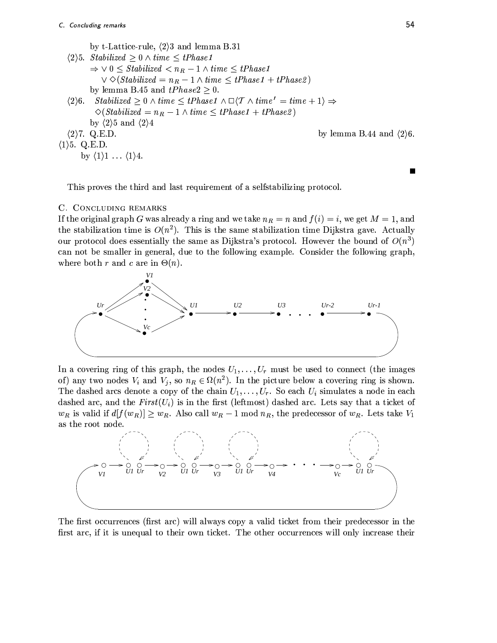```
by t-Lattice-rule, \langle 2 \rangle3 and lemma B.31
    \langle 2 \rangle5. Stabilized \geq 0 \wedge time \leq tPhase1\Rightarrow \vee 0 \leq Stabilized < n_R - 1 \wedge time \leq tPhase1\vee \Diamond (Stabilized = n_R - 1 \wedge time \leq tPhase1 + tPhase2)by lemma B.45 and tPhase2 \geq 0.
    \langle 2 \rangle 6. Stabilized \geq 0 \wedge time \leq tPhase1 \wedge \Box \langle T \wedge time' = time + 1 \rangle \Rightarrow\Diamond(Stabilized = n_R - 1 \land time \leq tPhase1 + tPhase2)
             by \langle 2 \rangle 5 and \langle 2 \rangle 4\langle 2 \rangle7. Q.E.D.
                                                                                                           by lemma B.44 and \langle 2 \rangle6.
\langle 1 \rangle5. Q.E.D.
         by \langle 1 \rangle1 ... \langle 1 \rangle4.
```
This proves the third and last requirement of a selfstabilizing protocol.

# C. CONCLUDING REMARKS

If the original graph G was already a ring and we take  $n_R = n$  and  $f(i) = i$ , we get  $M = 1$ , and the stabilization time is  $O(n^2)$ . This is the same stabilization time Dijkstra gave. Actually our protocol does essentially the same as Dijkstra's protocol. However the bound of  $O(n^3)$ can not be smaller in general, due to the following example. Consider the following graph, where both r and c are in  $\Theta(n)$ .



In a covering ring of this graph, the nodes  $U_1, \ldots, U_r$  must be used to connect (the images of) any two nodes  $V_i$  and  $V_j$ , so  $n_R \in \Omega(n^2)$ . In the picture below a covering ring is shown. The dashed arcs denote a copy of the chain  $U_1, \ldots, U_r$ . So each  $U_i$  simulates a node in each dashed arc, and the  $First(U_i)$  is in the first (leftmost) dashed arc. Lets say that a ticket of  $w_R$  is valid if  $d[f(w_R)] \geq w_R$ . Also call  $w_R - 1 \mod n_R$ , the predecessor of  $w_R$ . Lets take  $V_1$ as the root node.



The first occurrences (first arc) will always copy a valid ticket from their predecessor in the first arc, if it is unequal to their own ticket. The other occurrences will only increase their